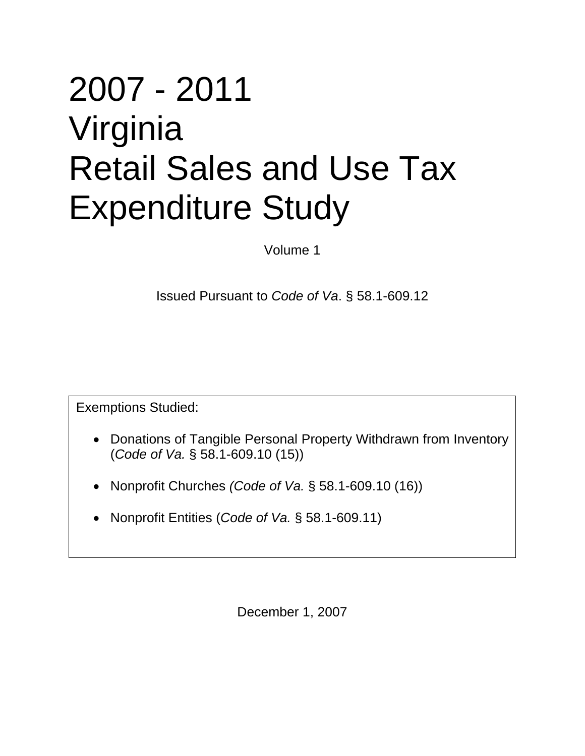# 2007 - 2011 Virginia Retail Sales and Use Tax Expenditure Study

Volume 1

Issued Pursuant to *Code of Va*. § 58.1-609.12

Exemptions Studied:

- Donations of Tangible Personal Property Withdrawn from Inventory (*Code of Va.* § 58.1-609.10 (15))
- Nonprofit Churches *(Code of Va.* § 58.1-609.10 (16))
- Nonprofit Entities (*Code of Va.* § 58.1-609.11)

December 1, 2007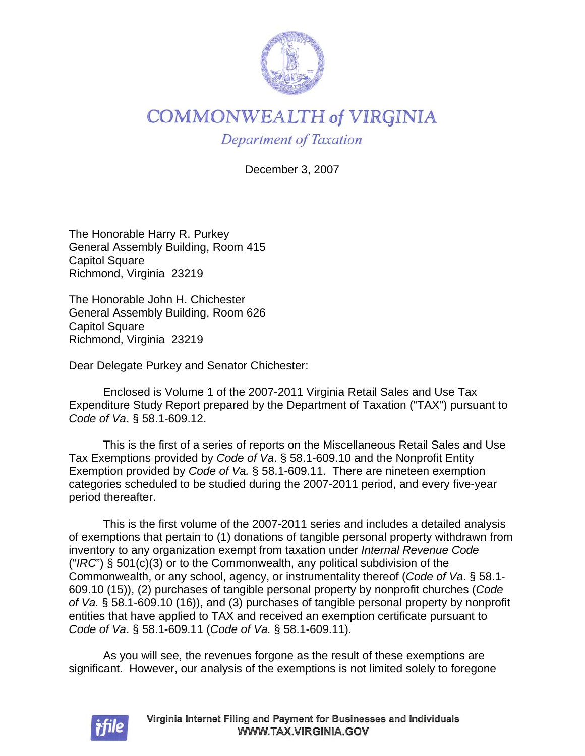

# **COMMONWEALTH of VIRGINIA**

Department of Taxation

December 3, 2007

The Honorable Harry R. Purkey General Assembly Building, Room 415 Capitol Square Richmond, Virginia 23219

The Honorable John H. Chichester General Assembly Building, Room 626 Capitol Square Richmond, Virginia 23219

Dear Delegate Purkey and Senator Chichester:

Enclosed is Volume 1 of the 2007-2011 Virginia Retail Sales and Use Tax Expenditure Study Report prepared by the Department of Taxation ("TAX") pursuant to *Code of Va*. § 58.1-609.12.

This is the first of a series of reports on the Miscellaneous Retail Sales and Use Tax Exemptions provided by *Code of Va*. § 58.1-609.10 and the Nonprofit Entity Exemption provided by *Code of Va.* § 58.1-609.11. There are nineteen exemption categories scheduled to be studied during the 2007-2011 period, and every five-year period thereafter.

This is the first volume of the 2007-2011 series and includes a detailed analysis of exemptions that pertain to (1) donations of tangible personal property withdrawn from inventory to any organization exempt from taxation under *Internal Revenue Code*  ("*IRC*") § 501(c)(3) or to the Commonwealth, any political subdivision of the Commonwealth, or any school, agency, or instrumentality thereof (*Code of Va*. § 58.1- 609.10 (15)), (2) purchases of tangible personal property by nonprofit churches (*Code of Va.* § 58.1-609.10 (16)), and (3) purchases of tangible personal property by nonprofit entities that have applied to TAX and received an exemption certificate pursuant to *Code of Va*. § 58.1-609.11 (*Code of Va.* § 58.1-609.11).

As you will see, the revenues forgone as the result of these exemptions are significant. However, our analysis of the exemptions is not limited solely to foregone

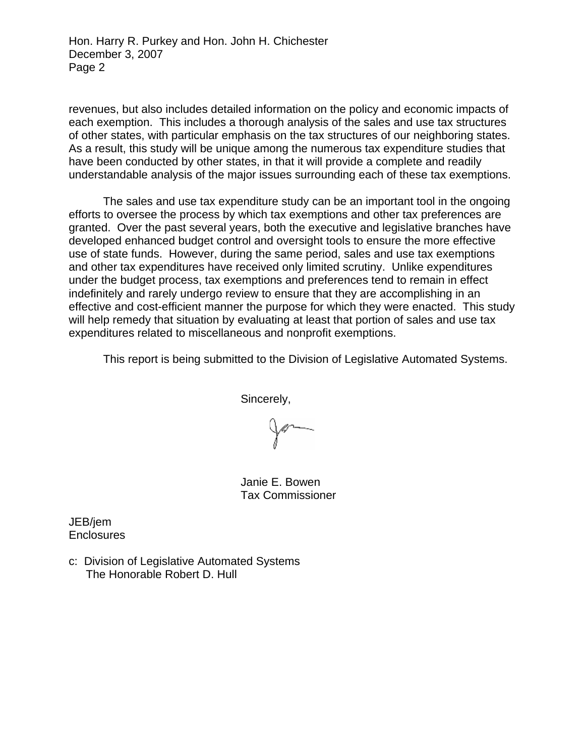Hon. Harry R. Purkey and Hon. John H. Chichester December 3, 2007 Page 2

revenues, but also includes detailed information on the policy and economic impacts of each exemption. This includes a thorough analysis of the sales and use tax structures of other states, with particular emphasis on the tax structures of our neighboring states. As a result, this study will be unique among the numerous tax expenditure studies that have been conducted by other states, in that it will provide a complete and readily understandable analysis of the major issues surrounding each of these tax exemptions.

The sales and use tax expenditure study can be an important tool in the ongoing efforts to oversee the process by which tax exemptions and other tax preferences are granted. Over the past several years, both the executive and legislative branches have developed enhanced budget control and oversight tools to ensure the more effective use of state funds. However, during the same period, sales and use tax exemptions and other tax expenditures have received only limited scrutiny. Unlike expenditures under the budget process, tax exemptions and preferences tend to remain in effect indefinitely and rarely undergo review to ensure that they are accomplishing in an effective and cost-efficient manner the purpose for which they were enacted. This study will help remedy that situation by evaluating at least that portion of sales and use tax expenditures related to miscellaneous and nonprofit exemptions.

This report is being submitted to the Division of Legislative Automated Systems.

Sincerely,

 Janie E. Bowen Tax Commissioner

JEB/jem **Enclosures** 

c: Division of Legislative Automated Systems The Honorable Robert D. Hull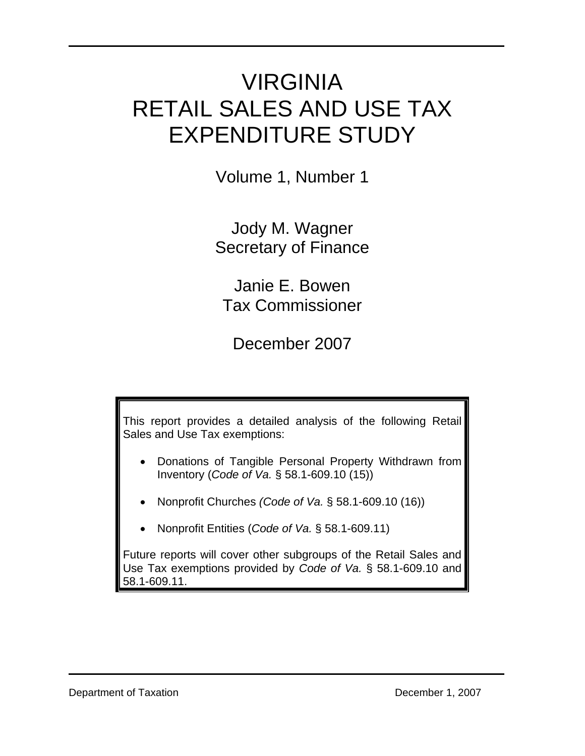# VIRGINIA RETAIL SALES AND USE TAX EXPENDITURE STUDY

 $\mathcal{L}_\mathcal{L} = \mathcal{L}_\mathcal{L} = \mathcal{L}_\mathcal{L} = \mathcal{L}_\mathcal{L} = \mathcal{L}_\mathcal{L} = \mathcal{L}_\mathcal{L} = \mathcal{L}_\mathcal{L} = \mathcal{L}_\mathcal{L} = \mathcal{L}_\mathcal{L} = \mathcal{L}_\mathcal{L} = \mathcal{L}_\mathcal{L} = \mathcal{L}_\mathcal{L} = \mathcal{L}_\mathcal{L} = \mathcal{L}_\mathcal{L} = \mathcal{L}_\mathcal{L} = \mathcal{L}_\mathcal{L} = \mathcal{L}_\mathcal{L}$ 

Volume 1, Number 1

Jody M. Wagner Secretary of Finance

Janie E. Bowen Tax Commissioner

December 2007

This report provides a detailed analysis of the following Retail Sales and Use Tax exemptions:

- Donations of Tangible Personal Property Withdrawn from Inventory (*Code of Va.* § 58.1-609.10 (15))
- Nonprofit Churches *(Code of Va.* § 58.1-609.10 (16))
- Nonprofit Entities (*Code of Va.* § 58.1-609.11)

Future reports will cover other subgroups of the Retail Sales and Use Tax exemptions provided by *Code of Va.* § 58.1-609.10 and 58.1-609.11.

 $\mathcal{L}_\text{max}$  and  $\mathcal{L}_\text{max}$  and  $\mathcal{L}_\text{max}$  and  $\mathcal{L}_\text{max}$  and  $\mathcal{L}_\text{max}$  and  $\mathcal{L}_\text{max}$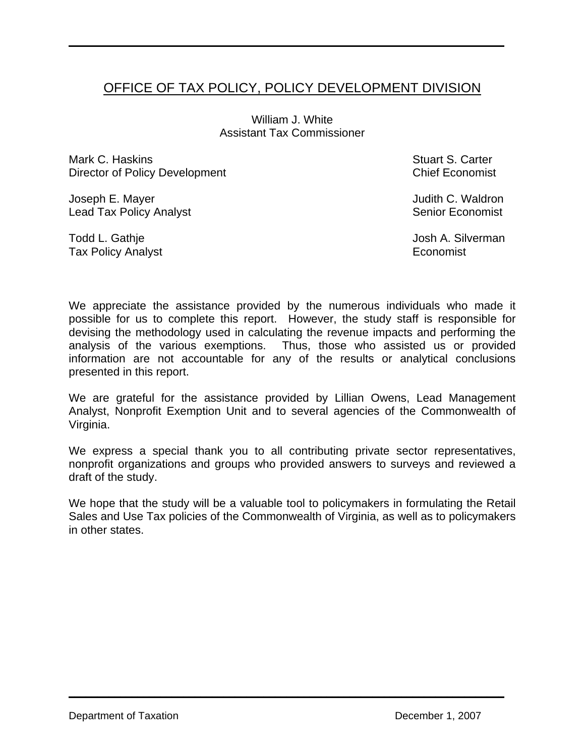# OFFICE OF TAX POLICY, POLICY DEVELOPMENT DIVISION

 $\mathcal{L}_\mathcal{L} = \mathcal{L}_\mathcal{L} = \mathcal{L}_\mathcal{L} = \mathcal{L}_\mathcal{L} = \mathcal{L}_\mathcal{L} = \mathcal{L}_\mathcal{L} = \mathcal{L}_\mathcal{L} = \mathcal{L}_\mathcal{L} = \mathcal{L}_\mathcal{L} = \mathcal{L}_\mathcal{L} = \mathcal{L}_\mathcal{L} = \mathcal{L}_\mathcal{L} = \mathcal{L}_\mathcal{L} = \mathcal{L}_\mathcal{L} = \mathcal{L}_\mathcal{L} = \mathcal{L}_\mathcal{L} = \mathcal{L}_\mathcal{L}$ 

William J. White Assistant Tax Commissioner

Mark C. Haskins Director of Policy Development

Joseph E. Mayer Lead Tax Policy Analyst

Todd L. Gathje Tax Policy Analyst Stuart S. Carter Chief Economist

Judith C. Waldron Senior Economist

Josh A. Silverman **Economist** 

We appreciate the assistance provided by the numerous individuals who made it possible for us to complete this report. However, the study staff is responsible for devising the methodology used in calculating the revenue impacts and performing the analysis of the various exemptions. Thus, those who assisted us or provided information are not accountable for any of the results or analytical conclusions presented in this report.

We are grateful for the assistance provided by Lillian Owens, Lead Management Analyst, Nonprofit Exemption Unit and to several agencies of the Commonwealth of Virginia.

We express a special thank you to all contributing private sector representatives, nonprofit organizations and groups who provided answers to surveys and reviewed a draft of the study.

We hope that the study will be a valuable tool to policymakers in formulating the Retail Sales and Use Tax policies of the Commonwealth of Virginia, as well as to policymakers in other states.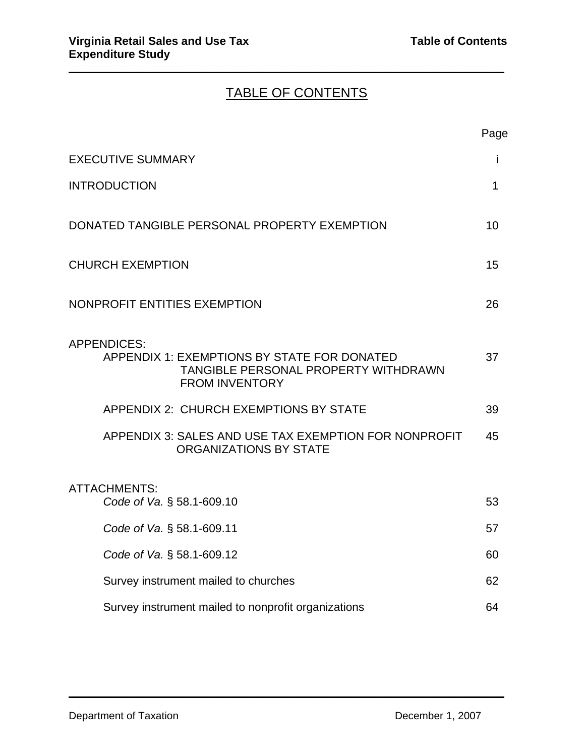# TABLE OF CONTENTS

 $\mathcal{L}_\mathcal{L} = \mathcal{L}_\mathcal{L} = \mathcal{L}_\mathcal{L} = \mathcal{L}_\mathcal{L} = \mathcal{L}_\mathcal{L} = \mathcal{L}_\mathcal{L} = \mathcal{L}_\mathcal{L} = \mathcal{L}_\mathcal{L} = \mathcal{L}_\mathcal{L} = \mathcal{L}_\mathcal{L} = \mathcal{L}_\mathcal{L} = \mathcal{L}_\mathcal{L} = \mathcal{L}_\mathcal{L} = \mathcal{L}_\mathcal{L} = \mathcal{L}_\mathcal{L} = \mathcal{L}_\mathcal{L} = \mathcal{L}_\mathcal{L}$ 

|                                                                                                                                    | Page |
|------------------------------------------------------------------------------------------------------------------------------------|------|
| <b>EXECUTIVE SUMMARY</b>                                                                                                           | Ť    |
| <b>INTRODUCTION</b>                                                                                                                | 1    |
| DONATED TANGIBLE PERSONAL PROPERTY EXEMPTION                                                                                       | 10   |
| <b>CHURCH EXEMPTION</b>                                                                                                            | 15   |
| NONPROFIT ENTITIES EXEMPTION                                                                                                       | 26   |
| <b>APPENDICES:</b><br>APPENDIX 1: EXEMPTIONS BY STATE FOR DONATED<br>TANGIBLE PERSONAL PROPERTY WITHDRAWN<br><b>FROM INVENTORY</b> | 37   |
| <b>APPENDIX 2: CHURCH EXEMPTIONS BY STATE</b>                                                                                      | 39   |
| APPENDIX 3: SALES AND USE TAX EXEMPTION FOR NONPROFIT<br><b>ORGANIZATIONS BY STATE</b>                                             | 45   |
| <b>ATTACHMENTS:</b><br>Code of Va. § 58.1-609.10                                                                                   | 53   |
| Code of Va. § 58.1-609.11                                                                                                          | 57   |
| Code of Va. § 58.1-609.12                                                                                                          | 60   |
| Survey instrument mailed to churches                                                                                               | 62   |
| Survey instrument mailed to nonprofit organizations                                                                                | 64   |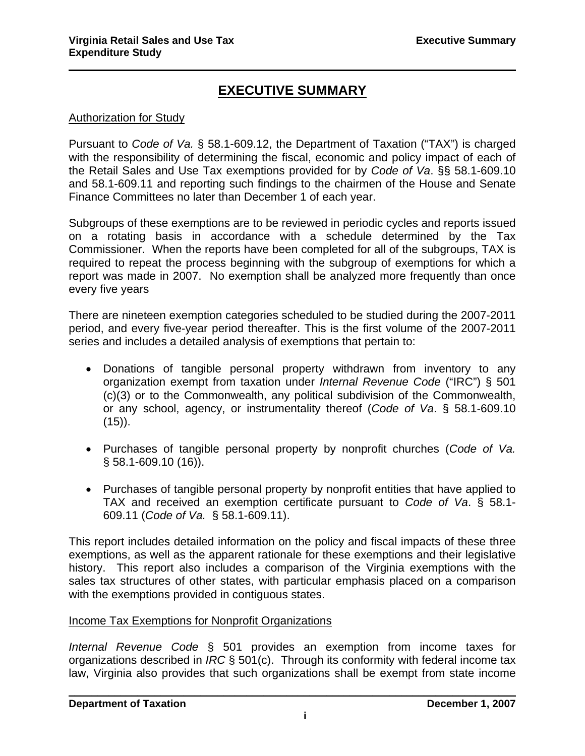# **EXECUTIVE SUMMARY**

 $\mathcal{L}_\text{max}$  and  $\mathcal{L}_\text{max}$  and  $\mathcal{L}_\text{max}$  and  $\mathcal{L}_\text{max}$  and  $\mathcal{L}_\text{max}$  and  $\mathcal{L}_\text{max}$ 

#### Authorization for Study

Pursuant to *Code of Va.* § 58.1-609.12, the Department of Taxation ("TAX") is charged with the responsibility of determining the fiscal, economic and policy impact of each of the Retail Sales and Use Tax exemptions provided for by *Code of Va*. §§ 58.1-609.10 and 58.1-609.11 and reporting such findings to the chairmen of the House and Senate Finance Committees no later than December 1 of each year.

Subgroups of these exemptions are to be reviewed in periodic cycles and reports issued on a rotating basis in accordance with a schedule determined by the Tax Commissioner. When the reports have been completed for all of the subgroups, TAX is required to repeat the process beginning with the subgroup of exemptions for which a report was made in 2007. No exemption shall be analyzed more frequently than once every five years

There are nineteen exemption categories scheduled to be studied during the 2007-2011 period, and every five-year period thereafter. This is the first volume of the 2007-2011 series and includes a detailed analysis of exemptions that pertain to:

- Donations of tangible personal property withdrawn from inventory to any organization exempt from taxation under *Internal Revenue Code* ("IRC") § 501 (c)(3) or to the Commonwealth, any political subdivision of the Commonwealth, or any school, agency, or instrumentality thereof (*Code of Va*. § 58.1-609.10  $(15)$ ).
- Purchases of tangible personal property by nonprofit churches (*Code of Va.* § 58.1-609.10 (16)).
- Purchases of tangible personal property by nonprofit entities that have applied to TAX and received an exemption certificate pursuant to *Code of Va*. § 58.1- 609.11 (*Code of Va.* § 58.1-609.11).

This report includes detailed information on the policy and fiscal impacts of these three exemptions, as well as the apparent rationale for these exemptions and their legislative history. This report also includes a comparison of the Virginia exemptions with the sales tax structures of other states, with particular emphasis placed on a comparison with the exemptions provided in contiguous states.

#### Income Tax Exemptions for Nonprofit Organizations

*Internal Revenue Code* § 501 provides an exemption from income taxes for organizations described in *IRC* § 501(c). Through its conformity with federal income tax law, Virginia also provides that such organizations shall be exempt from state income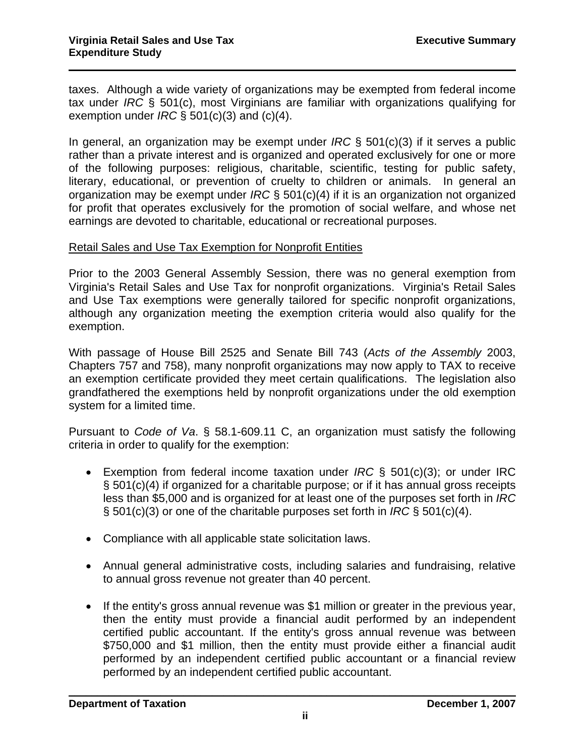taxes. Although a wide variety of organizations may be exempted from federal income tax under *IRC* § 501(c), most Virginians are familiar with organizations qualifying for exemption under  $IRC \S 501(c)(3)$  and  $(c)(4)$ .

 $\mathcal{L}_\text{max}$  and  $\mathcal{L}_\text{max}$  and  $\mathcal{L}_\text{max}$  and  $\mathcal{L}_\text{max}$  and  $\mathcal{L}_\text{max}$  and  $\mathcal{L}_\text{max}$ 

In general, an organization may be exempt under *IRC* § 501(c)(3) if it serves a public rather than a private interest and is organized and operated exclusively for one or more of the following purposes: religious, charitable, scientific, testing for public safety, literary, educational, or prevention of cruelty to children or animals. In general an organization may be exempt under *IRC* § 501(c)(4) if it is an organization not organized for profit that operates exclusively for the promotion of social welfare, and whose net earnings are devoted to charitable, educational or recreational purposes.

#### Retail Sales and Use Tax Exemption for Nonprofit Entities

Prior to the 2003 General Assembly Session, there was no general exemption from Virginia's Retail Sales and Use Tax for nonprofit organizations. Virginia's Retail Sales and Use Tax exemptions were generally tailored for specific nonprofit organizations, although any organization meeting the exemption criteria would also qualify for the exemption.

With passage of House Bill 2525 and Senate Bill 743 (*Acts of the Assembly* 2003, Chapters 757 and 758), many nonprofit organizations may now apply to TAX to receive an exemption certificate provided they meet certain qualifications. The legislation also grandfathered the exemptions held by nonprofit organizations under the old exemption system for a limited time.

Pursuant to *Code of Va*. § 58.1-609.11 C, an organization must satisfy the following criteria in order to qualify for the exemption:

- Exemption from federal income taxation under *IRC* § 501(c)(3); or under IRC § 501(c)(4) if organized for a charitable purpose; or if it has annual gross receipts less than \$5,000 and is organized for at least one of the purposes set forth in *IRC* § 501(c)(3) or one of the charitable purposes set forth in *IRC* § 501(c)(4).
- Compliance with all applicable state solicitation laws.
- Annual general administrative costs, including salaries and fundraising, relative to annual gross revenue not greater than 40 percent.
- If the entity's gross annual revenue was \$1 million or greater in the previous year, then the entity must provide a financial audit performed by an independent certified public accountant. If the entity's gross annual revenue was between \$750,000 and \$1 million, then the entity must provide either a financial audit performed by an independent certified public accountant or a financial review performed by an independent certified public accountant.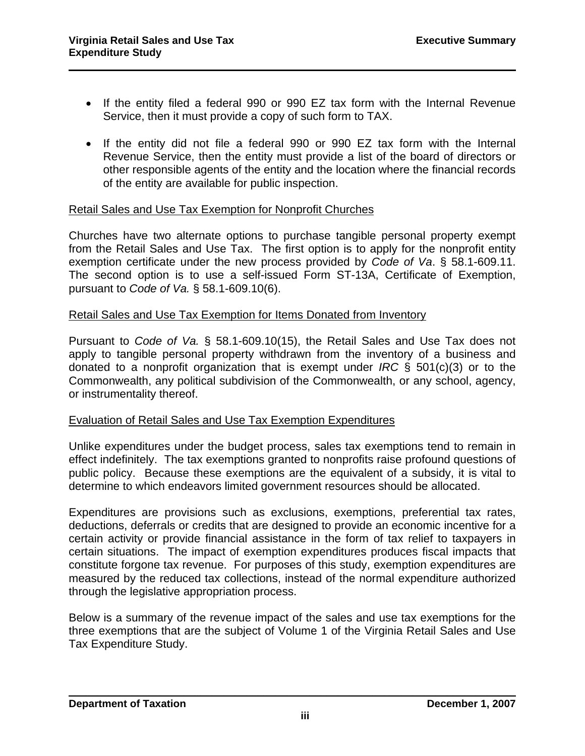• If the entity filed a federal 990 or 990 EZ tax form with the Internal Revenue Service, then it must provide a copy of such form to TAX.

 $\mathcal{L}_\text{max}$  and  $\mathcal{L}_\text{max}$  and  $\mathcal{L}_\text{max}$  and  $\mathcal{L}_\text{max}$  and  $\mathcal{L}_\text{max}$  and  $\mathcal{L}_\text{max}$ 

• If the entity did not file a federal 990 or 990 EZ tax form with the Internal Revenue Service, then the entity must provide a list of the board of directors or other responsible agents of the entity and the location where the financial records of the entity are available for public inspection.

#### Retail Sales and Use Tax Exemption for Nonprofit Churches

Churches have two alternate options to purchase tangible personal property exempt from the Retail Sales and Use Tax. The first option is to apply for the nonprofit entity exemption certificate under the new process provided by *Code of Va*. § 58.1-609.11. The second option is to use a self-issued Form ST-13A, Certificate of Exemption, pursuant to *Code of Va.* § 58.1-609.10(6).

#### Retail Sales and Use Tax Exemption for Items Donated from Inventory

Pursuant to *Code of Va.* § 58.1-609.10(15), the Retail Sales and Use Tax does not apply to tangible personal property withdrawn from the inventory of a business and donated to a nonprofit organization that is exempt under *IRC* § 501(c)(3) or to the Commonwealth, any political subdivision of the Commonwealth, or any school, agency, or instrumentality thereof.

#### Evaluation of Retail Sales and Use Tax Exemption Expenditures

Unlike expenditures under the budget process, sales tax exemptions tend to remain in effect indefinitely. The tax exemptions granted to nonprofits raise profound questions of public policy. Because these exemptions are the equivalent of a subsidy, it is vital to determine to which endeavors limited government resources should be allocated.

Expenditures are provisions such as exclusions, exemptions, preferential tax rates, deductions, deferrals or credits that are designed to provide an economic incentive for a certain activity or provide financial assistance in the form of tax relief to taxpayers in certain situations. The impact of exemption expenditures produces fiscal impacts that constitute forgone tax revenue. For purposes of this study, exemption expenditures are measured by the reduced tax collections, instead of the normal expenditure authorized through the legislative appropriation process.

Below is a summary of the revenue impact of the sales and use tax exemptions for the three exemptions that are the subject of Volume 1 of the Virginia Retail Sales and Use Tax Expenditure Study.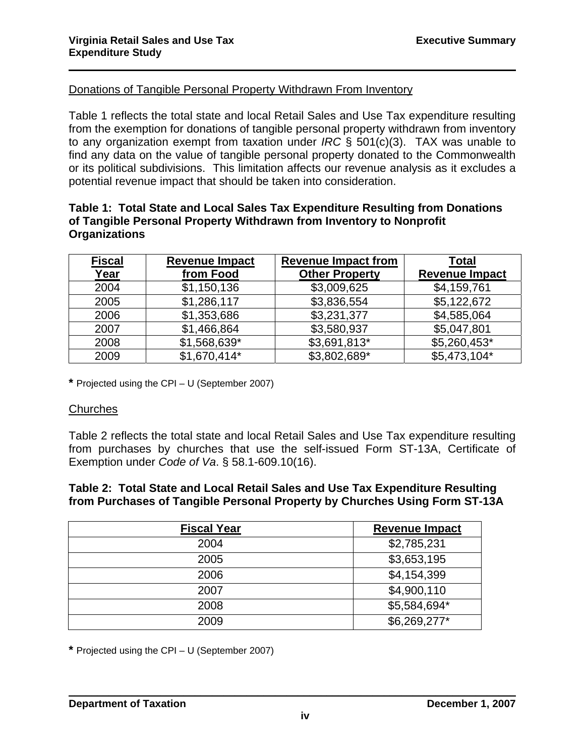#### Donations of Tangible Personal Property Withdrawn From Inventory

Table 1 reflects the total state and local Retail Sales and Use Tax expenditure resulting from the exemption for donations of tangible personal property withdrawn from inventory to any organization exempt from taxation under *IRC* § 501(c)(3). TAX was unable to find any data on the value of tangible personal property donated to the Commonwealth or its political subdivisions. This limitation affects our revenue analysis as it excludes a potential revenue impact that should be taken into consideration.

 $\mathcal{L}_\text{max}$  and  $\mathcal{L}_\text{max}$  and  $\mathcal{L}_\text{max}$  and  $\mathcal{L}_\text{max}$  and  $\mathcal{L}_\text{max}$  and  $\mathcal{L}_\text{max}$ 

#### **Table 1: Total State and Local Sales Tax Expenditure Resulting from Donations of Tangible Personal Property Withdrawn from Inventory to Nonprofit Organizations**

| <b>Fiscal</b><br>Year | <b>Revenue Impact</b><br>from Food | <b>Revenue Impact from</b><br><b>Other Property</b> | <b>Total</b><br><b>Revenue Impact</b> |
|-----------------------|------------------------------------|-----------------------------------------------------|---------------------------------------|
| 2004                  | \$1,150,136                        | \$3,009,625                                         | \$4,159,761                           |
| 2005                  |                                    |                                                     | \$5,122,672                           |
|                       | \$1,286,117                        | \$3,836,554                                         |                                       |
| 2006                  | \$1,353,686                        | \$3,231,377                                         | \$4,585,064                           |
| 2007                  | \$1,466,864                        | \$3,580,937                                         | \$5,047,801                           |
| 2008                  | $$1,568,639*$                      | \$3,691,813*                                        | \$5,260,453*                          |
| 2009                  | \$1,670,414*                       | \$3,802,689*                                        | \$5,473,104*                          |

**\*** Projected using the CPI – U (September 2007)

#### **Churches**

Table 2 reflects the total state and local Retail Sales and Use Tax expenditure resulting from purchases by churches that use the self-issued Form ST-13A, Certificate of Exemption under *Code of Va*. § 58.1-609.10(16).

#### **Table 2: Total State and Local Retail Sales and Use Tax Expenditure Resulting from Purchases of Tangible Personal Property by Churches Using Form ST-13A**

| <b>Fiscal Year</b> | <b>Revenue Impact</b> |
|--------------------|-----------------------|
| 2004               | \$2,785,231           |
| 2005               | \$3,653,195           |
| 2006               | \$4,154,399           |
| 2007               | \$4,900,110           |
| 2008               | \$5,584,694*          |
| 2009               | \$6,269,277*          |

**\*** Projected using the CPI – U (September 2007)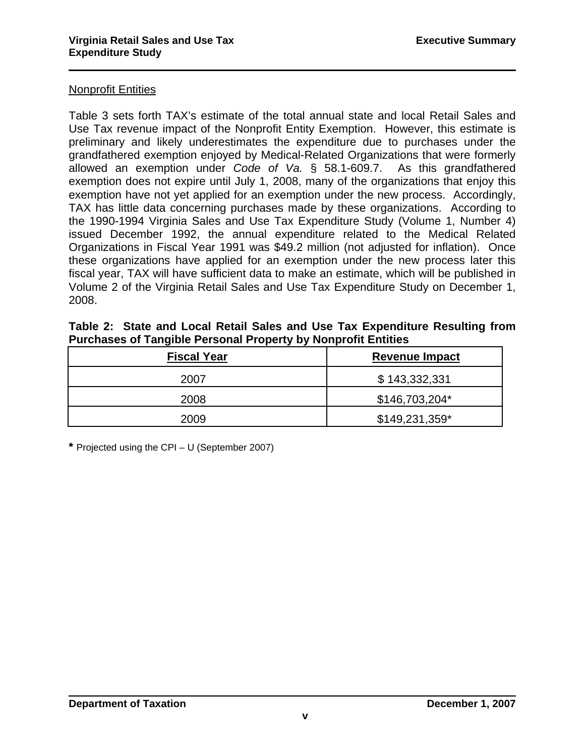#### Nonprofit Entities

Table 3 sets forth TAX's estimate of the total annual state and local Retail Sales and Use Tax revenue impact of the Nonprofit Entity Exemption. However, this estimate is preliminary and likely underestimates the expenditure due to purchases under the grandfathered exemption enjoyed by Medical-Related Organizations that were formerly allowed an exemption under *Code of Va.* § 58.1-609.7. As this grandfathered exemption does not expire until July 1, 2008, many of the organizations that enjoy this exemption have not yet applied for an exemption under the new process. Accordingly, TAX has little data concerning purchases made by these organizations. According to the 1990-1994 Virginia Sales and Use Tax Expenditure Study (Volume 1, Number 4) issued December 1992, the annual expenditure related to the Medical Related Organizations in Fiscal Year 1991 was \$49.2 million (not adjusted for inflation). Once these organizations have applied for an exemption under the new process later this fiscal year, TAX will have sufficient data to make an estimate, which will be published in Volume 2 of the Virginia Retail Sales and Use Tax Expenditure Study on December 1, 2008.

 $\mathcal{L}_\text{max}$  and  $\mathcal{L}_\text{max}$  and  $\mathcal{L}_\text{max}$  and  $\mathcal{L}_\text{max}$  and  $\mathcal{L}_\text{max}$  and  $\mathcal{L}_\text{max}$ 

| <b>Purchases of Tangible Personal Property by Nonprofit Entities</b> |  |  |  |
|----------------------------------------------------------------------|--|--|--|
| <b>Revenue Impact</b>                                                |  |  |  |
| \$143,332,331                                                        |  |  |  |
|                                                                      |  |  |  |

2008 **\$146,703,204**\*

2009 **\$149,231,359**\*

|  |                                                                      |  | Table 2: State and Local Retail Sales and Use Tax Expenditure Resulting from |  |
|--|----------------------------------------------------------------------|--|------------------------------------------------------------------------------|--|
|  | <b>Purchases of Tangible Personal Property by Nonprofit Entities</b> |  |                                                                              |  |

**\*** Projected using the CPI – U (September 2007)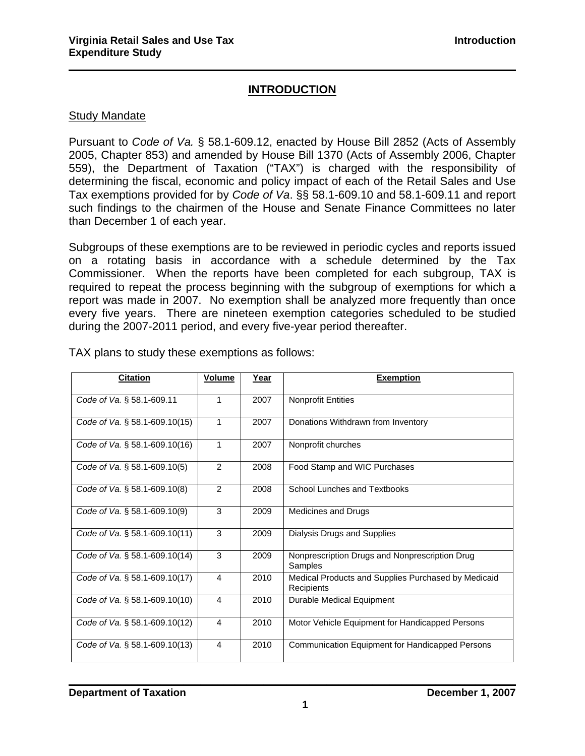#### **INTRODUCTION**

 $\mathcal{L}_\text{max}$  and  $\mathcal{L}_\text{max}$  and  $\mathcal{L}_\text{max}$  and  $\mathcal{L}_\text{max}$  and  $\mathcal{L}_\text{max}$  and  $\mathcal{L}_\text{max}$ 

#### Study Mandate

Pursuant to *Code of Va.* § 58.1-609.12, enacted by House Bill 2852 (Acts of Assembly 2005, Chapter 853) and amended by House Bill 1370 (Acts of Assembly 2006, Chapter 559), the Department of Taxation ("TAX") is charged with the responsibility of determining the fiscal, economic and policy impact of each of the Retail Sales and Use Tax exemptions provided for by *Code of Va*. §§ 58.1-609.10 and 58.1-609.11 and report such findings to the chairmen of the House and Senate Finance Committees no later than December 1 of each year.

Subgroups of these exemptions are to be reviewed in periodic cycles and reports issued on a rotating basis in accordance with a schedule determined by the Tax Commissioner. When the reports have been completed for each subgroup, TAX is required to repeat the process beginning with the subgroup of exemptions for which a report was made in 2007. No exemption shall be analyzed more frequently than once every five years. There are nineteen exemption categories scheduled to be studied during the 2007-2011 period, and every five-year period thereafter.

| <b>Citation</b>                  | <b>Volume</b> | Year | <b>Exemption</b>                                                  |  |
|----------------------------------|---------------|------|-------------------------------------------------------------------|--|
| Code of Va. § 58.1-609.11        | 1             | 2007 | <b>Nonprofit Entities</b>                                         |  |
| Code of Va. § 58.1-609.10(15)    | 1             | 2007 | Donations Withdrawn from Inventory                                |  |
| Code of Va. § 58.1-609.10(16)    | 1             | 2007 | Nonprofit churches                                                |  |
| Code of Va. $\S$ 58.1-609.10(5)  | 2             | 2008 | Food Stamp and WIC Purchases                                      |  |
| Code of Va. § 58.1-609.10(8)     | 2             | 2008 | School Lunches and Textbooks                                      |  |
| Code of Va. § 58.1-609.10(9)     | 3             | 2009 | Medicines and Drugs                                               |  |
| Code of Va. $\S$ 58.1-609.10(11) | 3             | 2009 | Dialysis Drugs and Supplies                                       |  |
| Code of Va. § 58.1-609.10(14)    | 3             | 2009 | Nonprescription Drugs and Nonprescription Drug<br>Samples         |  |
| Code of Va. § 58.1-609.10(17)    | 4             | 2010 | Medical Products and Supplies Purchased by Medicaid<br>Recipients |  |
| Code of Va. § 58.1-609.10(10)    | 4             | 2010 | Durable Medical Equipment                                         |  |
| Code of Va. § 58.1-609.10(12)    | 4             | 2010 | Motor Vehicle Equipment for Handicapped Persons                   |  |
| Code of Va. § 58.1-609.10(13)    | 4             | 2010 | <b>Communication Equipment for Handicapped Persons</b>            |  |

TAX plans to study these exemptions as follows: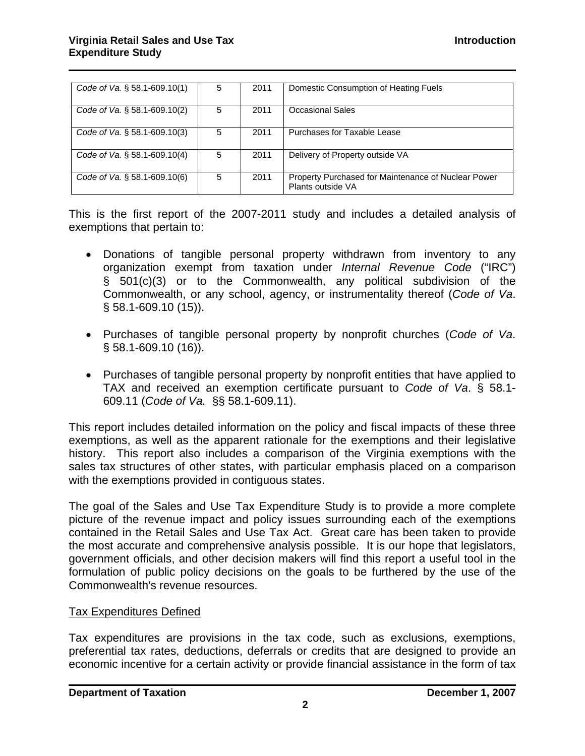| Code of Va. $\S$ 58.1-609.10(1) | 5 | 2011 | Domestic Consumption of Heating Fuels                                    |
|---------------------------------|---|------|--------------------------------------------------------------------------|
| Code of Va. § 58.1-609.10(2)    | 5 | 2011 | Occasional Sales                                                         |
| Code of Va. $\S$ 58.1-609.10(3) | 5 | 2011 | Purchases for Taxable Lease                                              |
| Code of Va. § 58.1-609.10(4)    | 5 | 2011 | Delivery of Property outside VA                                          |
| Code of Va. § 58.1-609.10(6)    | 5 | 2011 | Property Purchased for Maintenance of Nuclear Power<br>Plants outside VA |

 $\mathcal{L}_\text{max}$  and  $\mathcal{L}_\text{max}$  and  $\mathcal{L}_\text{max}$  and  $\mathcal{L}_\text{max}$  and  $\mathcal{L}_\text{max}$  and  $\mathcal{L}_\text{max}$ 

This is the first report of the 2007-2011 study and includes a detailed analysis of exemptions that pertain to:

- Donations of tangible personal property withdrawn from inventory to any organization exempt from taxation under *Internal Revenue Code* ("IRC") § 501(c)(3) or to the Commonwealth, any political subdivision of the Commonwealth, or any school, agency, or instrumentality thereof (*Code of Va*. § 58.1-609.10 (15)).
- Purchases of tangible personal property by nonprofit churches (*Code of Va*. § 58.1-609.10 (16)).
- Purchases of tangible personal property by nonprofit entities that have applied to TAX and received an exemption certificate pursuant to *Code of Va*. § 58.1- 609.11 (*Code of Va.* §§ 58.1-609.11).

This report includes detailed information on the policy and fiscal impacts of these three exemptions, as well as the apparent rationale for the exemptions and their legislative history. This report also includes a comparison of the Virginia exemptions with the sales tax structures of other states, with particular emphasis placed on a comparison with the exemptions provided in contiguous states.

The goal of the Sales and Use Tax Expenditure Study is to provide a more complete picture of the revenue impact and policy issues surrounding each of the exemptions contained in the Retail Sales and Use Tax Act. Great care has been taken to provide the most accurate and comprehensive analysis possible. It is our hope that legislators, government officials, and other decision makers will find this report a useful tool in the formulation of public policy decisions on the goals to be furthered by the use of the Commonwealth's revenue resources.

#### Tax Expenditures Defined

Tax expenditures are provisions in the tax code, such as exclusions, exemptions, preferential tax rates, deductions, deferrals or credits that are designed to provide an economic incentive for a certain activity or provide financial assistance in the form of tax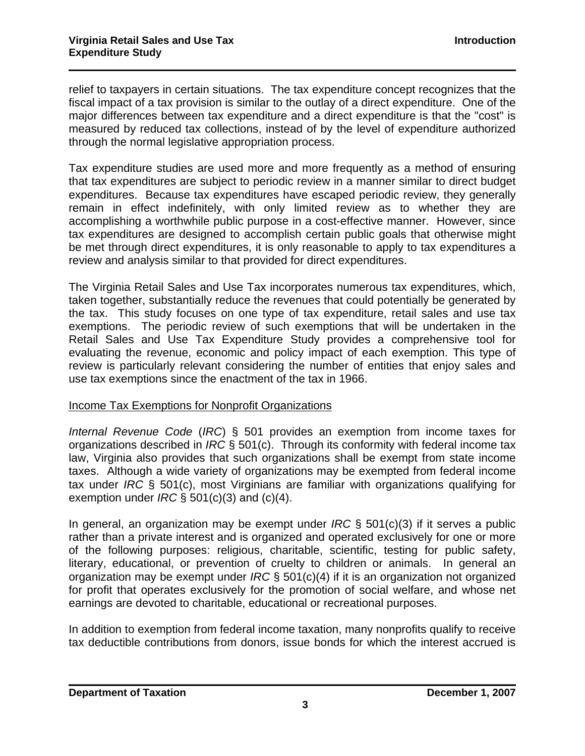relief to taxpayers in certain situations. The tax expenditure concept recognizes that the fiscal impact of a tax provision is similar to the outlay of a direct expenditure. One of the major differences between tax expenditure and a direct expenditure is that the "cost" is measured by reduced tax collections, instead of by the level of expenditure authorized through the normal legislative appropriation process.

 $\mathcal{L}_\text{max}$  and  $\mathcal{L}_\text{max}$  and  $\mathcal{L}_\text{max}$  and  $\mathcal{L}_\text{max}$  and  $\mathcal{L}_\text{max}$  and  $\mathcal{L}_\text{max}$ 

Tax expenditure studies are used more and more frequently as a method of ensuring that tax expenditures are subject to periodic review in a manner similar to direct budget expenditures. Because tax expenditures have escaped periodic review, they generally remain in effect indefinitely, with only limited review as to whether they are accomplishing a worthwhile public purpose in a cost-effective manner. However, since tax expenditures are designed to accomplish certain public goals that otherwise might be met through direct expenditures, it is only reasonable to apply to tax expenditures a review and analysis similar to that provided for direct expenditures.

The Virginia Retail Sales and Use Tax incorporates numerous tax expenditures, which, taken together, substantially reduce the revenues that could potentially be generated by the tax. This study focuses on one type of tax expenditure, retail sales and use tax exemptions. The periodic review of such exemptions that will be undertaken in the Retail Sales and Use Tax Expenditure Study provides a comprehensive tool for evaluating the revenue, economic and policy impact of each exemption. This type of review is particularly relevant considering the number of entities that enjoy sales and use tax exemptions since the enactment of the tax in 1966.

#### Income Tax Exemptions for Nonprofit Organizations

*Internal Revenue Code* (*IRC*) § 501 provides an exemption from income taxes for organizations described in *IRC* § 501(c). Through its conformity with federal income tax law, Virginia also provides that such organizations shall be exempt from state income taxes. Although a wide variety of organizations may be exempted from federal income tax under *IRC* § 501(c), most Virginians are familiar with organizations qualifying for exemption under  $IRC \S 501(c)(3)$  and  $(c)(4)$ .

In general, an organization may be exempt under *IRC* § 501(c)(3) if it serves a public rather than a private interest and is organized and operated exclusively for one or more of the following purposes: religious, charitable, scientific, testing for public safety, literary, educational, or prevention of cruelty to children or animals. In general an organization may be exempt under *IRC* § 501(c)(4) if it is an organization not organized for profit that operates exclusively for the promotion of social welfare, and whose net earnings are devoted to charitable, educational or recreational purposes.

In addition to exemption from federal income taxation, many nonprofits qualify to receive tax deductible contributions from donors, issue bonds for which the interest accrued is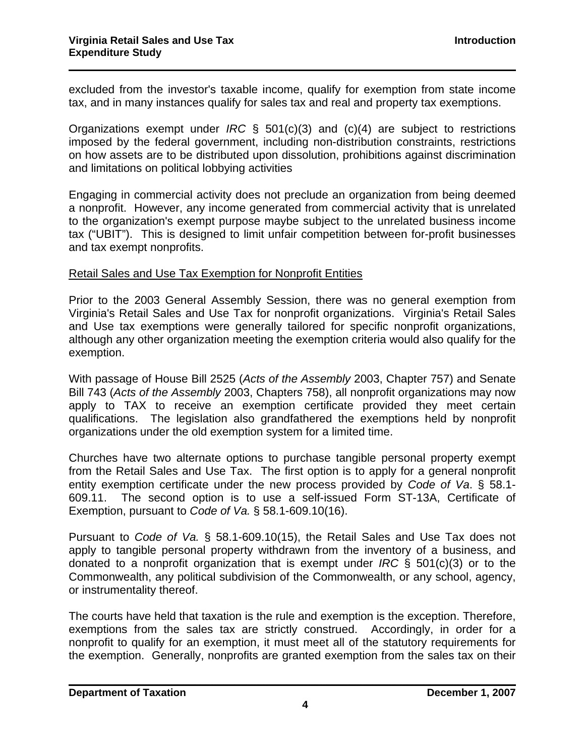excluded from the investor's taxable income, qualify for exemption from state income tax, and in many instances qualify for sales tax and real and property tax exemptions.

 $\mathcal{L}_\text{max}$  and  $\mathcal{L}_\text{max}$  and  $\mathcal{L}_\text{max}$  and  $\mathcal{L}_\text{max}$  and  $\mathcal{L}_\text{max}$  and  $\mathcal{L}_\text{max}$ 

Organizations exempt under *IRC* § 501(c)(3) and (c)(4) are subject to restrictions imposed by the federal government, including non-distribution constraints, restrictions on how assets are to be distributed upon dissolution, prohibitions against discrimination and limitations on political lobbying activities

Engaging in commercial activity does not preclude an organization from being deemed a nonprofit. However, any income generated from commercial activity that is unrelated to the organization's exempt purpose maybe subject to the unrelated business income tax ("UBIT"). This is designed to limit unfair competition between for-profit businesses and tax exempt nonprofits.

#### Retail Sales and Use Tax Exemption for Nonprofit Entities

Prior to the 2003 General Assembly Session, there was no general exemption from Virginia's Retail Sales and Use Tax for nonprofit organizations. Virginia's Retail Sales and Use tax exemptions were generally tailored for specific nonprofit organizations, although any other organization meeting the exemption criteria would also qualify for the exemption.

With passage of House Bill 2525 (*Acts of the Assembly* 2003, Chapter 757) and Senate Bill 743 (*Acts of the Assembly* 2003, Chapters 758), all nonprofit organizations may now apply to TAX to receive an exemption certificate provided they meet certain qualifications. The legislation also grandfathered the exemptions held by nonprofit organizations under the old exemption system for a limited time.

Churches have two alternate options to purchase tangible personal property exempt from the Retail Sales and Use Tax. The first option is to apply for a general nonprofit entity exemption certificate under the new process provided by *Code of Va*. § 58.1- 609.11. The second option is to use a self-issued Form ST-13A, Certificate of Exemption, pursuant to *Code of Va.* § 58.1-609.10(16).

Pursuant to *Code of Va.* § 58.1-609.10(15), the Retail Sales and Use Tax does not apply to tangible personal property withdrawn from the inventory of a business, and donated to a nonprofit organization that is exempt under *IRC* § 501(c)(3) or to the Commonwealth, any political subdivision of the Commonwealth, or any school, agency, or instrumentality thereof.

The courts have held that taxation is the rule and exemption is the exception. Therefore, exemptions from the sales tax are strictly construed. Accordingly, in order for a nonprofit to qualify for an exemption, it must meet all of the statutory requirements for the exemption. Generally, nonprofits are granted exemption from the sales tax on their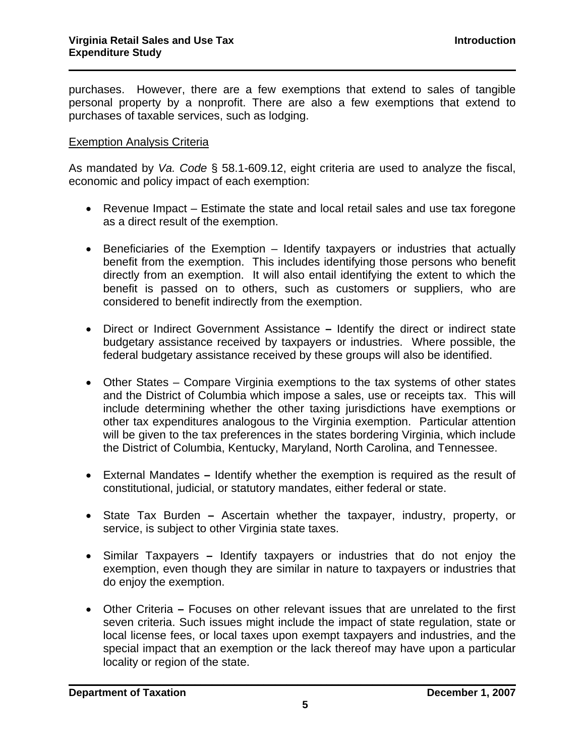purchases. However, there are a few exemptions that extend to sales of tangible personal property by a nonprofit. There are also a few exemptions that extend to purchases of taxable services, such as lodging.

 $\mathcal{L}_\text{max}$  and  $\mathcal{L}_\text{max}$  and  $\mathcal{L}_\text{max}$  and  $\mathcal{L}_\text{max}$  and  $\mathcal{L}_\text{max}$  and  $\mathcal{L}_\text{max}$ 

#### Exemption Analysis Criteria

As mandated by *Va. Code* § 58.1-609.12, eight criteria are used to analyze the fiscal, economic and policy impact of each exemption:

- Revenue Impact Estimate the state and local retail sales and use tax foregone as a direct result of the exemption.
- Beneficiaries of the Exemption Identify taxpayers or industries that actually benefit from the exemption. This includes identifying those persons who benefit directly from an exemption. It will also entail identifying the extent to which the benefit is passed on to others, such as customers or suppliers, who are considered to benefit indirectly from the exemption.
- Direct or Indirect Government AssistanceIdentify the direct or indirect state budgetary assistance received by taxpayers or industries. Where possible, the federal budgetary assistance received by these groups will also be identified.
- Other States Compare Virginia exemptions to the tax systems of other states and the District of Columbia which impose a sales, use or receipts tax. This will include determining whether the other taxing jurisdictions have exemptions or other tax expenditures analogous to the Virginia exemption. Particular attention will be given to the tax preferences in the states bordering Virginia, which include the District of Columbia, Kentucky, Maryland, North Carolina, and Tennessee.
- External MandatesIdentify whether the exemption is required as the result of constitutional, judicial, or statutory mandates, either federal or state.
- State Tax BurdenAscertain whether the taxpayer, industry, property, or service, is subject to other Virginia state taxes.
- Similar TaxpayersIdentify taxpayers or industries that do not enjoy the exemption, even though they are similar in nature to taxpayers or industries that do enjoy the exemption.
- Other CriteriaFocuses on other relevant issues that are unrelated to the first seven criteria. Such issues might include the impact of state regulation, state or local license fees, or local taxes upon exempt taxpayers and industries, and the special impact that an exemption or the lack thereof may have upon a particular locality or region of the state.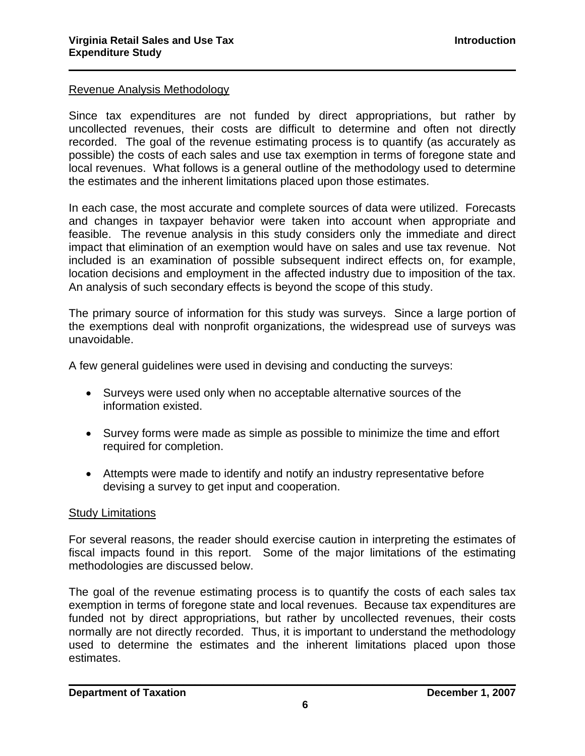#### Revenue Analysis Methodology

Since tax expenditures are not funded by direct appropriations, but rather by uncollected revenues, their costs are difficult to determine and often not directly recorded. The goal of the revenue estimating process is to quantify (as accurately as possible) the costs of each sales and use tax exemption in terms of foregone state and local revenues. What follows is a general outline of the methodology used to determine the estimates and the inherent limitations placed upon those estimates.

 $\mathcal{L}_\text{max}$  and  $\mathcal{L}_\text{max}$  and  $\mathcal{L}_\text{max}$  and  $\mathcal{L}_\text{max}$  and  $\mathcal{L}_\text{max}$  and  $\mathcal{L}_\text{max}$ 

In each case, the most accurate and complete sources of data were utilized. Forecasts and changes in taxpayer behavior were taken into account when appropriate and feasible. The revenue analysis in this study considers only the immediate and direct impact that elimination of an exemption would have on sales and use tax revenue. Not included is an examination of possible subsequent indirect effects on, for example, location decisions and employment in the affected industry due to imposition of the tax. An analysis of such secondary effects is beyond the scope of this study.

The primary source of information for this study was surveys. Since a large portion of the exemptions deal with nonprofit organizations, the widespread use of surveys was unavoidable.

A few general guidelines were used in devising and conducting the surveys:

- Surveys were used only when no acceptable alternative sources of the information existed.
- Survey forms were made as simple as possible to minimize the time and effort required for completion.
- Attempts were made to identify and notify an industry representative before devising a survey to get input and cooperation.

#### Study Limitations

For several reasons, the reader should exercise caution in interpreting the estimates of fiscal impacts found in this report. Some of the major limitations of the estimating methodologies are discussed below.

The goal of the revenue estimating process is to quantify the costs of each sales tax exemption in terms of foregone state and local revenues. Because tax expenditures are funded not by direct appropriations, but rather by uncollected revenues, their costs normally are not directly recorded. Thus, it is important to understand the methodology used to determine the estimates and the inherent limitations placed upon those estimates.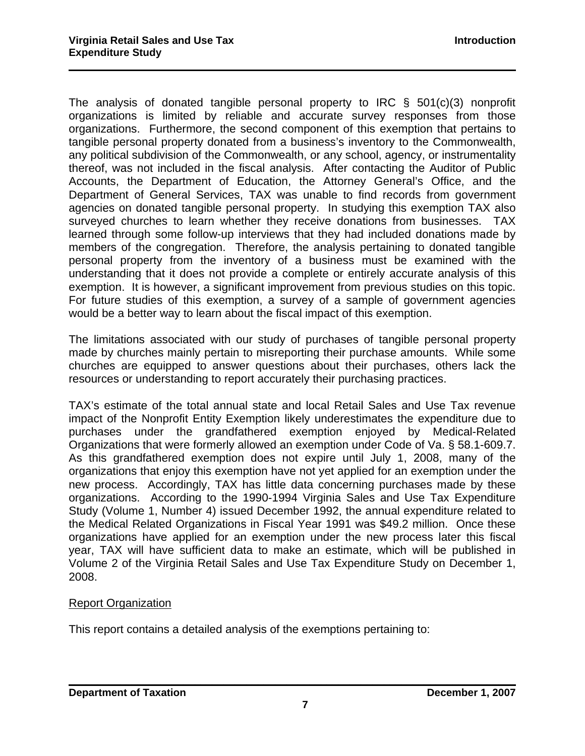The analysis of donated tangible personal property to IRC  $\S$  501(c)(3) nonprofit organizations is limited by reliable and accurate survey responses from those organizations. Furthermore, the second component of this exemption that pertains to tangible personal property donated from a business's inventory to the Commonwealth, any political subdivision of the Commonwealth, or any school, agency, or instrumentality thereof, was not included in the fiscal analysis. After contacting the Auditor of Public Accounts, the Department of Education, the Attorney General's Office, and the Department of General Services, TAX was unable to find records from government agencies on donated tangible personal property. In studying this exemption TAX also surveyed churches to learn whether they receive donations from businesses. TAX learned through some follow-up interviews that they had included donations made by members of the congregation. Therefore, the analysis pertaining to donated tangible personal property from the inventory of a business must be examined with the understanding that it does not provide a complete or entirely accurate analysis of this exemption. It is however, a significant improvement from previous studies on this topic. For future studies of this exemption, a survey of a sample of government agencies would be a better way to learn about the fiscal impact of this exemption.

 $\mathcal{L}_\text{max}$  and  $\mathcal{L}_\text{max}$  and  $\mathcal{L}_\text{max}$  and  $\mathcal{L}_\text{max}$  and  $\mathcal{L}_\text{max}$  and  $\mathcal{L}_\text{max}$ 

The limitations associated with our study of purchases of tangible personal property made by churches mainly pertain to misreporting their purchase amounts. While some churches are equipped to answer questions about their purchases, others lack the resources or understanding to report accurately their purchasing practices.

TAX's estimate of the total annual state and local Retail Sales and Use Tax revenue impact of the Nonprofit Entity Exemption likely underestimates the expenditure due to purchases under the grandfathered exemption enjoyed by Medical-Related Organizations that were formerly allowed an exemption under Code of Va. § 58.1-609.7. As this grandfathered exemption does not expire until July 1, 2008, many of the organizations that enjoy this exemption have not yet applied for an exemption under the new process. Accordingly, TAX has little data concerning purchases made by these organizations. According to the 1990-1994 Virginia Sales and Use Tax Expenditure Study (Volume 1, Number 4) issued December 1992, the annual expenditure related to the Medical Related Organizations in Fiscal Year 1991 was \$49.2 million. Once these organizations have applied for an exemption under the new process later this fiscal year, TAX will have sufficient data to make an estimate, which will be published in Volume 2 of the Virginia Retail Sales and Use Tax Expenditure Study on December 1, 2008.

#### Report Organization

This report contains a detailed analysis of the exemptions pertaining to: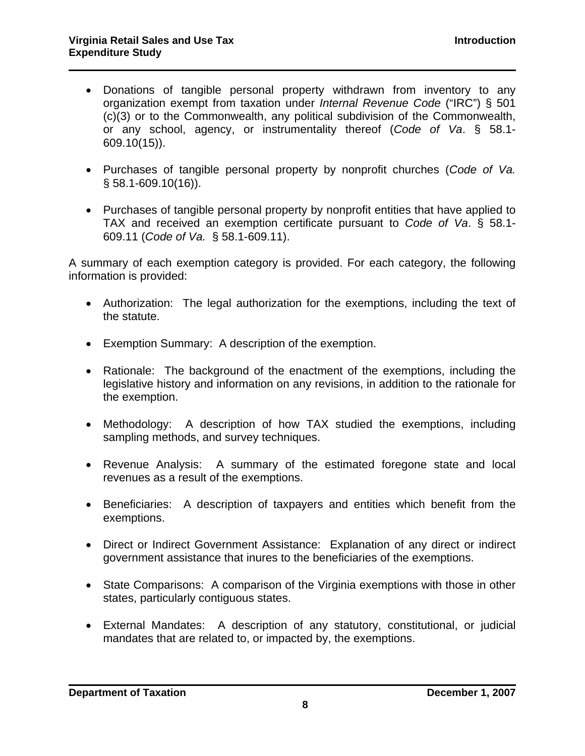• Donations of tangible personal property withdrawn from inventory to any organization exempt from taxation under *Internal Revenue Code* ("IRC") § 501 (c)(3) or to the Commonwealth, any political subdivision of the Commonwealth, or any school, agency, or instrumentality thereof (*Code of Va*. § 58.1- 609.10(15)).

 $\mathcal{L}_\text{max}$  and  $\mathcal{L}_\text{max}$  and  $\mathcal{L}_\text{max}$  and  $\mathcal{L}_\text{max}$  and  $\mathcal{L}_\text{max}$  and  $\mathcal{L}_\text{max}$ 

- Purchases of tangible personal property by nonprofit churches (*Code of Va.* § 58.1-609.10(16)).
- Purchases of tangible personal property by nonprofit entities that have applied to TAX and received an exemption certificate pursuant to *Code of Va*. § 58.1- 609.11 (*Code of Va.* § 58.1-609.11).

A summary of each exemption category is provided. For each category, the following information is provided:

- Authorization: The legal authorization for the exemptions, including the text of the statute.
- Exemption Summary: A description of the exemption.
- Rationale: The background of the enactment of the exemptions, including the legislative history and information on any revisions, in addition to the rationale for the exemption.
- Methodology: A description of how TAX studied the exemptions, including sampling methods, and survey techniques.
- Revenue Analysis: A summary of the estimated foregone state and local revenues as a result of the exemptions.
- Beneficiaries: A description of taxpayers and entities which benefit from the exemptions.
- Direct or Indirect Government Assistance: Explanation of any direct or indirect government assistance that inures to the beneficiaries of the exemptions.
- State Comparisons: A comparison of the Virginia exemptions with those in other states, particularly contiguous states.
- External Mandates: A description of any statutory, constitutional, or judicial mandates that are related to, or impacted by, the exemptions.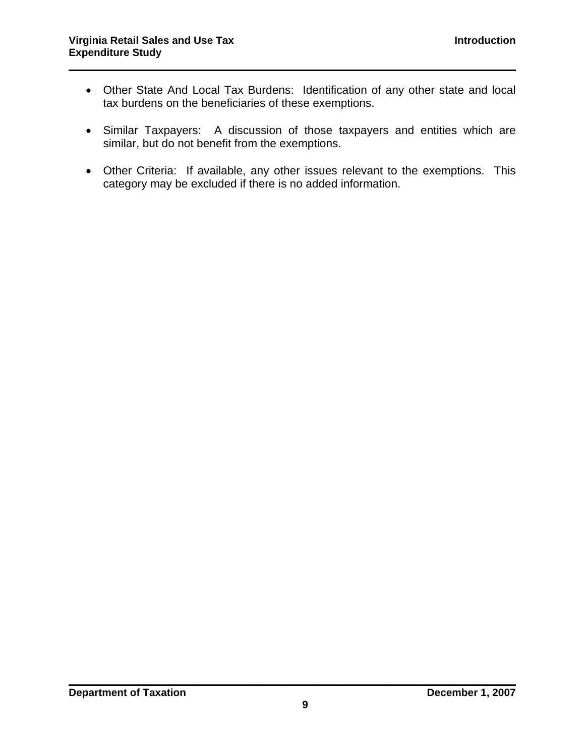• Other State And Local Tax Burdens: Identification of any other state and local tax burdens on the beneficiaries of these exemptions.

 $\mathcal{L}_\text{max}$  and  $\mathcal{L}_\text{max}$  and  $\mathcal{L}_\text{max}$  and  $\mathcal{L}_\text{max}$  and  $\mathcal{L}_\text{max}$  and  $\mathcal{L}_\text{max}$ 

- Similar Taxpayers: A discussion of those taxpayers and entities which are similar, but do not benefit from the exemptions.
- Other Criteria: If available, any other issues relevant to the exemptions. This category may be excluded if there is no added information.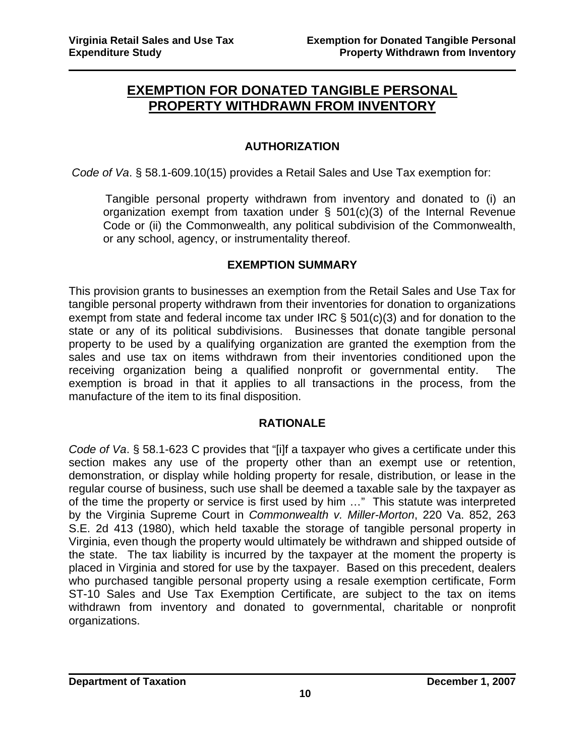### **EXEMPTION FOR DONATED TANGIBLE PERSONAL PROPERTY WITHDRAWN FROM INVENTORY**

 $\mathcal{L}_\text{max}$  and  $\mathcal{L}_\text{max}$  and  $\mathcal{L}_\text{max}$  and  $\mathcal{L}_\text{max}$  and  $\mathcal{L}_\text{max}$  and  $\mathcal{L}_\text{max}$ 

#### **AUTHORIZATION**

*Code of Va*. § 58.1-609.10(15) provides a Retail Sales and Use Tax exemption for:

Tangible personal property withdrawn from inventory and donated to (i) an organization exempt from taxation under § 501(c)(3) of the Internal Revenue Code or (ii) the Commonwealth, any political subdivision of the Commonwealth, or any school, agency, or instrumentality thereof.

#### **EXEMPTION SUMMARY**

This provision grants to businesses an exemption from the Retail Sales and Use Tax for tangible personal property withdrawn from their inventories for donation to organizations exempt from state and federal income tax under IRC § 501(c)(3) and for donation to the state or any of its political subdivisions. Businesses that donate tangible personal property to be used by a qualifying organization are granted the exemption from the sales and use tax on items withdrawn from their inventories conditioned upon the receiving organization being a qualified nonprofit or governmental entity. The exemption is broad in that it applies to all transactions in the process, from the manufacture of the item to its final disposition.

#### **RATIONALE**

*Code of Va*. § 58.1-623 C provides that "[i]f a taxpayer who gives a certificate under this section makes any use of the property other than an exempt use or retention, demonstration, or display while holding property for resale, distribution, or lease in the regular course of business, such use shall be deemed a taxable sale by the taxpayer as of the time the property or service is first used by him …" This statute was interpreted by the Virginia Supreme Court in *Commonwealth v. Miller-Morton*, 220 Va. 852, 263 S.E. 2d 413 (1980), which held taxable the storage of tangible personal property in Virginia, even though the property would ultimately be withdrawn and shipped outside of the state. The tax liability is incurred by the taxpayer at the moment the property is placed in Virginia and stored for use by the taxpayer. Based on this precedent, dealers who purchased tangible personal property using a resale exemption certificate, Form ST-10 Sales and Use Tax Exemption Certificate, are subject to the tax on items withdrawn from inventory and donated to governmental, charitable or nonprofit organizations.

 $\mathcal{L}_\text{max}$  and  $\mathcal{L}_\text{max}$  and  $\mathcal{L}_\text{max}$  and  $\mathcal{L}_\text{max}$  and  $\mathcal{L}_\text{max}$  and  $\mathcal{L}_\text{max}$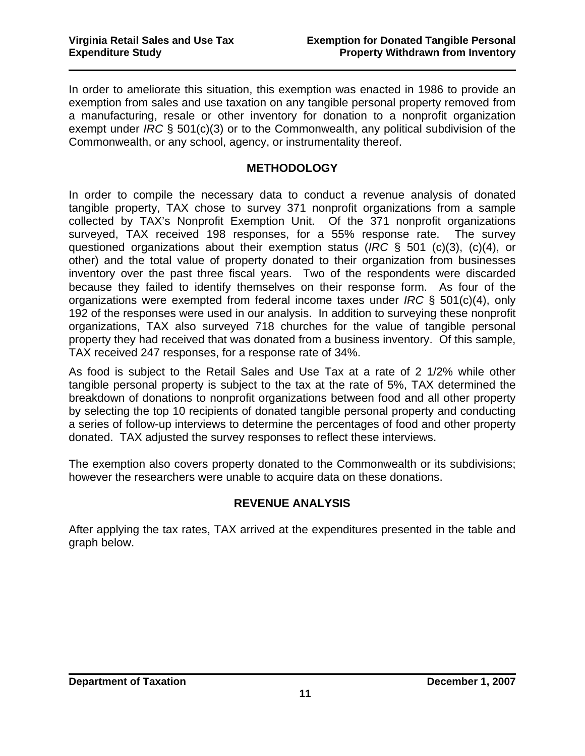In order to ameliorate this situation, this exemption was enacted in 1986 to provide an exemption from sales and use taxation on any tangible personal property removed from a manufacturing, resale or other inventory for donation to a nonprofit organization exempt under *IRC* § 501(c)(3) or to the Commonwealth, any political subdivision of the Commonwealth, or any school, agency, or instrumentality thereof.

 $\mathcal{L}_\text{max}$  and  $\mathcal{L}_\text{max}$  and  $\mathcal{L}_\text{max}$  and  $\mathcal{L}_\text{max}$  and  $\mathcal{L}_\text{max}$  and  $\mathcal{L}_\text{max}$ 

#### **METHODOLOGY**

In order to compile the necessary data to conduct a revenue analysis of donated tangible property, TAX chose to survey 371 nonprofit organizations from a sample collected by TAX's Nonprofit Exemption Unit. Of the 371 nonprofit organizations surveyed, TAX received 198 responses, for a 55% response rate. The survey questioned organizations about their exemption status (*IRC* § 501 (c)(3), (c)(4), or other) and the total value of property donated to their organization from businesses inventory over the past three fiscal years. Two of the respondents were discarded because they failed to identify themselves on their response form. As four of the organizations were exempted from federal income taxes under *IRC* § 501(c)(4), only 192 of the responses were used in our analysis. In addition to surveying these nonprofit organizations, TAX also surveyed 718 churches for the value of tangible personal property they had received that was donated from a business inventory. Of this sample, TAX received 247 responses, for a response rate of 34%.

As food is subject to the Retail Sales and Use Tax at a rate of 2 1/2% while other tangible personal property is subject to the tax at the rate of 5%, TAX determined the breakdown of donations to nonprofit organizations between food and all other property by selecting the top 10 recipients of donated tangible personal property and conducting a series of follow-up interviews to determine the percentages of food and other property donated. TAX adjusted the survey responses to reflect these interviews.

The exemption also covers property donated to the Commonwealth or its subdivisions; however the researchers were unable to acquire data on these donations.

#### **REVENUE ANALYSIS**

After applying the tax rates, TAX arrived at the expenditures presented in the table and graph below.

 $\mathcal{L}_\text{max}$  and  $\mathcal{L}_\text{max}$  and  $\mathcal{L}_\text{max}$  and  $\mathcal{L}_\text{max}$  and  $\mathcal{L}_\text{max}$  and  $\mathcal{L}_\text{max}$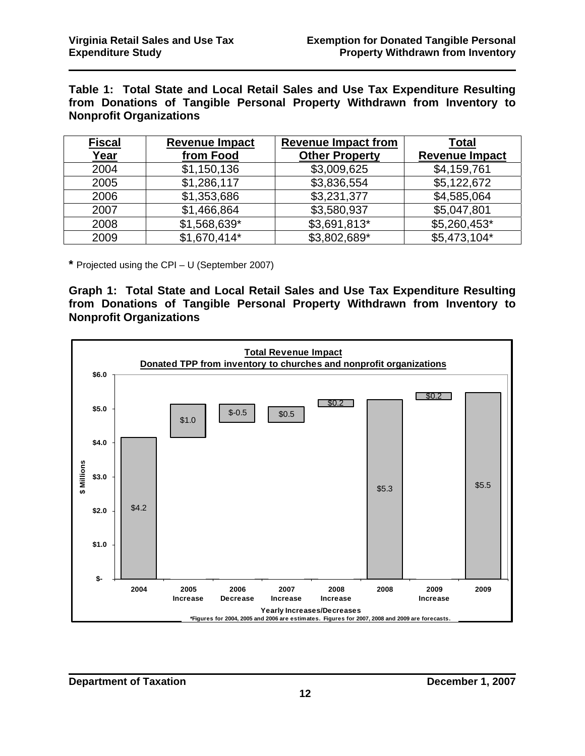**Table 1: Total State and Local Retail Sales and Use Tax Expenditure Resulting from Donations of Tangible Personal Property Withdrawn from Inventory to Nonprofit Organizations** 

 $\mathcal{L}_\text{max}$  and  $\mathcal{L}_\text{max}$  and  $\mathcal{L}_\text{max}$  and  $\mathcal{L}_\text{max}$  and  $\mathcal{L}_\text{max}$  and  $\mathcal{L}_\text{max}$ 

| <b>Fiscal</b> | <b>Revenue Impact</b> | <b>Revenue Impact from</b> | <b>Total</b>   |
|---------------|-----------------------|----------------------------|----------------|
| Year          | from Food             | <b>Other Property</b>      | Revenue Impact |
| 2004          | \$1,150,136           | \$3,009,625                | \$4,159,761    |
| 2005          | \$1,286,117           | \$3,836,554                | \$5,122,672    |
| 2006          | \$1,353,686           | \$3,231,377                | \$4,585,064    |
| 2007          | \$1,466,864           | \$3,580,937                | \$5,047,801    |
| 2008          | \$1,568,639*          | \$3,691,813*               | \$5,260,453*   |
| 2009          | \$1,670,414*          | \$3,802,689*               | \$5,473,104*   |

**\*** Projected using the CPI – U (September 2007)

**Graph 1: Total State and Local Retail Sales and Use Tax Expenditure Resulting from Donations of Tangible Personal Property Withdrawn from Inventory to Nonprofit Organizations** 

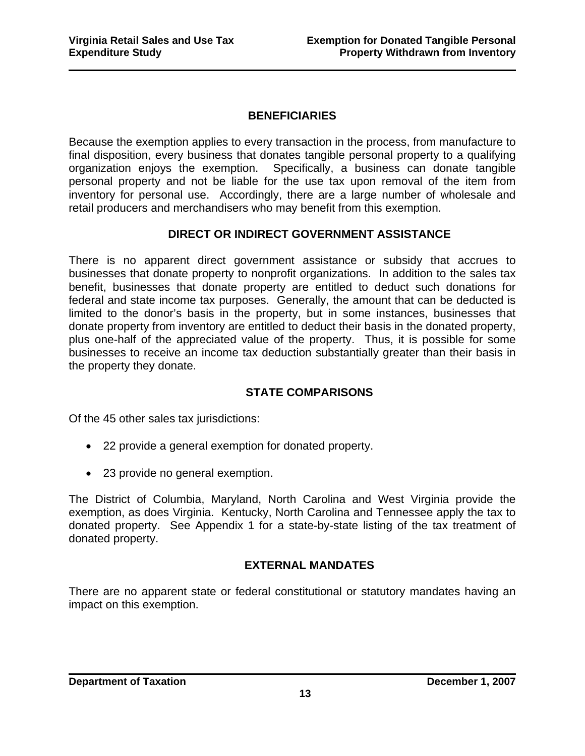#### **BENEFICIARIES**

 $\mathcal{L}_\text{max}$  and  $\mathcal{L}_\text{max}$  and  $\mathcal{L}_\text{max}$  and  $\mathcal{L}_\text{max}$  and  $\mathcal{L}_\text{max}$  and  $\mathcal{L}_\text{max}$ 

Because the exemption applies to every transaction in the process, from manufacture to final disposition, every business that donates tangible personal property to a qualifying organization enjoys the exemption. Specifically, a business can donate tangible personal property and not be liable for the use tax upon removal of the item from inventory for personal use. Accordingly, there are a large number of wholesale and retail producers and merchandisers who may benefit from this exemption.

#### **DIRECT OR INDIRECT GOVERNMENT ASSISTANCE**

There is no apparent direct government assistance or subsidy that accrues to businesses that donate property to nonprofit organizations. In addition to the sales tax benefit, businesses that donate property are entitled to deduct such donations for federal and state income tax purposes. Generally, the amount that can be deducted is limited to the donor's basis in the property, but in some instances, businesses that donate property from inventory are entitled to deduct their basis in the donated property, plus one-half of the appreciated value of the property. Thus, it is possible for some businesses to receive an income tax deduction substantially greater than their basis in the property they donate.

#### **STATE COMPARISONS**

Of the 45 other sales tax jurisdictions:

- 22 provide a general exemption for donated property.
- 23 provide no general exemption.

The District of Columbia, Maryland, North Carolina and West Virginia provide the exemption, as does Virginia. Kentucky, North Carolina and Tennessee apply the tax to donated property. See Appendix 1 for a state-by-state listing of the tax treatment of donated property.

#### **EXTERNAL MANDATES**

There are no apparent state or federal constitutional or statutory mandates having an impact on this exemption.

 $\mathcal{L}_\text{max}$  and  $\mathcal{L}_\text{max}$  and  $\mathcal{L}_\text{max}$  and  $\mathcal{L}_\text{max}$  and  $\mathcal{L}_\text{max}$  and  $\mathcal{L}_\text{max}$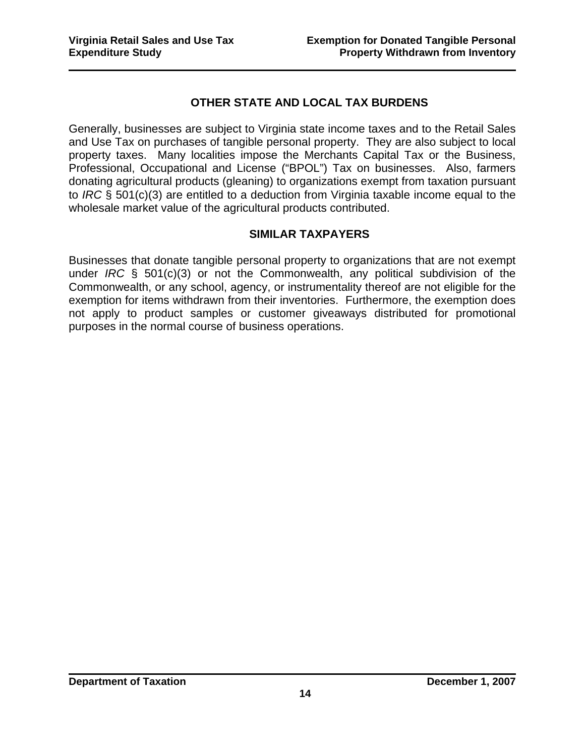#### **OTHER STATE AND LOCAL TAX BURDENS**

Generally, businesses are subject to Virginia state income taxes and to the Retail Sales and Use Tax on purchases of tangible personal property. They are also subject to local property taxes. Many localities impose the Merchants Capital Tax or the Business, Professional, Occupational and License ("BPOL") Tax on businesses. Also, farmers donating agricultural products (gleaning) to organizations exempt from taxation pursuant to *IRC* § 501(c)(3) are entitled to a deduction from Virginia taxable income equal to the wholesale market value of the agricultural products contributed.

 $\mathcal{L}_\text{max}$  and  $\mathcal{L}_\text{max}$  and  $\mathcal{L}_\text{max}$  and  $\mathcal{L}_\text{max}$  and  $\mathcal{L}_\text{max}$  and  $\mathcal{L}_\text{max}$ 

#### **SIMILAR TAXPAYERS**

Businesses that donate tangible personal property to organizations that are not exempt under *IRC* § 501(c)(3) or not the Commonwealth, any political subdivision of the Commonwealth, or any school, agency, or instrumentality thereof are not eligible for the exemption for items withdrawn from their inventories. Furthermore, the exemption does not apply to product samples or customer giveaways distributed for promotional purposes in the normal course of business operations.

 $\mathcal{L}_\text{max}$  and  $\mathcal{L}_\text{max}$  and  $\mathcal{L}_\text{max}$  and  $\mathcal{L}_\text{max}$  and  $\mathcal{L}_\text{max}$  and  $\mathcal{L}_\text{max}$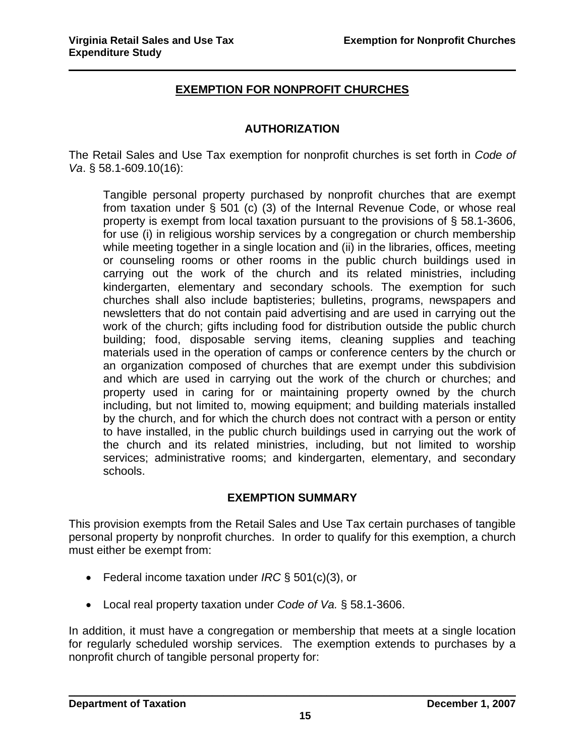#### **EXEMPTION FOR NONPROFIT CHURCHES**

 $\mathcal{L}_\text{max}$  and  $\mathcal{L}_\text{max}$  and  $\mathcal{L}_\text{max}$  and  $\mathcal{L}_\text{max}$  and  $\mathcal{L}_\text{max}$  and  $\mathcal{L}_\text{max}$ 

#### **AUTHORIZATION**

The Retail Sales and Use Tax exemption for nonprofit churches is set forth in *Code of Va*. § 58.1-609.10(16):

Tangible personal property purchased by nonprofit churches that are exempt from taxation under § 501 (c) (3) of the Internal Revenue Code, or whose real property is exempt from local taxation pursuant to the provisions of § 58.1-3606, for use (i) in religious worship services by a congregation or church membership while meeting together in a single location and (ii) in the libraries, offices, meeting or counseling rooms or other rooms in the public church buildings used in carrying out the work of the church and its related ministries, including kindergarten, elementary and secondary schools. The exemption for such churches shall also include baptisteries; bulletins, programs, newspapers and newsletters that do not contain paid advertising and are used in carrying out the work of the church; gifts including food for distribution outside the public church building; food, disposable serving items, cleaning supplies and teaching materials used in the operation of camps or conference centers by the church or an organization composed of churches that are exempt under this subdivision and which are used in carrying out the work of the church or churches; and property used in caring for or maintaining property owned by the church including, but not limited to, mowing equipment; and building materials installed by the church, and for which the church does not contract with a person or entity to have installed, in the public church buildings used in carrying out the work of the church and its related ministries, including, but not limited to worship services; administrative rooms; and kindergarten, elementary, and secondary schools.

#### **EXEMPTION SUMMARY**

This provision exempts from the Retail Sales and Use Tax certain purchases of tangible personal property by nonprofit churches. In order to qualify for this exemption, a church must either be exempt from:

- Federal income taxation under *IRC* § 501(c)(3), or
- Local real property taxation under *Code of Va.* § 58.1-3606.

In addition, it must have a congregation or membership that meets at a single location for regularly scheduled worship services. The exemption extends to purchases by a nonprofit church of tangible personal property for: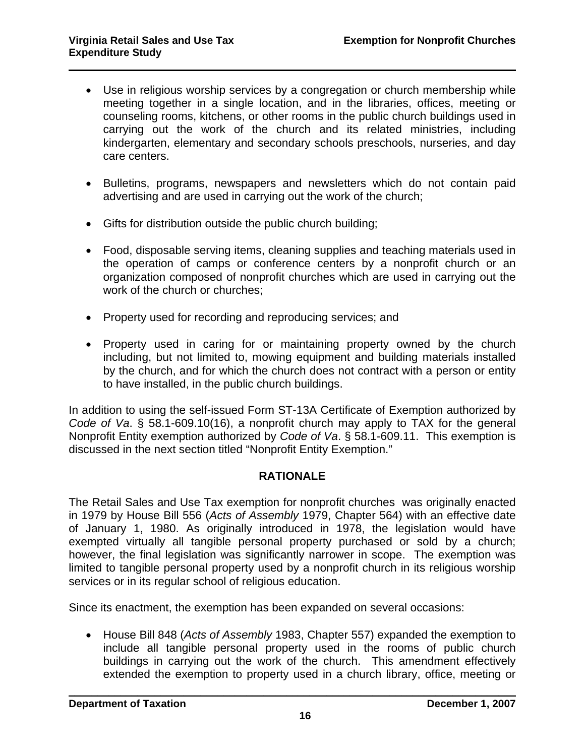• Use in religious worship services by a congregation or church membership while meeting together in a single location, and in the libraries, offices, meeting or counseling rooms, kitchens, or other rooms in the public church buildings used in carrying out the work of the church and its related ministries, including kindergarten, elementary and secondary schools preschools, nurseries, and day care centers.

 $\mathcal{L}_\text{max}$  and  $\mathcal{L}_\text{max}$  and  $\mathcal{L}_\text{max}$  and  $\mathcal{L}_\text{max}$  and  $\mathcal{L}_\text{max}$  and  $\mathcal{L}_\text{max}$ 

- Bulletins, programs, newspapers and newsletters which do not contain paid advertising and are used in carrying out the work of the church;
- Gifts for distribution outside the public church building;
- Food, disposable serving items, cleaning supplies and teaching materials used in the operation of camps or conference centers by a nonprofit church or an organization composed of nonprofit churches which are used in carrying out the work of the church or churches;
- Property used for recording and reproducing services; and
- Property used in caring for or maintaining property owned by the church including, but not limited to, mowing equipment and building materials installed by the church, and for which the church does not contract with a person or entity to have installed, in the public church buildings.

In addition to using the self-issued Form ST-13A Certificate of Exemption authorized by *Code of Va*. § 58.1-609.10(16), a nonprofit church may apply to TAX for the general Nonprofit Entity exemption authorized by *Code of Va*. § 58.1-609.11. This exemption is discussed in the next section titled "Nonprofit Entity Exemption."

#### **RATIONALE**

The Retail Sales and Use Tax exemption for nonprofit churches was originally enacted in 1979 by House Bill 556 (*Acts of Assembly* 1979, Chapter 564) with an effective date of January 1, 1980. As originally introduced in 1978, the legislation would have exempted virtually all tangible personal property purchased or sold by a church; however, the final legislation was significantly narrower in scope. The exemption was limited to tangible personal property used by a nonprofit church in its religious worship services or in its regular school of religious education.

Since its enactment, the exemption has been expanded on several occasions:

• House Bill 848 (*Acts of Assembly* 1983, Chapter 557) expanded the exemption to include all tangible personal property used in the rooms of public church buildings in carrying out the work of the church. This amendment effectively extended the exemption to property used in a church library, office, meeting or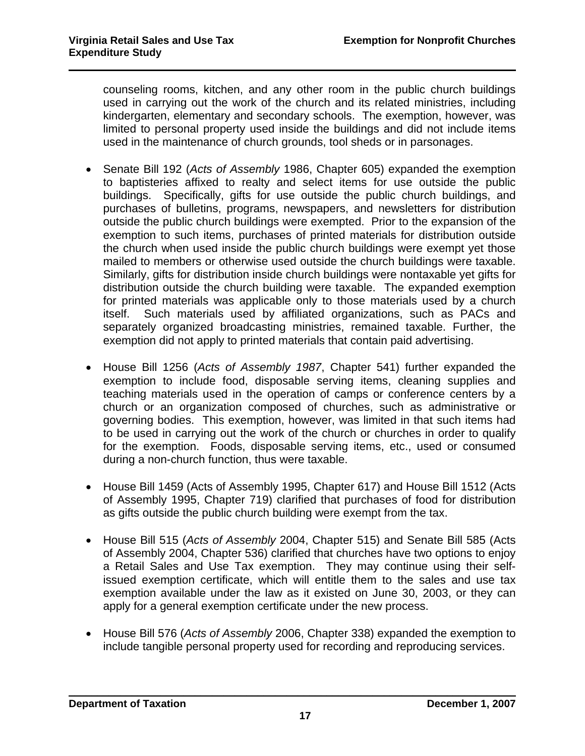counseling rooms, kitchen, and any other room in the public church buildings used in carrying out the work of the church and its related ministries, including kindergarten, elementary and secondary schools. The exemption, however, was limited to personal property used inside the buildings and did not include items used in the maintenance of church grounds, tool sheds or in parsonages.

 $\mathcal{L}_\text{max}$  and  $\mathcal{L}_\text{max}$  and  $\mathcal{L}_\text{max}$  and  $\mathcal{L}_\text{max}$  and  $\mathcal{L}_\text{max}$  and  $\mathcal{L}_\text{max}$ 

- Senate Bill 192 (*Acts of Assembly* 1986, Chapter 605) expanded the exemption to baptisteries affixed to realty and select items for use outside the public buildings. Specifically, gifts for use outside the public church buildings, and purchases of bulletins, programs, newspapers, and newsletters for distribution outside the public church buildings were exempted. Prior to the expansion of the exemption to such items, purchases of printed materials for distribution outside the church when used inside the public church buildings were exempt yet those mailed to members or otherwise used outside the church buildings were taxable. Similarly, gifts for distribution inside church buildings were nontaxable yet gifts for distribution outside the church building were taxable. The expanded exemption for printed materials was applicable only to those materials used by a church itself. Such materials used by affiliated organizations, such as PACs and separately organized broadcasting ministries, remained taxable. Further, the exemption did not apply to printed materials that contain paid advertising.
- House Bill 1256 (*Acts of Assembly 1987*, Chapter 541) further expanded the exemption to include food, disposable serving items, cleaning supplies and teaching materials used in the operation of camps or conference centers by a church or an organization composed of churches, such as administrative or governing bodies. This exemption, however, was limited in that such items had to be used in carrying out the work of the church or churches in order to qualify for the exemption. Foods, disposable serving items, etc., used or consumed during a non-church function, thus were taxable.
- House Bill 1459 (Acts of Assembly 1995, Chapter 617) and House Bill 1512 (Acts of Assembly 1995, Chapter 719) clarified that purchases of food for distribution as gifts outside the public church building were exempt from the tax.
- House Bill 515 (*Acts of Assembly* 2004, Chapter 515) and Senate Bill 585 (Acts of Assembly 2004, Chapter 536) clarified that churches have two options to enjoy a Retail Sales and Use Tax exemption. They may continue using their selfissued exemption certificate, which will entitle them to the sales and use tax exemption available under the law as it existed on June 30, 2003, or they can apply for a general exemption certificate under the new process.
- House Bill 576 (*Acts of Assembly* 2006, Chapter 338) expanded the exemption to include tangible personal property used for recording and reproducing services.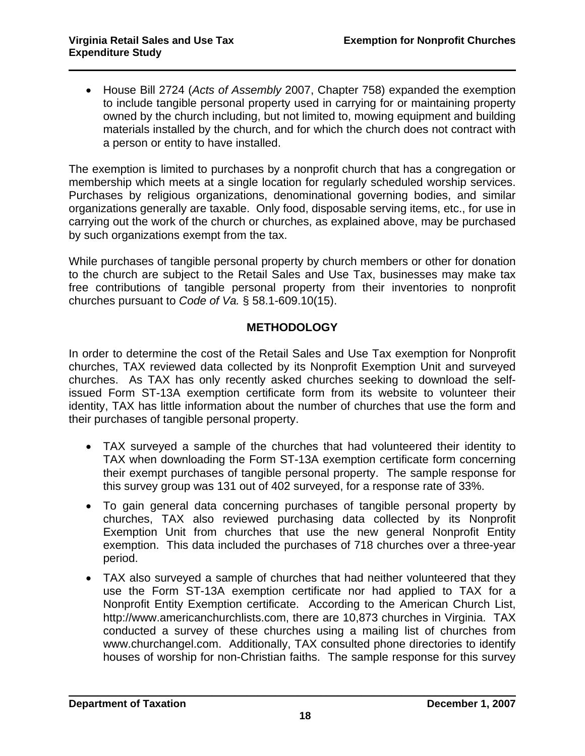• House Bill 2724 (*Acts of Assembly* 2007, Chapter 758) expanded the exemption to include tangible personal property used in carrying for or maintaining property owned by the church including, but not limited to, mowing equipment and building materials installed by the church, and for which the church does not contract with a person or entity to have installed.

 $\mathcal{L}_\text{max}$  and  $\mathcal{L}_\text{max}$  and  $\mathcal{L}_\text{max}$  and  $\mathcal{L}_\text{max}$  and  $\mathcal{L}_\text{max}$  and  $\mathcal{L}_\text{max}$ 

The exemption is limited to purchases by a nonprofit church that has a congregation or membership which meets at a single location for regularly scheduled worship services. Purchases by religious organizations, denominational governing bodies, and similar organizations generally are taxable. Only food, disposable serving items, etc., for use in carrying out the work of the church or churches, as explained above, may be purchased by such organizations exempt from the tax.

While purchases of tangible personal property by church members or other for donation to the church are subject to the Retail Sales and Use Tax, businesses may make tax free contributions of tangible personal property from their inventories to nonprofit churches pursuant to *Code of Va.* § 58.1-609.10(15).

#### **METHODOLOGY**

In order to determine the cost of the Retail Sales and Use Tax exemption for Nonprofit churches, TAX reviewed data collected by its Nonprofit Exemption Unit and surveyed churches. As TAX has only recently asked churches seeking to download the selfissued Form ST-13A exemption certificate form from its website to volunteer their identity, TAX has little information about the number of churches that use the form and their purchases of tangible personal property.

- TAX surveyed a sample of the churches that had volunteered their identity to TAX when downloading the Form ST-13A exemption certificate form concerning their exempt purchases of tangible personal property. The sample response for this survey group was 131 out of 402 surveyed, for a response rate of 33%.
- To gain general data concerning purchases of tangible personal property by churches, TAX also reviewed purchasing data collected by its Nonprofit Exemption Unit from churches that use the new general Nonprofit Entity exemption. This data included the purchases of 718 churches over a three-year period.
- TAX also surveyed a sample of churches that had neither volunteered that they use the Form ST-13A exemption certificate nor had applied to TAX for a Nonprofit Entity Exemption certificate. According to the American Church List, http://www.americanchurchlists.com, there are 10,873 churches in Virginia. TAX conducted a survey of these churches using a mailing list of churches from www.churchangel.com. Additionally, TAX consulted phone directories to identify houses of worship for non-Christian faiths. The sample response for this survey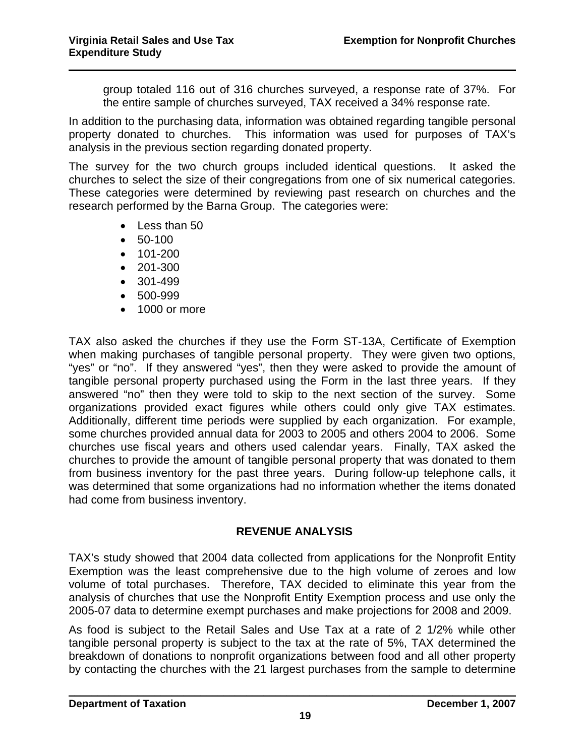group totaled 116 out of 316 churches surveyed, a response rate of 37%. For the entire sample of churches surveyed, TAX received a 34% response rate.

In addition to the purchasing data, information was obtained regarding tangible personal property donated to churches. This information was used for purposes of TAX's analysis in the previous section regarding donated property.

 $\mathcal{L}_\text{max}$  and  $\mathcal{L}_\text{max}$  and  $\mathcal{L}_\text{max}$  and  $\mathcal{L}_\text{max}$  and  $\mathcal{L}_\text{max}$  and  $\mathcal{L}_\text{max}$ 

The survey for the two church groups included identical questions. It asked the churches to select the size of their congregations from one of six numerical categories. These categories were determined by reviewing past research on churches and the research performed by the Barna Group. The categories were:

- Less than 50
- 50-100
- 101-200
- 201-300
- 301-499
- 500-999
- 1000 or more

TAX also asked the churches if they use the Form ST-13A, Certificate of Exemption when making purchases of tangible personal property. They were given two options, "yes" or "no". If they answered "yes", then they were asked to provide the amount of tangible personal property purchased using the Form in the last three years. If they answered "no" then they were told to skip to the next section of the survey. Some organizations provided exact figures while others could only give TAX estimates. Additionally, different time periods were supplied by each organization. For example, some churches provided annual data for 2003 to 2005 and others 2004 to 2006. Some churches use fiscal years and others used calendar years. Finally, TAX asked the churches to provide the amount of tangible personal property that was donated to them from business inventory for the past three years. During follow-up telephone calls, it was determined that some organizations had no information whether the items donated had come from business inventory.

#### **REVENUE ANALYSIS**

TAX's study showed that 2004 data collected from applications for the Nonprofit Entity Exemption was the least comprehensive due to the high volume of zeroes and low volume of total purchases. Therefore, TAX decided to eliminate this year from the analysis of churches that use the Nonprofit Entity Exemption process and use only the 2005-07 data to determine exempt purchases and make projections for 2008 and 2009.

As food is subject to the Retail Sales and Use Tax at a rate of 2 1/2% while other tangible personal property is subject to the tax at the rate of 5%, TAX determined the breakdown of donations to nonprofit organizations between food and all other property by contacting the churches with the 21 largest purchases from the sample to determine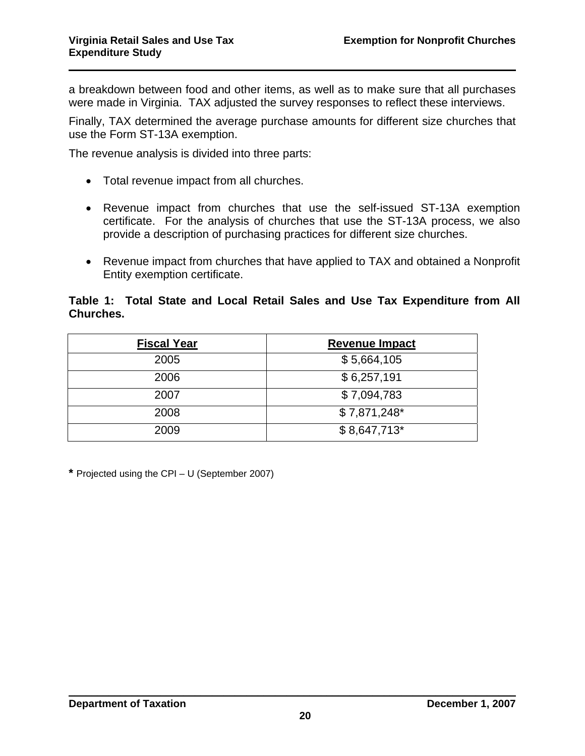a breakdown between food and other items, as well as to make sure that all purchases were made in Virginia. TAX adjusted the survey responses to reflect these interviews.

 $\mathcal{L}_\text{max}$  and  $\mathcal{L}_\text{max}$  and  $\mathcal{L}_\text{max}$  and  $\mathcal{L}_\text{max}$  and  $\mathcal{L}_\text{max}$  and  $\mathcal{L}_\text{max}$ 

Finally, TAX determined the average purchase amounts for different size churches that use the Form ST-13A exemption.

The revenue analysis is divided into three parts:

- Total revenue impact from all churches.
- Revenue impact from churches that use the self-issued ST-13A exemption certificate. For the analysis of churches that use the ST-13A process, we also provide a description of purchasing practices for different size churches.
- Revenue impact from churches that have applied to TAX and obtained a Nonprofit Entity exemption certificate.

#### **Table 1: Total State and Local Retail Sales and Use Tax Expenditure from All Churches.**

| <b>Fiscal Year</b> | <b>Revenue Impact</b> |
|--------------------|-----------------------|
| 2005               | \$5,664,105           |
| 2006               | \$6,257,191           |
| 2007               | \$7,094,783           |
| 2008               | $$7,871,248$ *        |
| 2009               | $$8,647,713$ *        |

**\*** Projected using the CPI – U (September 2007)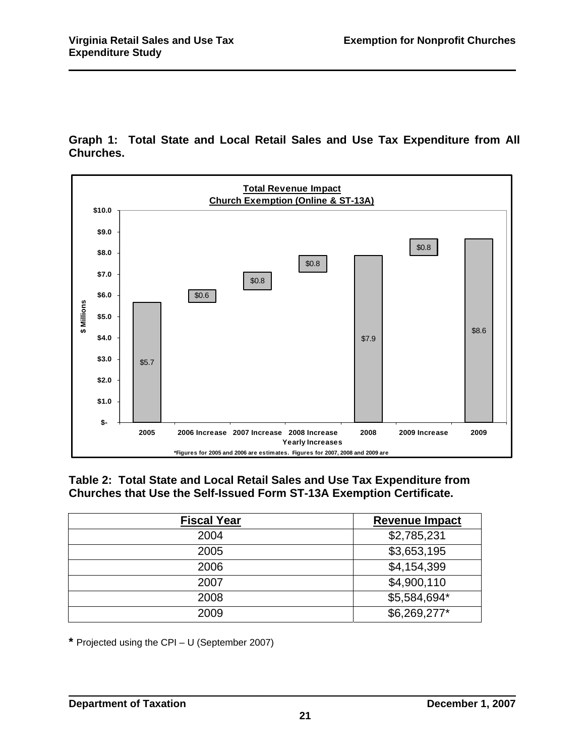**Graph 1: Total State and Local Retail Sales and Use Tax Expenditure from All Churches.**

 $\mathcal{L}_\text{max}$  and  $\mathcal{L}_\text{max}$  and  $\mathcal{L}_\text{max}$  and  $\mathcal{L}_\text{max}$  and  $\mathcal{L}_\text{max}$  and  $\mathcal{L}_\text{max}$ 



#### **Table 2: Total State and Local Retail Sales and Use Tax Expenditure from Churches that Use the Self-Issued Form ST-13A Exemption Certificate.**

| <b>Fiscal Year</b> | <b>Revenue Impact</b> |
|--------------------|-----------------------|
| 2004               | \$2,785,231           |
| 2005               | \$3,653,195           |
| 2006               | \$4,154,399           |
| 2007               | \$4,900,110           |
| 2008               | \$5,584,694*          |
| 2009               | $$6,269,277$ *        |

**\*** Projected using the CPI – U (September 2007)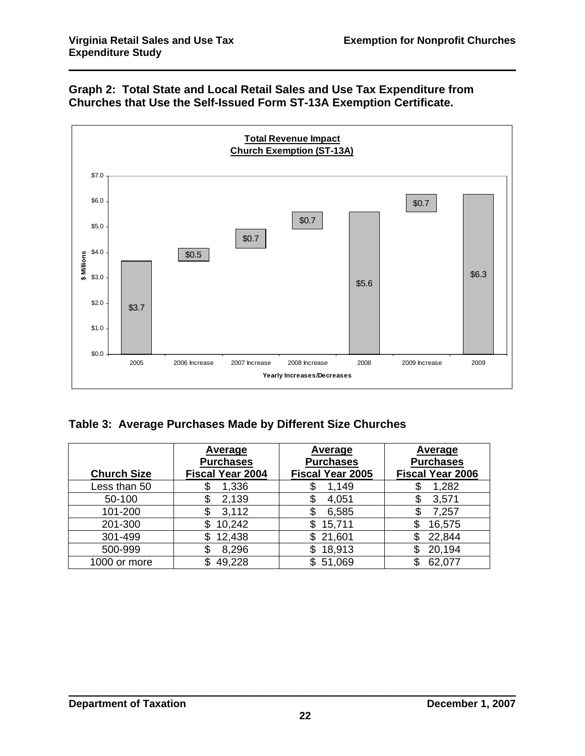



|  | Table 3: Average Purchases Made by Different Size Churches |  |  |  |  |
|--|------------------------------------------------------------|--|--|--|--|
|--|------------------------------------------------------------|--|--|--|--|

| <b>Church Size</b> | <b>Average</b><br><b>Purchases</b><br><b>Fiscal Year 2004</b> | <b>Average</b><br><b>Purchases</b><br><b>Fiscal Year 2005</b> | <b>Average</b><br><b>Purchases</b><br><b>Fiscal Year 2006</b> |
|--------------------|---------------------------------------------------------------|---------------------------------------------------------------|---------------------------------------------------------------|
| Less than 50       | 1,336                                                         | 1,149                                                         | 1,282                                                         |
| 50-100             | 2,139                                                         | 4,051                                                         | 3,571                                                         |
| 101-200            | 3,112                                                         | 6,585                                                         | 7,257                                                         |
| 201-300            | 10,242                                                        | 15,711                                                        | 16,575                                                        |
| 301-499            | 12,438                                                        | \$21,601                                                      | 22,844                                                        |
| 500-999            | 8,296                                                         | 18,913                                                        | 20,194                                                        |
| 1000 or more       | 49,228                                                        | 51,069                                                        | 62,077                                                        |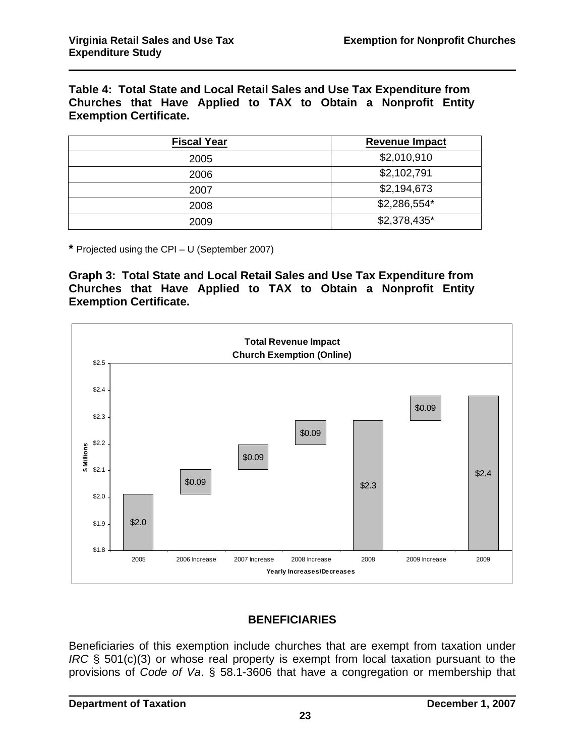**Table 4: Total State and Local Retail Sales and Use Tax Expenditure from Churches that Have Applied to TAX to Obtain a Nonprofit Entity Exemption Certificate.** 

 $\mathcal{L}_\text{max}$  and  $\mathcal{L}_\text{max}$  and  $\mathcal{L}_\text{max}$  and  $\mathcal{L}_\text{max}$  and  $\mathcal{L}_\text{max}$  and  $\mathcal{L}_\text{max}$ 

| <b>Fiscal Year</b> | <b>Revenue Impact</b> |
|--------------------|-----------------------|
| 2005               | \$2,010,910           |
| 2006               | \$2,102,791           |
| 2007               | \$2,194,673           |
| 2008               | \$2,286,554*          |
| 2009               | \$2,378,435*          |

**\*** Projected using the CPI – U (September 2007)

**Graph 3: Total State and Local Retail Sales and Use Tax Expenditure from Churches that Have Applied to TAX to Obtain a Nonprofit Entity Exemption Certificate.** 



## **BENEFICIARIES**

Beneficiaries of this exemption include churches that are exempt from taxation under *IRC* § 501(c)(3) or whose real property is exempt from local taxation pursuant to the provisions of *Code of Va*. § 58.1-3606 that have a congregation or membership that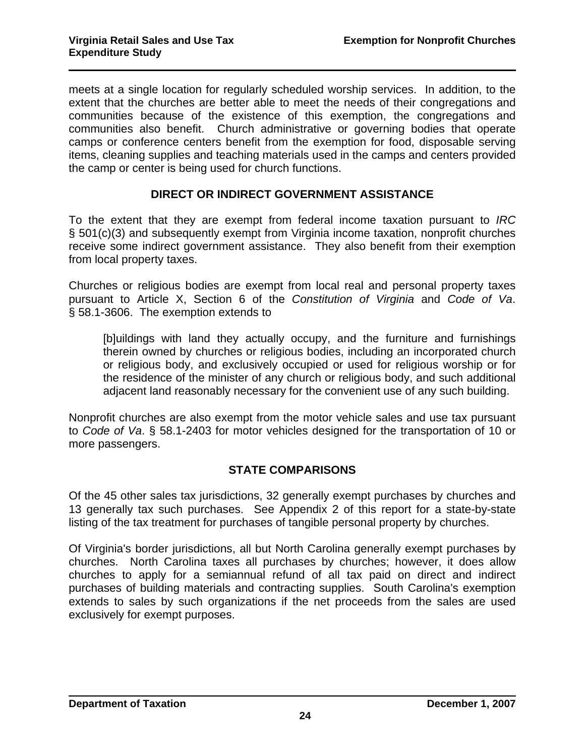meets at a single location for regularly scheduled worship services. In addition, to the extent that the churches are better able to meet the needs of their congregations and communities because of the existence of this exemption, the congregations and communities also benefit. Church administrative or governing bodies that operate camps or conference centers benefit from the exemption for food, disposable serving items, cleaning supplies and teaching materials used in the camps and centers provided the camp or center is being used for church functions.

 $\mathcal{L}_\text{max}$  and  $\mathcal{L}_\text{max}$  and  $\mathcal{L}_\text{max}$  and  $\mathcal{L}_\text{max}$  and  $\mathcal{L}_\text{max}$  and  $\mathcal{L}_\text{max}$ 

#### **DIRECT OR INDIRECT GOVERNMENT ASSISTANCE**

To the extent that they are exempt from federal income taxation pursuant to *IRC* § 501(c)(3) and subsequently exempt from Virginia income taxation, nonprofit churches receive some indirect government assistance. They also benefit from their exemption from local property taxes.

Churches or religious bodies are exempt from local real and personal property taxes pursuant to Article X, Section 6 of the *Constitution of Virginia* and *Code of Va*. § 58.1-3606. The exemption extends to

[b]uildings with land they actually occupy, and the furniture and furnishings therein owned by churches or religious bodies, including an incorporated church or religious body, and exclusively occupied or used for religious worship or for the residence of the minister of any church or religious body, and such additional adjacent land reasonably necessary for the convenient use of any such building.

Nonprofit churches are also exempt from the motor vehicle sales and use tax pursuant to *Code of Va*. § 58.1-2403 for motor vehicles designed for the transportation of 10 or more passengers.

#### **STATE COMPARISONS**

Of the 45 other sales tax jurisdictions, 32 generally exempt purchases by churches and 13 generally tax such purchases. See Appendix 2 of this report for a state-by-state listing of the tax treatment for purchases of tangible personal property by churches.

Of Virginia's border jurisdictions, all but North Carolina generally exempt purchases by churches. North Carolina taxes all purchases by churches; however, it does allow churches to apply for a semiannual refund of all tax paid on direct and indirect purchases of building materials and contracting supplies. South Carolina's exemption extends to sales by such organizations if the net proceeds from the sales are used exclusively for exempt purposes.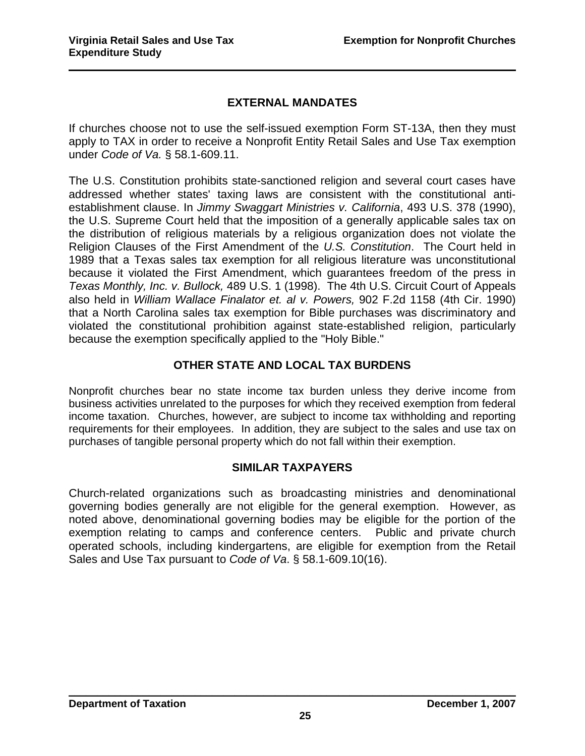#### **EXTERNAL MANDATES**

 $\mathcal{L}_\text{max}$  and  $\mathcal{L}_\text{max}$  and  $\mathcal{L}_\text{max}$  and  $\mathcal{L}_\text{max}$  and  $\mathcal{L}_\text{max}$  and  $\mathcal{L}_\text{max}$ 

If churches choose not to use the self-issued exemption Form ST-13A, then they must apply to TAX in order to receive a Nonprofit Entity Retail Sales and Use Tax exemption under *Code of Va.* § 58.1-609.11.

The U.S. Constitution prohibits state-sanctioned religion and several court cases have addressed whether states' taxing laws are consistent with the constitutional antiestablishment clause. In *Jimmy Swaggart Ministries v. California*, 493 U.S. 378 (1990), the U.S. Supreme Court held that the imposition of a generally applicable sales tax on the distribution of religious materials by a religious organization does not violate the Religion Clauses of the First Amendment of the *U.S. Constitution*. The Court held in 1989 that a Texas sales tax exemption for all religious literature was unconstitutional because it violated the First Amendment, which guarantees freedom of the press in *Texas Monthly, Inc. v. Bullock,* 489 U.S. 1 (1998). The 4th U.S. Circuit Court of Appeals also held in *William Wallace Finalator et. al v. Powers,* 902 F.2d 1158 (4th Cir. 1990) that a North Carolina sales tax exemption for Bible purchases was discriminatory and violated the constitutional prohibition against state-established religion, particularly because the exemption specifically applied to the "Holy Bible."

#### **OTHER STATE AND LOCAL TAX BURDENS**

Nonprofit churches bear no state income tax burden unless they derive income from business activities unrelated to the purposes for which they received exemption from federal income taxation. Churches, however, are subject to income tax withholding and reporting requirements for their employees. In addition, they are subject to the sales and use tax on purchases of tangible personal property which do not fall within their exemption.

#### **SIMILAR TAXPAYERS**

Church-related organizations such as broadcasting ministries and denominational governing bodies generally are not eligible for the general exemption. However, as noted above, denominational governing bodies may be eligible for the portion of the exemption relating to camps and conference centers. Public and private church operated schools, including kindergartens, are eligible for exemption from the Retail Sales and Use Tax pursuant to *Code of Va*. § 58.1-609.10(16).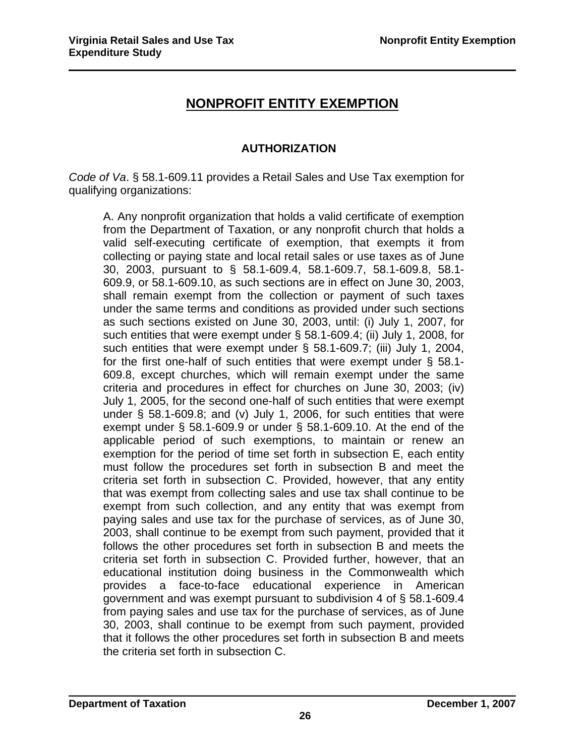# **NONPROFIT ENTITY EXEMPTION**

 $\mathcal{L}_\mathcal{L} = \mathcal{L}_\mathcal{L} = \mathcal{L}_\mathcal{L} = \mathcal{L}_\mathcal{L} = \mathcal{L}_\mathcal{L} = \mathcal{L}_\mathcal{L} = \mathcal{L}_\mathcal{L} = \mathcal{L}_\mathcal{L} = \mathcal{L}_\mathcal{L} = \mathcal{L}_\mathcal{L} = \mathcal{L}_\mathcal{L} = \mathcal{L}_\mathcal{L} = \mathcal{L}_\mathcal{L} = \mathcal{L}_\mathcal{L} = \mathcal{L}_\mathcal{L} = \mathcal{L}_\mathcal{L} = \mathcal{L}_\mathcal{L}$ 

# **AUTHORIZATION**

*Code of Va*. § 58.1-609.11 provides a Retail Sales and Use Tax exemption for qualifying organizations:

A. Any nonprofit organization that holds a valid certificate of exemption from the Department of Taxation, or any nonprofit church that holds a valid self-executing certificate of exemption, that exempts it from collecting or paying state and local retail sales or use taxes as of June 30, 2003, pursuant to § 58.1-609.4, 58.1-609.7, 58.1-609.8, 58.1- 609.9, or 58.1-609.10, as such sections are in effect on June 30, 2003, shall remain exempt from the collection or payment of such taxes under the same terms and conditions as provided under such sections as such sections existed on June 30, 2003, until: (i) July 1, 2007, for such entities that were exempt under § 58.1-609.4; (ii) July 1, 2008, for such entities that were exempt under § 58.1-609.7; (iii) July 1, 2004, for the first one-half of such entities that were exempt under § 58.1- 609.8, except churches, which will remain exempt under the same criteria and procedures in effect for churches on June 30, 2003; (iv) July 1, 2005, for the second one-half of such entities that were exempt under § 58.1-609.8; and (v) July 1, 2006, for such entities that were exempt under § 58.1-609.9 or under § 58.1-609.10. At the end of the applicable period of such exemptions, to maintain or renew an exemption for the period of time set forth in subsection E, each entity must follow the procedures set forth in subsection B and meet the criteria set forth in subsection C. Provided, however, that any entity that was exempt from collecting sales and use tax shall continue to be exempt from such collection, and any entity that was exempt from paying sales and use tax for the purchase of services, as of June 30, 2003, shall continue to be exempt from such payment, provided that it follows the other procedures set forth in subsection B and meets the criteria set forth in subsection C. Provided further, however, that an educational institution doing business in the Commonwealth which provides a face-to-face educational experience in American government and was exempt pursuant to subdivision 4 of § 58.1-609.4 from paying sales and use tax for the purchase of services, as of June 30, 2003, shall continue to be exempt from such payment, provided that it follows the other procedures set forth in subsection B and meets the criteria set forth in subsection C.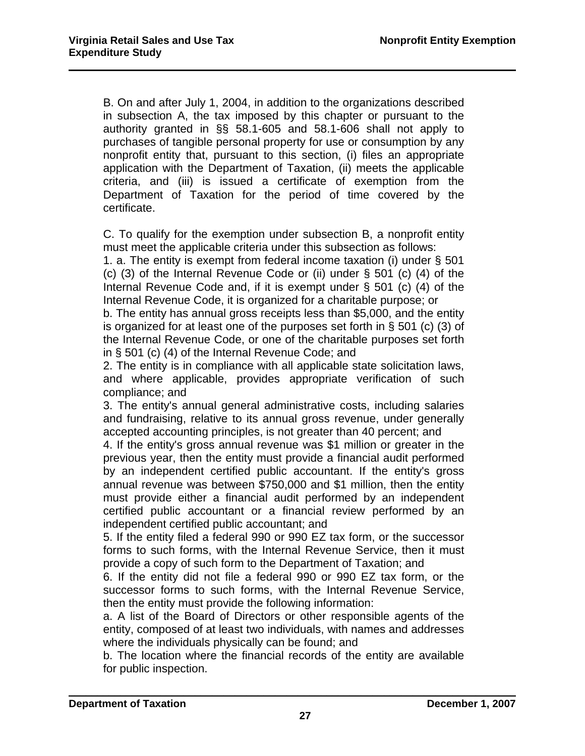B. On and after July 1, 2004, in addition to the organizations described in subsection A, the tax imposed by this chapter or pursuant to the authority granted in §§ 58.1-605 and 58.1-606 shall not apply to purchases of tangible personal property for use or consumption by any nonprofit entity that, pursuant to this section, (i) files an appropriate application with the Department of Taxation, (ii) meets the applicable criteria, and (iii) is issued a certificate of exemption from the Department of Taxation for the period of time covered by the certificate.

 $\mathcal{L}_\text{max}$  and  $\mathcal{L}_\text{max}$  and  $\mathcal{L}_\text{max}$  and  $\mathcal{L}_\text{max}$  and  $\mathcal{L}_\text{max}$  and  $\mathcal{L}_\text{max}$ 

C. To qualify for the exemption under subsection B, a nonprofit entity must meet the applicable criteria under this subsection as follows:

1. a. The entity is exempt from federal income taxation (i) under § 501 (c) (3) of the Internal Revenue Code or (ii) under § 501 (c) (4) of the Internal Revenue Code and, if it is exempt under § 501 (c) (4) of the Internal Revenue Code, it is organized for a charitable purpose; or

b. The entity has annual gross receipts less than \$5,000, and the entity is organized for at least one of the purposes set forth in § 501 (c) (3) of the Internal Revenue Code, or one of the charitable purposes set forth in § 501 (c) (4) of the Internal Revenue Code; and

2. The entity is in compliance with all applicable state solicitation laws, and where applicable, provides appropriate verification of such compliance; and

3. The entity's annual general administrative costs, including salaries and fundraising, relative to its annual gross revenue, under generally accepted accounting principles, is not greater than 40 percent; and

4. If the entity's gross annual revenue was \$1 million or greater in the previous year, then the entity must provide a financial audit performed by an independent certified public accountant. If the entity's gross annual revenue was between \$750,000 and \$1 million, then the entity must provide either a financial audit performed by an independent certified public accountant or a financial review performed by an independent certified public accountant; and

5. If the entity filed a federal 990 or 990 EZ tax form, or the successor forms to such forms, with the Internal Revenue Service, then it must provide a copy of such form to the Department of Taxation; and

6. If the entity did not file a federal 990 or 990 EZ tax form, or the successor forms to such forms, with the Internal Revenue Service, then the entity must provide the following information:

a. A list of the Board of Directors or other responsible agents of the entity, composed of at least two individuals, with names and addresses where the individuals physically can be found; and

b. The location where the financial records of the entity are available for public inspection.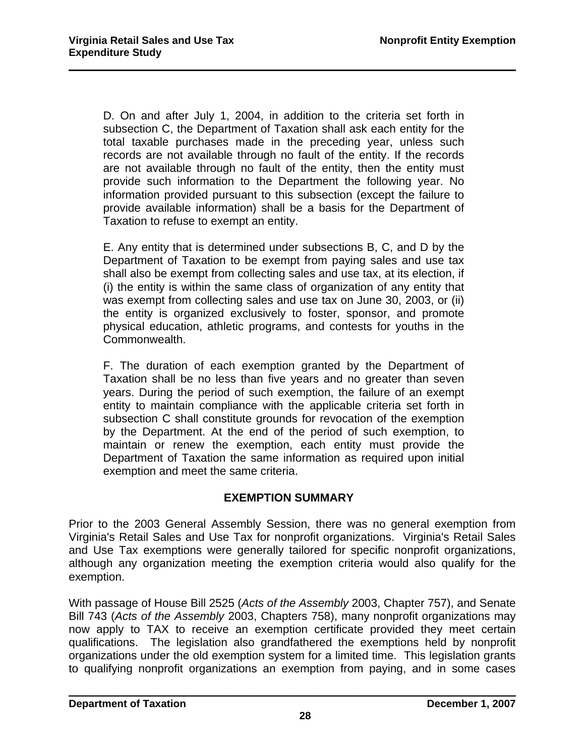D. On and after July 1, 2004, in addition to the criteria set forth in subsection C, the Department of Taxation shall ask each entity for the total taxable purchases made in the preceding year, unless such records are not available through no fault of the entity. If the records are not available through no fault of the entity, then the entity must provide such information to the Department the following year. No information provided pursuant to this subsection (except the failure to provide available information) shall be a basis for the Department of Taxation to refuse to exempt an entity.

 $\mathcal{L}_\text{max}$  and  $\mathcal{L}_\text{max}$  and  $\mathcal{L}_\text{max}$  and  $\mathcal{L}_\text{max}$  and  $\mathcal{L}_\text{max}$  and  $\mathcal{L}_\text{max}$ 

E. Any entity that is determined under subsections B, C, and D by the Department of Taxation to be exempt from paying sales and use tax shall also be exempt from collecting sales and use tax, at its election, if (i) the entity is within the same class of organization of any entity that was exempt from collecting sales and use tax on June 30, 2003, or (ii) the entity is organized exclusively to foster, sponsor, and promote physical education, athletic programs, and contests for youths in the Commonwealth.

F. The duration of each exemption granted by the Department of Taxation shall be no less than five years and no greater than seven years. During the period of such exemption, the failure of an exempt entity to maintain compliance with the applicable criteria set forth in subsection C shall constitute grounds for revocation of the exemption by the Department. At the end of the period of such exemption, to maintain or renew the exemption, each entity must provide the Department of Taxation the same information as required upon initial exemption and meet the same criteria.

#### **EXEMPTION SUMMARY**

Prior to the 2003 General Assembly Session, there was no general exemption from Virginia's Retail Sales and Use Tax for nonprofit organizations. Virginia's Retail Sales and Use Tax exemptions were generally tailored for specific nonprofit organizations, although any organization meeting the exemption criteria would also qualify for the exemption.

With passage of House Bill 2525 (*Acts of the Assembly* 2003, Chapter 757), and Senate Bill 743 (*Acts of the Assembly* 2003, Chapters 758), many nonprofit organizations may now apply to TAX to receive an exemption certificate provided they meet certain qualifications. The legislation also grandfathered the exemptions held by nonprofit organizations under the old exemption system for a limited time. This legislation grants to qualifying nonprofit organizations an exemption from paying, and in some cases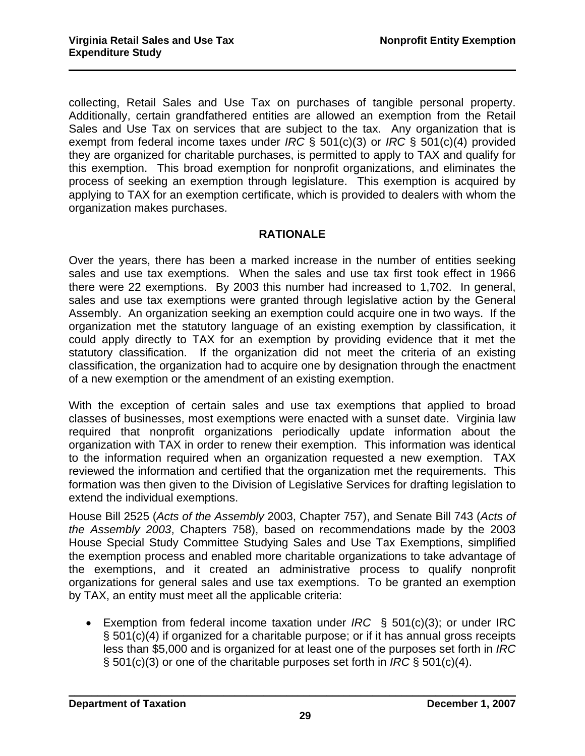collecting, Retail Sales and Use Tax on purchases of tangible personal property. Additionally, certain grandfathered entities are allowed an exemption from the Retail Sales and Use Tax on services that are subject to the tax. Any organization that is exempt from federal income taxes under *IRC* § 501(c)(3) or *IRC* § 501(c)(4) provided they are organized for charitable purchases, is permitted to apply to TAX and qualify for this exemption. This broad exemption for nonprofit organizations, and eliminates the process of seeking an exemption through legislature. This exemption is acquired by applying to TAX for an exemption certificate, which is provided to dealers with whom the organization makes purchases.

 $\mathcal{L}_\text{max}$  and  $\mathcal{L}_\text{max}$  and  $\mathcal{L}_\text{max}$  and  $\mathcal{L}_\text{max}$  and  $\mathcal{L}_\text{max}$  and  $\mathcal{L}_\text{max}$ 

#### **RATIONALE**

Over the years, there has been a marked increase in the number of entities seeking sales and use tax exemptions. When the sales and use tax first took effect in 1966 there were 22 exemptions. By 2003 this number had increased to 1,702. In general, sales and use tax exemptions were granted through legislative action by the General Assembly. An organization seeking an exemption could acquire one in two ways. If the organization met the statutory language of an existing exemption by classification, it could apply directly to TAX for an exemption by providing evidence that it met the statutory classification. If the organization did not meet the criteria of an existing classification, the organization had to acquire one by designation through the enactment of a new exemption or the amendment of an existing exemption.

With the exception of certain sales and use tax exemptions that applied to broad classes of businesses, most exemptions were enacted with a sunset date. Virginia law required that nonprofit organizations periodically update information about the organization with TAX in order to renew their exemption. This information was identical to the information required when an organization requested a new exemption. TAX reviewed the information and certified that the organization met the requirements. This formation was then given to the Division of Legislative Services for drafting legislation to extend the individual exemptions.

House Bill 2525 (*Acts of the Assembly* 2003, Chapter 757), and Senate Bill 743 (*Acts of the Assembly 2003*, Chapters 758), based on recommendations made by the 2003 House Special Study Committee Studying Sales and Use Tax Exemptions, simplified the exemption process and enabled more charitable organizations to take advantage of the exemptions, and it created an administrative process to qualify nonprofit organizations for general sales and use tax exemptions. To be granted an exemption by TAX, an entity must meet all the applicable criteria:

• Exemption from federal income taxation under *IRC* § 501(c)(3); or under IRC § 501(c)(4) if organized for a charitable purpose; or if it has annual gross receipts less than \$5,000 and is organized for at least one of the purposes set forth in *IRC* § 501(c)(3) or one of the charitable purposes set forth in *IRC* § 501(c)(4).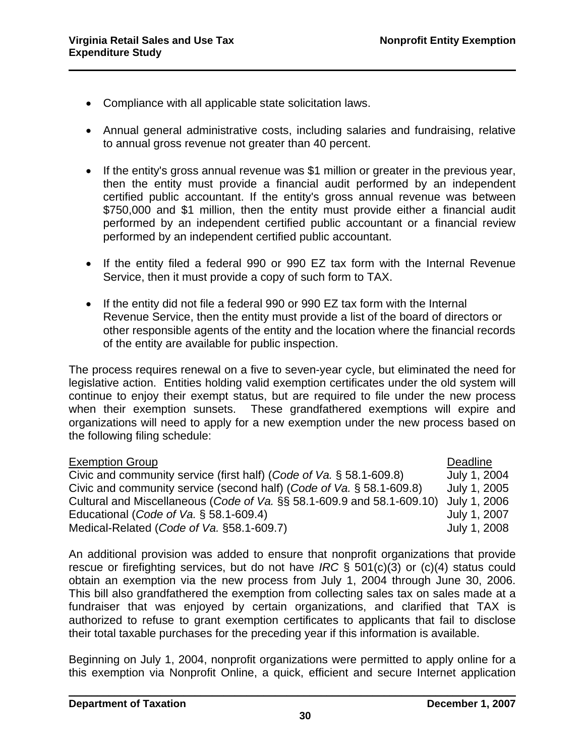- Compliance with all applicable state solicitation laws.
- Annual general administrative costs, including salaries and fundraising, relative to annual gross revenue not greater than 40 percent.

 $\mathcal{L}_\text{max}$  and  $\mathcal{L}_\text{max}$  and  $\mathcal{L}_\text{max}$  and  $\mathcal{L}_\text{max}$  and  $\mathcal{L}_\text{max}$  and  $\mathcal{L}_\text{max}$ 

- If the entity's gross annual revenue was \$1 million or greater in the previous year, then the entity must provide a financial audit performed by an independent certified public accountant. If the entity's gross annual revenue was between \$750,000 and \$1 million, then the entity must provide either a financial audit performed by an independent certified public accountant or a financial review performed by an independent certified public accountant.
- If the entity filed a federal 990 or 990 EZ tax form with the Internal Revenue Service, then it must provide a copy of such form to TAX.
- If the entity did not file a federal 990 or 990 EZ tax form with the Internal Revenue Service, then the entity must provide a list of the board of directors or other responsible agents of the entity and the location where the financial records of the entity are available for public inspection.

The process requires renewal on a five to seven-year cycle, but eliminated the need for legislative action. Entities holding valid exemption certificates under the old system will continue to enjoy their exempt status, but are required to file under the new process when their exemption sunsets. These grandfathered exemptions will expire and organizations will need to apply for a new exemption under the new process based on the following filing schedule:

| <b>Exemption Group</b>                                                              | Deadline     |
|-------------------------------------------------------------------------------------|--------------|
| Civic and community service (first half) (Code of Va. § 58.1-609.8)                 | July 1, 2004 |
| Civic and community service (second half) (Code of Va. § 58.1-609.8)                | July 1, 2005 |
| Cultural and Miscellaneous (Code of Va. §§ 58.1-609.9 and 58.1-609.10) July 1, 2006 |              |
| Educational (Code of Va. § 58.1-609.4)                                              | July 1, 2007 |
| Medical-Related (Code of Va. §58.1-609.7)                                           | July 1, 2008 |

An additional provision was added to ensure that nonprofit organizations that provide rescue or firefighting services, but do not have *IRC* § 501(c)(3) or (c)(4) status could obtain an exemption via the new process from July 1, 2004 through June 30, 2006. This bill also grandfathered the exemption from collecting sales tax on sales made at a fundraiser that was enjoyed by certain organizations, and clarified that TAX is authorized to refuse to grant exemption certificates to applicants that fail to disclose their total taxable purchases for the preceding year if this information is available.

Beginning on July 1, 2004, nonprofit organizations were permitted to apply online for a this exemption via Nonprofit Online, a quick, efficient and secure Internet application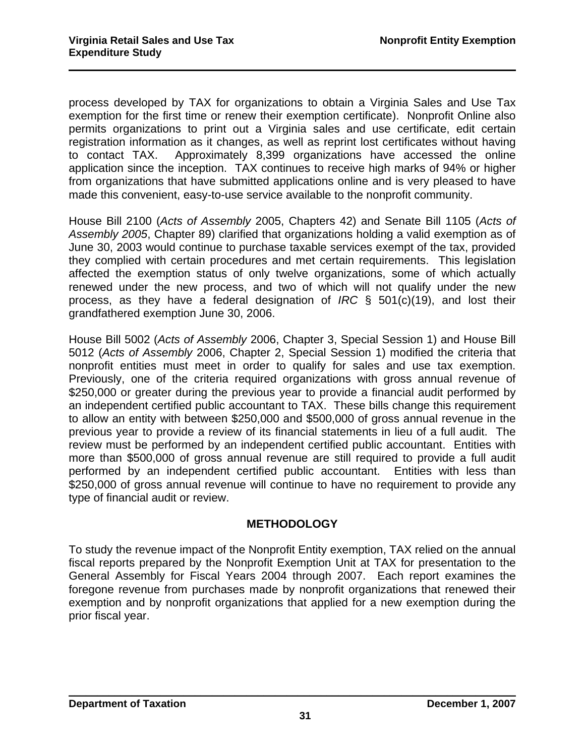process developed by TAX for organizations to obtain a Virginia Sales and Use Tax exemption for the first time or renew their exemption certificate). Nonprofit Online also permits organizations to print out a Virginia sales and use certificate, edit certain registration information as it changes, as well as reprint lost certificates without having to contact TAX. Approximately 8,399 organizations have accessed the online application since the inception. TAX continues to receive high marks of 94% or higher from organizations that have submitted applications online and is very pleased to have made this convenient, easy-to-use service available to the nonprofit community.

 $\mathcal{L}_\text{max}$  and  $\mathcal{L}_\text{max}$  and  $\mathcal{L}_\text{max}$  and  $\mathcal{L}_\text{max}$  and  $\mathcal{L}_\text{max}$  and  $\mathcal{L}_\text{max}$ 

House Bill 2100 (*Acts of Assembly* 2005, Chapters 42) and Senate Bill 1105 (*Acts of Assembly 2005*, Chapter 89) clarified that organizations holding a valid exemption as of June 30, 2003 would continue to purchase taxable services exempt of the tax, provided they complied with certain procedures and met certain requirements. This legislation affected the exemption status of only twelve organizations, some of which actually renewed under the new process, and two of which will not qualify under the new process, as they have a federal designation of *IRC* § 501(c)(19), and lost their grandfathered exemption June 30, 2006.

House Bill 5002 (*Acts of Assembly* 2006, Chapter 3, Special Session 1) and House Bill 5012 (*Acts of Assembly* 2006, Chapter 2, Special Session 1) modified the criteria that nonprofit entities must meet in order to qualify for sales and use tax exemption. Previously, one of the criteria required organizations with gross annual revenue of \$250,000 or greater during the previous year to provide a financial audit performed by an independent certified public accountant to TAX. These bills change this requirement to allow an entity with between \$250,000 and \$500,000 of gross annual revenue in the previous year to provide a review of its financial statements in lieu of a full audit. The review must be performed by an independent certified public accountant. Entities with more than \$500,000 of gross annual revenue are still required to provide a full audit performed by an independent certified public accountant. Entities with less than \$250,000 of gross annual revenue will continue to have no requirement to provide any type of financial audit or review.

# **METHODOLOGY**

To study the revenue impact of the Nonprofit Entity exemption, TAX relied on the annual fiscal reports prepared by the Nonprofit Exemption Unit at TAX for presentation to the General Assembly for Fiscal Years 2004 through 2007. Each report examines the foregone revenue from purchases made by nonprofit organizations that renewed their exemption and by nonprofit organizations that applied for a new exemption during the prior fiscal year.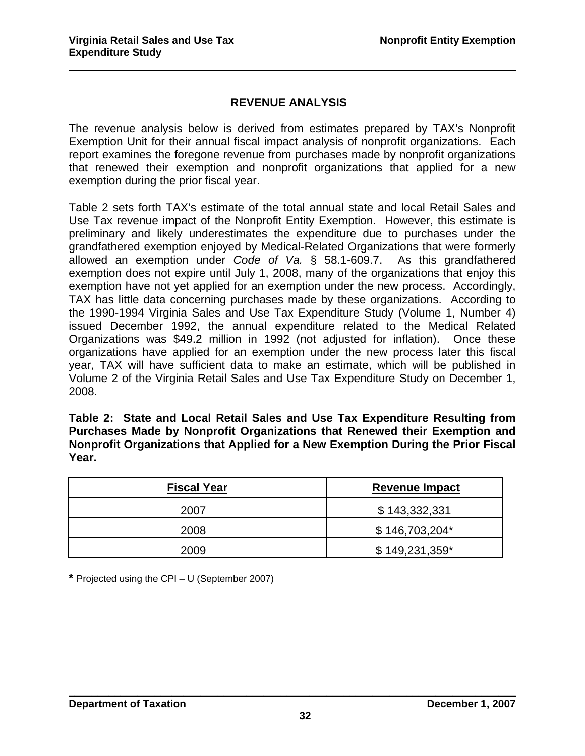### **REVENUE ANALYSIS**

 $\mathcal{L}_\text{max}$  and  $\mathcal{L}_\text{max}$  and  $\mathcal{L}_\text{max}$  and  $\mathcal{L}_\text{max}$  and  $\mathcal{L}_\text{max}$  and  $\mathcal{L}_\text{max}$ 

The revenue analysis below is derived from estimates prepared by TAX's Nonprofit Exemption Unit for their annual fiscal impact analysis of nonprofit organizations. Each report examines the foregone revenue from purchases made by nonprofit organizations that renewed their exemption and nonprofit organizations that applied for a new exemption during the prior fiscal year.

Table 2 sets forth TAX's estimate of the total annual state and local Retail Sales and Use Tax revenue impact of the Nonprofit Entity Exemption. However, this estimate is preliminary and likely underestimates the expenditure due to purchases under the grandfathered exemption enjoyed by Medical-Related Organizations that were formerly allowed an exemption under *Code of Va.* § 58.1-609.7. As this grandfathered exemption does not expire until July 1, 2008, many of the organizations that enjoy this exemption have not yet applied for an exemption under the new process. Accordingly, TAX has little data concerning purchases made by these organizations. According to the 1990-1994 Virginia Sales and Use Tax Expenditure Study (Volume 1, Number 4) issued December 1992, the annual expenditure related to the Medical Related Organizations was \$49.2 million in 1992 (not adjusted for inflation). Once these organizations have applied for an exemption under the new process later this fiscal year, TAX will have sufficient data to make an estimate, which will be published in Volume 2 of the Virginia Retail Sales and Use Tax Expenditure Study on December 1, 2008.

**Table 2: State and Local Retail Sales and Use Tax Expenditure Resulting from Purchases Made by Nonprofit Organizations that Renewed their Exemption and Nonprofit Organizations that Applied for a New Exemption During the Prior Fiscal Year.** 

| <b>Fiscal Year</b> | <b>Revenue Impact</b> |
|--------------------|-----------------------|
| 2007               | \$143,332,331         |
| 2008               | $$146,703,204*$       |
| 2009               | $$149,231,359*$       |

**\*** Projected using the CPI – U (September 2007)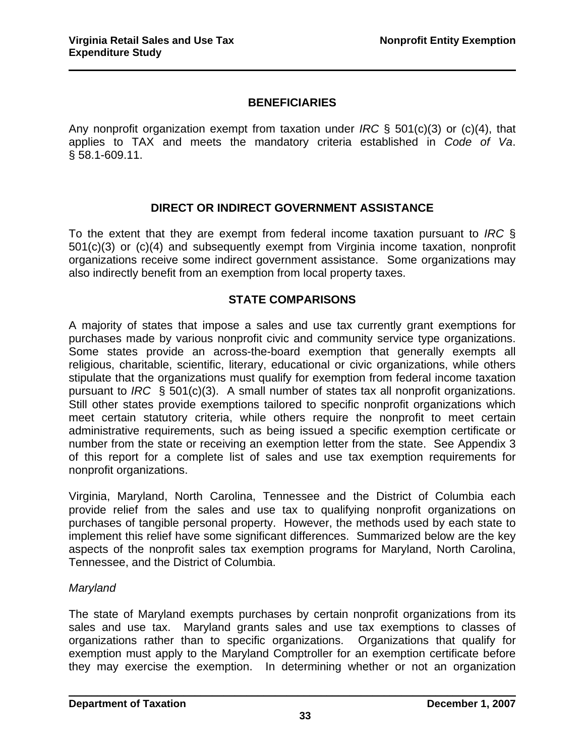### **BENEFICIARIES**

 $\mathcal{L}_\text{max}$  and  $\mathcal{L}_\text{max}$  and  $\mathcal{L}_\text{max}$  and  $\mathcal{L}_\text{max}$  and  $\mathcal{L}_\text{max}$  and  $\mathcal{L}_\text{max}$ 

Any nonprofit organization exempt from taxation under *IRC* § 501(c)(3) or (c)(4), that applies to TAX and meets the mandatory criteria established in *Code of Va*. § 58.1-609.11.

### **DIRECT OR INDIRECT GOVERNMENT ASSISTANCE**

To the extent that they are exempt from federal income taxation pursuant to *IRC* § 501(c)(3) or (c)(4) and subsequently exempt from Virginia income taxation, nonprofit organizations receive some indirect government assistance. Some organizations may also indirectly benefit from an exemption from local property taxes.

### **STATE COMPARISONS**

A majority of states that impose a sales and use tax currently grant exemptions for purchases made by various nonprofit civic and community service type organizations. Some states provide an across-the-board exemption that generally exempts all religious, charitable, scientific, literary, educational or civic organizations, while others stipulate that the organizations must qualify for exemption from federal income taxation pursuant to *IRC* § 501(c)(3). A small number of states tax all nonprofit organizations. Still other states provide exemptions tailored to specific nonprofit organizations which meet certain statutory criteria, while others require the nonprofit to meet certain administrative requirements, such as being issued a specific exemption certificate or number from the state or receiving an exemption letter from the state. See Appendix 3 of this report for a complete list of sales and use tax exemption requirements for nonprofit organizations.

Virginia, Maryland, North Carolina, Tennessee and the District of Columbia each provide relief from the sales and use tax to qualifying nonprofit organizations on purchases of tangible personal property. However, the methods used by each state to implement this relief have some significant differences. Summarized below are the key aspects of the nonprofit sales tax exemption programs for Maryland, North Carolina, Tennessee, and the District of Columbia.

#### *Maryland*

The state of Maryland exempts purchases by certain nonprofit organizations from its sales and use tax. Maryland grants sales and use tax exemptions to classes of organizations rather than to specific organizations. Organizations that qualify for exemption must apply to the Maryland Comptroller for an exemption certificate before they may exercise the exemption. In determining whether or not an organization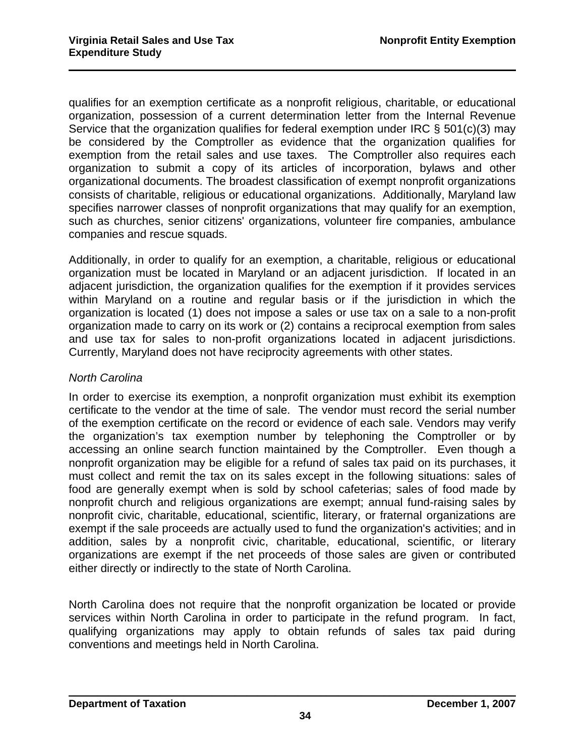qualifies for an exemption certificate as a nonprofit religious, charitable, or educational organization, possession of a current determination letter from the Internal Revenue Service that the organization qualifies for federal exemption under IRC  $\S$  501(c)(3) may be considered by the Comptroller as evidence that the organization qualifies for exemption from the retail sales and use taxes. The Comptroller also requires each organization to submit a copy of its articles of incorporation, bylaws and other organizational documents. The broadest classification of exempt nonprofit organizations consists of charitable, religious or educational organizations. Additionally, Maryland law specifies narrower classes of nonprofit organizations that may qualify for an exemption, such as churches, senior citizens' organizations, volunteer fire companies, ambulance companies and rescue squads.

 $\mathcal{L}_\mathcal{L} = \mathcal{L}_\mathcal{L} = \mathcal{L}_\mathcal{L} = \mathcal{L}_\mathcal{L} = \mathcal{L}_\mathcal{L} = \mathcal{L}_\mathcal{L} = \mathcal{L}_\mathcal{L} = \mathcal{L}_\mathcal{L} = \mathcal{L}_\mathcal{L} = \mathcal{L}_\mathcal{L} = \mathcal{L}_\mathcal{L} = \mathcal{L}_\mathcal{L} = \mathcal{L}_\mathcal{L} = \mathcal{L}_\mathcal{L} = \mathcal{L}_\mathcal{L} = \mathcal{L}_\mathcal{L} = \mathcal{L}_\mathcal{L}$ 

Additionally, in order to qualify for an exemption, a charitable, religious or educational organization must be located in Maryland or an adjacent jurisdiction. If located in an adjacent jurisdiction, the organization qualifies for the exemption if it provides services within Maryland on a routine and regular basis or if the jurisdiction in which the organization is located (1) does not impose a sales or use tax on a sale to a non-profit organization made to carry on its work or (2) contains a reciprocal exemption from sales and use tax for sales to non-profit organizations located in adjacent jurisdictions. Currently, Maryland does not have reciprocity agreements with other states.

#### *North Carolina*

In order to exercise its exemption, a nonprofit organization must exhibit its exemption certificate to the vendor at the time of sale. The vendor must record the serial number of the exemption certificate on the record or evidence of each sale. Vendors may verify the organization's tax exemption number by telephoning the Comptroller or by accessing an online search function maintained by the Comptroller. Even though a nonprofit organization may be eligible for a refund of sales tax paid on its purchases, it must collect and remit the tax on its sales except in the following situations: sales of food are generally exempt when is sold by school cafeterias; sales of food made by nonprofit church and religious organizations are exempt; annual fund-raising sales by nonprofit civic, charitable, educational, scientific, literary, or fraternal organizations are exempt if the sale proceeds are actually used to fund the organization's activities; and in addition, sales by a nonprofit civic, charitable, educational, scientific, or literary organizations are exempt if the net proceeds of those sales are given or contributed either directly or indirectly to the state of North Carolina.

North Carolina does not require that the nonprofit organization be located or provide services within North Carolina in order to participate in the refund program. In fact, qualifying organizations may apply to obtain refunds of sales tax paid during conventions and meetings held in North Carolina.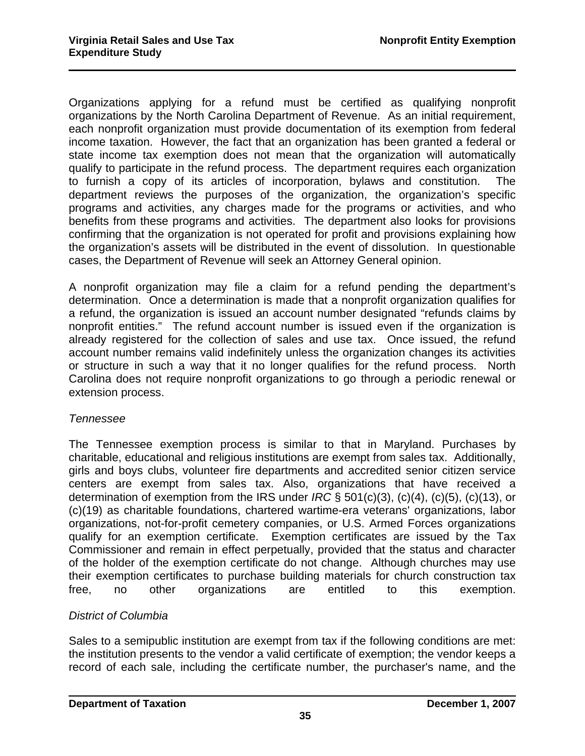Organizations applying for a refund must be certified as qualifying nonprofit organizations by the North Carolina Department of Revenue. As an initial requirement, each nonprofit organization must provide documentation of its exemption from federal income taxation. However, the fact that an organization has been granted a federal or state income tax exemption does not mean that the organization will automatically qualify to participate in the refund process. The department requires each organization to furnish a copy of its articles of incorporation, bylaws and constitution. The department reviews the purposes of the organization, the organization's specific programs and activities, any charges made for the programs or activities, and who benefits from these programs and activities. The department also looks for provisions confirming that the organization is not operated for profit and provisions explaining how the organization's assets will be distributed in the event of dissolution. In questionable cases, the Department of Revenue will seek an Attorney General opinion.

 $\mathcal{L}_\mathcal{L} = \mathcal{L}_\mathcal{L} = \mathcal{L}_\mathcal{L} = \mathcal{L}_\mathcal{L} = \mathcal{L}_\mathcal{L} = \mathcal{L}_\mathcal{L} = \mathcal{L}_\mathcal{L} = \mathcal{L}_\mathcal{L} = \mathcal{L}_\mathcal{L} = \mathcal{L}_\mathcal{L} = \mathcal{L}_\mathcal{L} = \mathcal{L}_\mathcal{L} = \mathcal{L}_\mathcal{L} = \mathcal{L}_\mathcal{L} = \mathcal{L}_\mathcal{L} = \mathcal{L}_\mathcal{L} = \mathcal{L}_\mathcal{L}$ 

A nonprofit organization may file a claim for a refund pending the department's determination. Once a determination is made that a nonprofit organization qualifies for a refund, the organization is issued an account number designated "refunds claims by nonprofit entities." The refund account number is issued even if the organization is already registered for the collection of sales and use tax. Once issued, the refund account number remains valid indefinitely unless the organization changes its activities or structure in such a way that it no longer qualifies for the refund process. North Carolina does not require nonprofit organizations to go through a periodic renewal or extension process.

#### *Tennessee*

The Tennessee exemption process is similar to that in Maryland. Purchases by charitable, educational and religious institutions are exempt from sales tax. Additionally, girls and boys clubs, volunteer fire departments and accredited senior citizen service centers are exempt from sales tax. Also, organizations that have received a determination of exemption from the IRS under *IRC* § 501(c)(3), (c)(4), (c)(5), (c)(13), or (c)(19) as charitable foundations, chartered wartime-era veterans' organizations, labor organizations, not-for-profit cemetery companies, or U.S. Armed Forces organizations qualify for an exemption certificate. Exemption certificates are issued by the Tax Commissioner and remain in effect perpetually, provided that the status and character of the holder of the exemption certificate do not change. Although churches may use their exemption certificates to purchase building materials for church construction tax free, no other organizations are entitled to this exemption.

# *District of Columbia*

Sales to a semipublic institution are exempt from tax if the following conditions are met: the institution presents to the vendor a valid certificate of exemption; the vendor keeps a record of each sale, including the certificate number, the purchaser's name, and the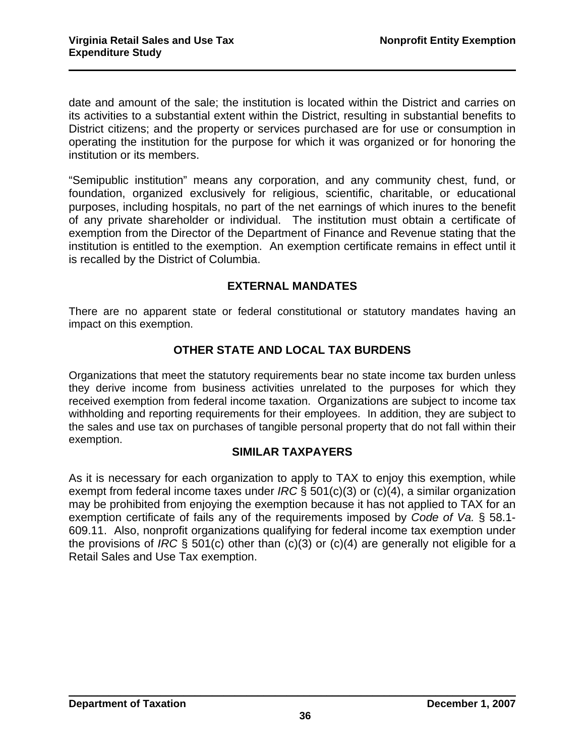date and amount of the sale; the institution is located within the District and carries on its activities to a substantial extent within the District, resulting in substantial benefits to District citizens; and the property or services purchased are for use or consumption in operating the institution for the purpose for which it was organized or for honoring the institution or its members.

 $\mathcal{L}_\mathcal{L} = \mathcal{L}_\mathcal{L} = \mathcal{L}_\mathcal{L} = \mathcal{L}_\mathcal{L} = \mathcal{L}_\mathcal{L} = \mathcal{L}_\mathcal{L} = \mathcal{L}_\mathcal{L} = \mathcal{L}_\mathcal{L} = \mathcal{L}_\mathcal{L} = \mathcal{L}_\mathcal{L} = \mathcal{L}_\mathcal{L} = \mathcal{L}_\mathcal{L} = \mathcal{L}_\mathcal{L} = \mathcal{L}_\mathcal{L} = \mathcal{L}_\mathcal{L} = \mathcal{L}_\mathcal{L} = \mathcal{L}_\mathcal{L}$ 

"Semipublic institution" means any corporation, and any community chest, fund, or foundation, organized exclusively for religious, scientific, charitable, or educational purposes, including hospitals, no part of the net earnings of which inures to the benefit of any private shareholder or individual. The institution must obtain a certificate of exemption from the Director of the Department of Finance and Revenue stating that the institution is entitled to the exemption. An exemption certificate remains in effect until it is recalled by the District of Columbia.

### **EXTERNAL MANDATES**

There are no apparent state or federal constitutional or statutory mandates having an impact on this exemption.

# **OTHER STATE AND LOCAL TAX BURDENS**

Organizations that meet the statutory requirements bear no state income tax burden unless they derive income from business activities unrelated to the purposes for which they received exemption from federal income taxation. Organizations are subject to income tax withholding and reporting requirements for their employees. In addition, they are subject to the sales and use tax on purchases of tangible personal property that do not fall within their exemption.

#### **SIMILAR TAXPAYERS**

As it is necessary for each organization to apply to TAX to enjoy this exemption, while exempt from federal income taxes under *IRC* § 501(c)(3) or (c)(4), a similar organization may be prohibited from enjoying the exemption because it has not applied to TAX for an exemption certificate of fails any of the requirements imposed by *Code of Va.* § 58.1- 609.11. Also, nonprofit organizations qualifying for federal income tax exemption under the provisions of *IRC* § 501(c) other than (c)(3) or (c)(4) are generally not eligible for a Retail Sales and Use Tax exemption.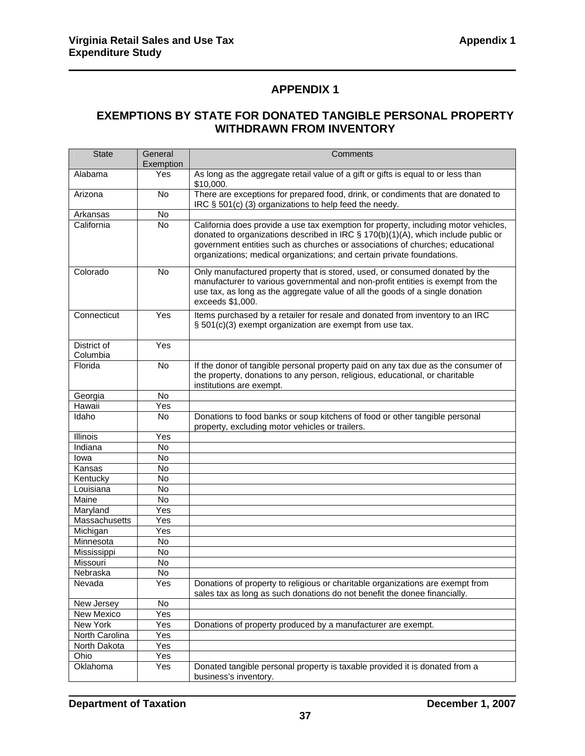# **APPENDIX 1**

 $\mathcal{L}_\mathcal{L} = \mathcal{L}_\mathcal{L} = \mathcal{L}_\mathcal{L} = \mathcal{L}_\mathcal{L} = \mathcal{L}_\mathcal{L} = \mathcal{L}_\mathcal{L} = \mathcal{L}_\mathcal{L} = \mathcal{L}_\mathcal{L} = \mathcal{L}_\mathcal{L} = \mathcal{L}_\mathcal{L} = \mathcal{L}_\mathcal{L} = \mathcal{L}_\mathcal{L} = \mathcal{L}_\mathcal{L} = \mathcal{L}_\mathcal{L} = \mathcal{L}_\mathcal{L} = \mathcal{L}_\mathcal{L} = \mathcal{L}_\mathcal{L}$ 

# **EXEMPTIONS BY STATE FOR DONATED TANGIBLE PERSONAL PROPERTY WITHDRAWN FROM INVENTORY**

| <b>State</b>            | General<br>Exemption | Comments                                                                                                                                                                                                                                                                                                                            |
|-------------------------|----------------------|-------------------------------------------------------------------------------------------------------------------------------------------------------------------------------------------------------------------------------------------------------------------------------------------------------------------------------------|
| Alabama                 | Yes                  | As long as the aggregate retail value of a gift or gifts is equal to or less than<br>\$10,000.                                                                                                                                                                                                                                      |
| Arizona                 | <b>No</b>            | There are exceptions for prepared food, drink, or condiments that are donated to<br>IRC § 501(c) (3) organizations to help feed the needy.                                                                                                                                                                                          |
| Arkansas                | No                   |                                                                                                                                                                                                                                                                                                                                     |
| California              | No                   | California does provide a use tax exemption for property, including motor vehicles,<br>donated to organizations described in IRC § 170(b)(1)(A), which include public or<br>government entities such as churches or associations of churches; educational<br>organizations; medical organizations; and certain private foundations. |
| Colorado                | <b>No</b>            | Only manufactured property that is stored, used, or consumed donated by the<br>manufacturer to various governmental and non-profit entities is exempt from the<br>use tax, as long as the aggregate value of all the goods of a single donation<br>exceeds \$1,000.                                                                 |
| Connecticut             | Yes                  | Items purchased by a retailer for resale and donated from inventory to an IRC<br>§ 501(c)(3) exempt organization are exempt from use tax.                                                                                                                                                                                           |
| District of<br>Columbia | Yes                  |                                                                                                                                                                                                                                                                                                                                     |
| Florida                 | <b>No</b>            | If the donor of tangible personal property paid on any tax due as the consumer of<br>the property, donations to any person, religious, educational, or charitable<br>institutions are exempt.                                                                                                                                       |
| Georgia                 | No                   |                                                                                                                                                                                                                                                                                                                                     |
| Hawaii                  | Yes                  |                                                                                                                                                                                                                                                                                                                                     |
| Idaho                   | No                   | Donations to food banks or soup kitchens of food or other tangible personal<br>property, excluding motor vehicles or trailers.                                                                                                                                                                                                      |
| Illinois                | $\overline{Yes}$     |                                                                                                                                                                                                                                                                                                                                     |
| Indiana                 | No                   |                                                                                                                                                                                                                                                                                                                                     |
| lowa                    | No                   |                                                                                                                                                                                                                                                                                                                                     |
| Kansas                  | No                   |                                                                                                                                                                                                                                                                                                                                     |
| Kentucky                | No                   |                                                                                                                                                                                                                                                                                                                                     |
| Louisiana               | No                   |                                                                                                                                                                                                                                                                                                                                     |
| Maine                   | No                   |                                                                                                                                                                                                                                                                                                                                     |
| Maryland                | Yes                  |                                                                                                                                                                                                                                                                                                                                     |
| Massachusetts           | Yes                  |                                                                                                                                                                                                                                                                                                                                     |
| Michigan                | Yes                  |                                                                                                                                                                                                                                                                                                                                     |
| Minnesota               | No                   |                                                                                                                                                                                                                                                                                                                                     |
| Mississippi             | $\overline{N}$       |                                                                                                                                                                                                                                                                                                                                     |
| Missouri                | No                   |                                                                                                                                                                                                                                                                                                                                     |
| Nebraska                | <b>No</b>            |                                                                                                                                                                                                                                                                                                                                     |
| Nevada                  | Yes                  | Donations of property to religious or charitable organizations are exempt from<br>sales tax as long as such donations do not benefit the donee financially.                                                                                                                                                                         |
| New Jersey              | $\overline{N}$       |                                                                                                                                                                                                                                                                                                                                     |
| New Mexico              | Yes                  |                                                                                                                                                                                                                                                                                                                                     |
| New York                | Yes                  | Donations of property produced by a manufacturer are exempt.                                                                                                                                                                                                                                                                        |
| North Carolina          | Yes                  |                                                                                                                                                                                                                                                                                                                                     |
| North Dakota            | Yes                  |                                                                                                                                                                                                                                                                                                                                     |
| Ohio                    | Yes                  |                                                                                                                                                                                                                                                                                                                                     |
| Oklahoma                | Yes                  | Donated tangible personal property is taxable provided it is donated from a<br>business's inventory.                                                                                                                                                                                                                                |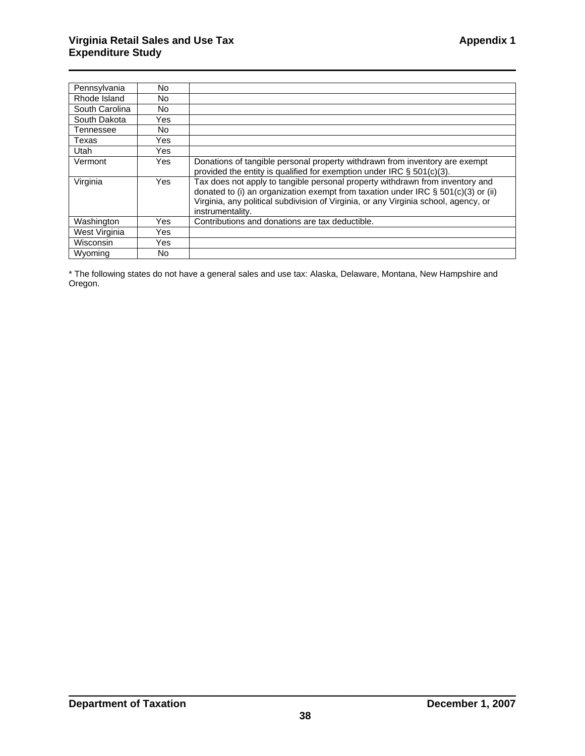| Pennsylvania   | No  |                                                                                                                                                                                                                                                                               |
|----------------|-----|-------------------------------------------------------------------------------------------------------------------------------------------------------------------------------------------------------------------------------------------------------------------------------|
| Rhode Island   | No. |                                                                                                                                                                                                                                                                               |
| South Carolina | No  |                                                                                                                                                                                                                                                                               |
| South Dakota   | Yes |                                                                                                                                                                                                                                                                               |
| Tennessee      | No. |                                                                                                                                                                                                                                                                               |
| Texas          | Yes |                                                                                                                                                                                                                                                                               |
| Utah           | Yes |                                                                                                                                                                                                                                                                               |
| Vermont        | Yes | Donations of tangible personal property withdrawn from inventory are exempt<br>provided the entity is qualified for exemption under IRC § 501(c)(3).                                                                                                                          |
| Virginia       | Yes | Tax does not apply to tangible personal property withdrawn from inventory and<br>donated to (i) an organization exempt from taxation under IRC § 501(c)(3) or (ii)<br>Virginia, any political subdivision of Virginia, or any Virginia school, agency, or<br>instrumentality. |
| Washington     | Yes | Contributions and donations are tax deductible.                                                                                                                                                                                                                               |
| West Virginia  | Yes |                                                                                                                                                                                                                                                                               |
| Wisconsin      | Yes |                                                                                                                                                                                                                                                                               |
| Wyoming        | No  |                                                                                                                                                                                                                                                                               |

 $\mathcal{L}_\mathcal{L} = \mathcal{L}_\mathcal{L} = \mathcal{L}_\mathcal{L} = \mathcal{L}_\mathcal{L} = \mathcal{L}_\mathcal{L} = \mathcal{L}_\mathcal{L} = \mathcal{L}_\mathcal{L} = \mathcal{L}_\mathcal{L} = \mathcal{L}_\mathcal{L} = \mathcal{L}_\mathcal{L} = \mathcal{L}_\mathcal{L} = \mathcal{L}_\mathcal{L} = \mathcal{L}_\mathcal{L} = \mathcal{L}_\mathcal{L} = \mathcal{L}_\mathcal{L} = \mathcal{L}_\mathcal{L} = \mathcal{L}_\mathcal{L}$ 

\* The following states do not have a general sales and use tax: Alaska, Delaware, Montana, New Hampshire and Oregon.

 $\mathcal{L}_\mathcal{L} = \mathcal{L}_\mathcal{L} = \mathcal{L}_\mathcal{L} = \mathcal{L}_\mathcal{L} = \mathcal{L}_\mathcal{L} = \mathcal{L}_\mathcal{L} = \mathcal{L}_\mathcal{L} = \mathcal{L}_\mathcal{L} = \mathcal{L}_\mathcal{L} = \mathcal{L}_\mathcal{L} = \mathcal{L}_\mathcal{L} = \mathcal{L}_\mathcal{L} = \mathcal{L}_\mathcal{L} = \mathcal{L}_\mathcal{L} = \mathcal{L}_\mathcal{L} = \mathcal{L}_\mathcal{L} = \mathcal{L}_\mathcal{L}$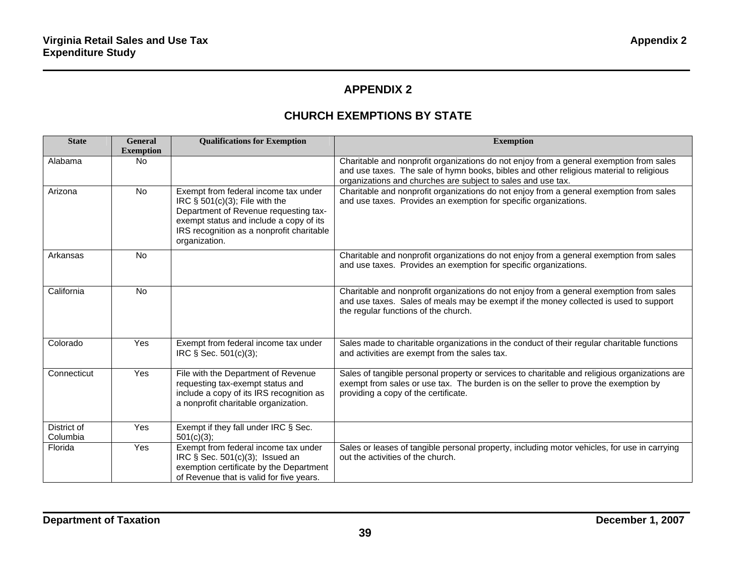# **APPENDIX 2**

# **CHURCH EXEMPTIONS BY STATE**

| <b>State</b>            | <b>General</b>   | <b>Oualifications for Exemption</b>                                                                                                                                                                                         | <b>Exemption</b>                                                                                                                                                                                                                                   |
|-------------------------|------------------|-----------------------------------------------------------------------------------------------------------------------------------------------------------------------------------------------------------------------------|----------------------------------------------------------------------------------------------------------------------------------------------------------------------------------------------------------------------------------------------------|
|                         | <b>Exemption</b> |                                                                                                                                                                                                                             |                                                                                                                                                                                                                                                    |
| Alabama                 | <b>No</b>        |                                                                                                                                                                                                                             | Charitable and nonprofit organizations do not enjoy from a general exemption from sales<br>and use taxes. The sale of hymn books, bibles and other religious material to religious<br>organizations and churches are subject to sales and use tax. |
| Arizona                 | No               | Exempt from federal income tax under<br>IRC $\S$ 501(c)(3); File with the<br>Department of Revenue requesting tax-<br>exempt status and include a copy of its<br>IRS recognition as a nonprofit charitable<br>organization. | Charitable and nonprofit organizations do not enjoy from a general exemption from sales<br>and use taxes. Provides an exemption for specific organizations.                                                                                        |
| Arkansas                | <b>No</b>        |                                                                                                                                                                                                                             | Charitable and nonprofit organizations do not enjoy from a general exemption from sales<br>and use taxes. Provides an exemption for specific organizations.                                                                                        |
| California              | <b>No</b>        |                                                                                                                                                                                                                             | Charitable and nonprofit organizations do not enjoy from a general exemption from sales<br>and use taxes. Sales of meals may be exempt if the money collected is used to support<br>the regular functions of the church.                           |
| Colorado                | Yes              | Exempt from federal income tax under<br>IRC § Sec. 501(c)(3);                                                                                                                                                               | Sales made to charitable organizations in the conduct of their regular charitable functions<br>and activities are exempt from the sales tax.                                                                                                       |
| Connecticut             | Yes              | File with the Department of Revenue<br>requesting tax-exempt status and<br>include a copy of its IRS recognition as<br>a nonprofit charitable organization.                                                                 | Sales of tangible personal property or services to charitable and religious organizations are<br>exempt from sales or use tax. The burden is on the seller to prove the exemption by<br>providing a copy of the certificate.                       |
| District of<br>Columbia | Yes              | Exempt if they fall under IRC § Sec.<br>$501(c)(3)$ ;                                                                                                                                                                       |                                                                                                                                                                                                                                                    |
| Florida                 | Yes              | Exempt from federal income tax under<br>IRC $\S$ Sec. 501(c)(3); Issued an<br>exemption certificate by the Department<br>of Revenue that is valid for five years.                                                           | Sales or leases of tangible personal property, including motor vehicles, for use in carrying<br>out the activities of the church.                                                                                                                  |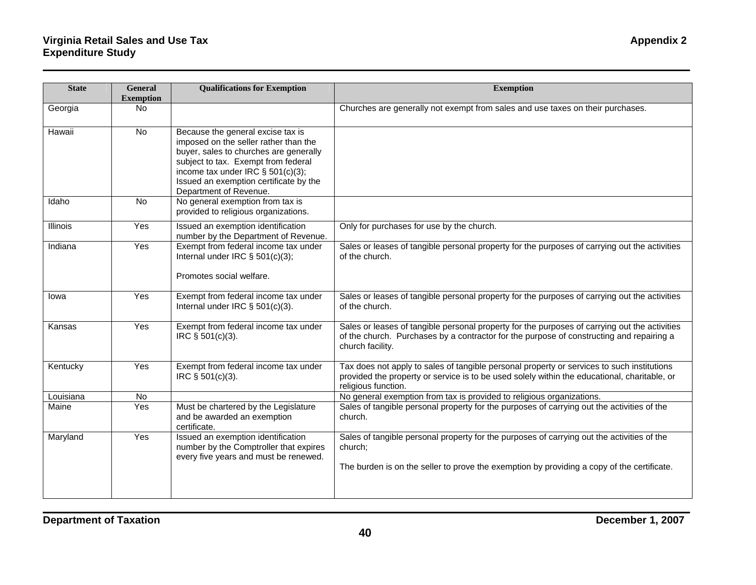| <b>State</b>    | <b>General</b><br><b>Exemption</b> | <b>Qualifications for Exemption</b>                                                                                                                                                                                                                                     | <b>Exemption</b>                                                                                                                                                                                                  |
|-----------------|------------------------------------|-------------------------------------------------------------------------------------------------------------------------------------------------------------------------------------------------------------------------------------------------------------------------|-------------------------------------------------------------------------------------------------------------------------------------------------------------------------------------------------------------------|
| Georgia         | No                                 |                                                                                                                                                                                                                                                                         | Churches are generally not exempt from sales and use taxes on their purchases.                                                                                                                                    |
| Hawaii          | $\overline{N}$                     | Because the general excise tax is<br>imposed on the seller rather than the<br>buyer, sales to churches are generally<br>subject to tax. Exempt from federal<br>income tax under IRC $\S$ 501(c)(3);<br>Issued an exemption certificate by the<br>Department of Revenue. |                                                                                                                                                                                                                   |
| Idaho           | $\overline{N}$                     | No general exemption from tax is<br>provided to religious organizations.                                                                                                                                                                                                |                                                                                                                                                                                                                   |
| <b>Illinois</b> | Yes                                | Issued an exemption identification<br>number by the Department of Revenue.                                                                                                                                                                                              | Only for purchases for use by the church.                                                                                                                                                                         |
| Indiana         | Yes                                | Exempt from federal income tax under<br>Internal under IRC $\S$ 501(c)(3);<br>Promotes social welfare.                                                                                                                                                                  | Sales or leases of tangible personal property for the purposes of carrying out the activities<br>of the church.                                                                                                   |
| lowa            | Yes                                | Exempt from federal income tax under<br>Internal under IRC § 501(c)(3).                                                                                                                                                                                                 | Sales or leases of tangible personal property for the purposes of carrying out the activities<br>of the church.                                                                                                   |
| Kansas          | Yes                                | Exempt from federal income tax under<br>IRC $§ 501(c)(3)$ .                                                                                                                                                                                                             | Sales or leases of tangible personal property for the purposes of carrying out the activities<br>of the church. Purchases by a contractor for the purpose of constructing and repairing a<br>church facility.     |
| Kentucky        | Yes                                | Exempt from federal income tax under<br>IRC § 501(c)(3).                                                                                                                                                                                                                | Tax does not apply to sales of tangible personal property or services to such institutions<br>provided the property or service is to be used solely within the educational, charitable, or<br>religious function. |
| Louisiana       | <b>No</b>                          |                                                                                                                                                                                                                                                                         | No general exemption from tax is provided to religious organizations.                                                                                                                                             |
| Maine           | Yes                                | Must be chartered by the Legislature<br>and be awarded an exemption<br>certificate.                                                                                                                                                                                     | Sales of tangible personal property for the purposes of carrying out the activities of the<br>church.                                                                                                             |
| Maryland        | Yes                                | Issued an exemption identification<br>number by the Comptroller that expires<br>every five years and must be renewed.                                                                                                                                                   | Sales of tangible personal property for the purposes of carrying out the activities of the<br>church;<br>The burden is on the seller to prove the exemption by providing a copy of the certificate.               |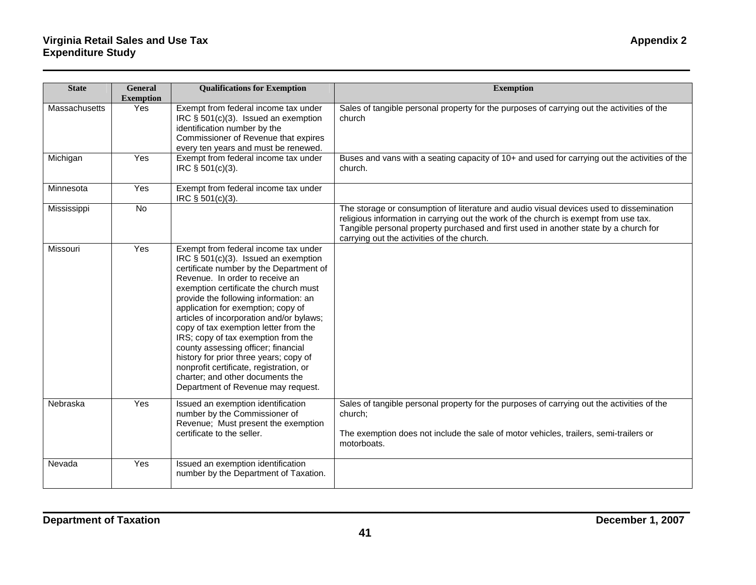| <b>State</b>  | <b>General</b><br><b>Exemption</b> | <b>Qualifications for Exemption</b>                                                                                                                                                                                                                                                                                                                                                                                                                                                                                                                                                                                     | <b>Exemption</b>                                                                                                                                                                                                                                                                                                      |
|---------------|------------------------------------|-------------------------------------------------------------------------------------------------------------------------------------------------------------------------------------------------------------------------------------------------------------------------------------------------------------------------------------------------------------------------------------------------------------------------------------------------------------------------------------------------------------------------------------------------------------------------------------------------------------------------|-----------------------------------------------------------------------------------------------------------------------------------------------------------------------------------------------------------------------------------------------------------------------------------------------------------------------|
| Massachusetts | Yes                                | Exempt from federal income tax under<br>IRC $\S$ 501(c)(3). Issued an exemption<br>identification number by the<br>Commissioner of Revenue that expires<br>every ten years and must be renewed.                                                                                                                                                                                                                                                                                                                                                                                                                         | Sales of tangible personal property for the purposes of carrying out the activities of the<br>church                                                                                                                                                                                                                  |
| Michigan      | Yes                                | Exempt from federal income tax under<br>IRC § 501(c)(3).                                                                                                                                                                                                                                                                                                                                                                                                                                                                                                                                                                | Buses and vans with a seating capacity of 10+ and used for carrying out the activities of the<br>church.                                                                                                                                                                                                              |
| Minnesota     | Yes                                | Exempt from federal income tax under<br>IRC $§$ 501(c)(3).                                                                                                                                                                                                                                                                                                                                                                                                                                                                                                                                                              |                                                                                                                                                                                                                                                                                                                       |
| Mississippi   | No                                 |                                                                                                                                                                                                                                                                                                                                                                                                                                                                                                                                                                                                                         | The storage or consumption of literature and audio visual devices used to dissemination<br>religious information in carrying out the work of the church is exempt from use tax.<br>Tangible personal property purchased and first used in another state by a church for<br>carrying out the activities of the church. |
| Missouri      | Yes                                | Exempt from federal income tax under<br>IRC $\S$ 501(c)(3). Issued an exemption<br>certificate number by the Department of<br>Revenue. In order to receive an<br>exemption certificate the church must<br>provide the following information: an<br>application for exemption; copy of<br>articles of incorporation and/or bylaws;<br>copy of tax exemption letter from the<br>IRS; copy of tax exemption from the<br>county assessing officer; financial<br>history for prior three years; copy of<br>nonprofit certificate, registration, or<br>charter; and other documents the<br>Department of Revenue may request. |                                                                                                                                                                                                                                                                                                                       |
| Nebraska      | Yes                                | Issued an exemption identification<br>number by the Commissioner of<br>Revenue; Must present the exemption<br>certificate to the seller.                                                                                                                                                                                                                                                                                                                                                                                                                                                                                | Sales of tangible personal property for the purposes of carrying out the activities of the<br>church;<br>The exemption does not include the sale of motor vehicles, trailers, semi-trailers or<br>motorboats.                                                                                                         |
| Nevada        | Yes                                | Issued an exemption identification<br>number by the Department of Taxation.                                                                                                                                                                                                                                                                                                                                                                                                                                                                                                                                             |                                                                                                                                                                                                                                                                                                                       |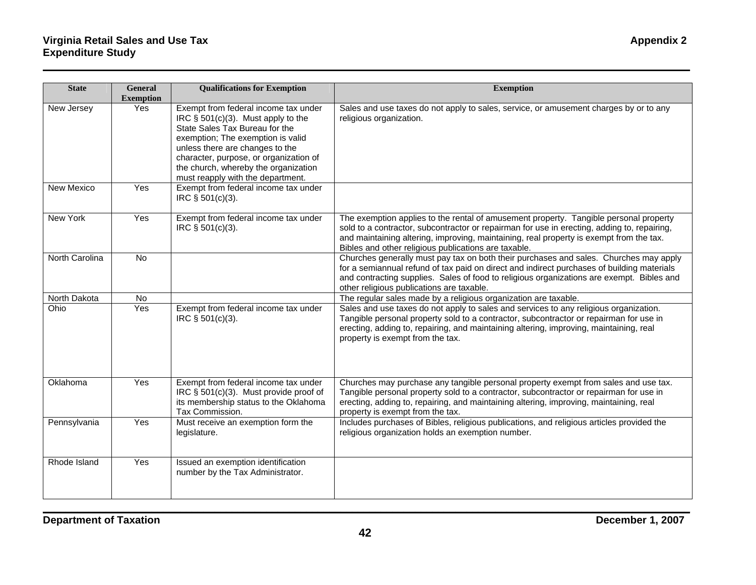| <b>State</b>      | <b>General</b><br><b>Exemption</b> | <b>Qualifications for Exemption</b>                                                                                                                                                                                                                                                                            | <b>Exemption</b>                                                                                                                                                                                                                                                                                                                        |
|-------------------|------------------------------------|----------------------------------------------------------------------------------------------------------------------------------------------------------------------------------------------------------------------------------------------------------------------------------------------------------------|-----------------------------------------------------------------------------------------------------------------------------------------------------------------------------------------------------------------------------------------------------------------------------------------------------------------------------------------|
| New Jersey        | Yes                                | Exempt from federal income tax under<br>IRC $\S$ 501(c)(3). Must apply to the<br>State Sales Tax Bureau for the<br>exemption; The exemption is valid<br>unless there are changes to the<br>character, purpose, or organization of<br>the church, whereby the organization<br>must reapply with the department. | Sales and use taxes do not apply to sales, service, or amusement charges by or to any<br>religious organization.                                                                                                                                                                                                                        |
| <b>New Mexico</b> | Yes                                | Exempt from federal income tax under<br>IRC § 501(c)(3).                                                                                                                                                                                                                                                       |                                                                                                                                                                                                                                                                                                                                         |
| New York          | Yes                                | Exempt from federal income tax under<br>IRC $§ 501(c)(3)$ .                                                                                                                                                                                                                                                    | The exemption applies to the rental of amusement property. Tangible personal property<br>sold to a contractor, subcontractor or repairman for use in erecting, adding to, repairing,<br>and maintaining altering, improving, maintaining, real property is exempt from the tax.<br>Bibles and other religious publications are taxable. |
| North Carolina    | No                                 |                                                                                                                                                                                                                                                                                                                | Churches generally must pay tax on both their purchases and sales. Churches may apply<br>for a semiannual refund of tax paid on direct and indirect purchases of building materials<br>and contracting supplies. Sales of food to religious organizations are exempt. Bibles and<br>other religious publications are taxable.           |
| North Dakota      | No                                 |                                                                                                                                                                                                                                                                                                                | The regular sales made by a religious organization are taxable.                                                                                                                                                                                                                                                                         |
| Ohio              | Yes                                | Exempt from federal income tax under<br>IRC § 501(c)(3).                                                                                                                                                                                                                                                       | Sales and use taxes do not apply to sales and services to any religious organization.<br>Tangible personal property sold to a contractor, subcontractor or repairman for use in<br>erecting, adding to, repairing, and maintaining altering, improving, maintaining, real<br>property is exempt from the tax.                           |
| Oklahoma          | Yes                                | Exempt from federal income tax under<br>IRC § 501(c)(3). Must provide proof of<br>its membership status to the Oklahoma<br>Tax Commission.                                                                                                                                                                     | Churches may purchase any tangible personal property exempt from sales and use tax.<br>Tangible personal property sold to a contractor, subcontractor or repairman for use in<br>erecting, adding to, repairing, and maintaining altering, improving, maintaining, real<br>property is exempt from the tax.                             |
| Pennsylvania      | Yes                                | Must receive an exemption form the<br>legislature.                                                                                                                                                                                                                                                             | Includes purchases of Bibles, religious publications, and religious articles provided the<br>religious organization holds an exemption number.                                                                                                                                                                                          |
| Rhode Island      | Yes                                | Issued an exemption identification<br>number by the Tax Administrator.                                                                                                                                                                                                                                         |                                                                                                                                                                                                                                                                                                                                         |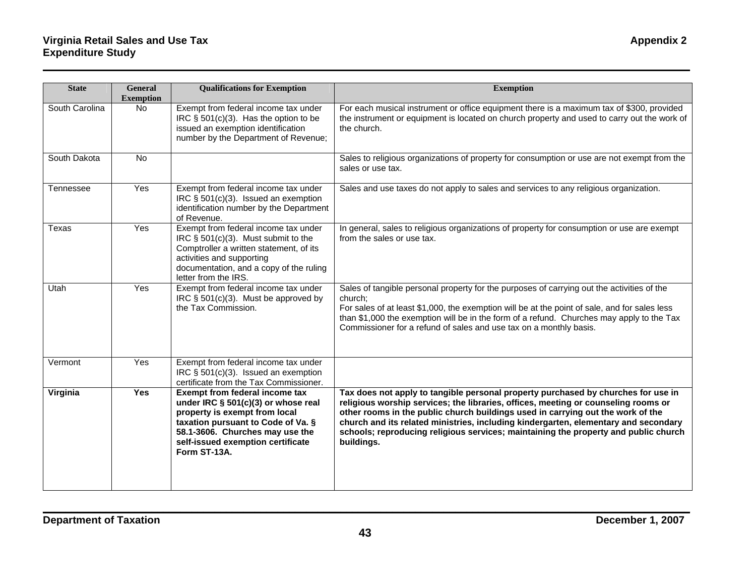| <b>State</b>   | <b>General</b><br><b>Exemption</b> | <b>Qualifications for Exemption</b>                                                                                                                                                                                                         | <b>Exemption</b>                                                                                                                                                                                                                                                                                                                                                                                                                                       |
|----------------|------------------------------------|---------------------------------------------------------------------------------------------------------------------------------------------------------------------------------------------------------------------------------------------|--------------------------------------------------------------------------------------------------------------------------------------------------------------------------------------------------------------------------------------------------------------------------------------------------------------------------------------------------------------------------------------------------------------------------------------------------------|
| South Carolina | <b>No</b>                          | Exempt from federal income tax under<br>IRC $\S$ 501(c)(3). Has the option to be<br>issued an exemption identification<br>number by the Department of Revenue;                                                                              | For each musical instrument or office equipment there is a maximum tax of \$300, provided<br>the instrument or equipment is located on church property and used to carry out the work of<br>the church.                                                                                                                                                                                                                                                |
| South Dakota   | No                                 |                                                                                                                                                                                                                                             | Sales to religious organizations of property for consumption or use are not exempt from the<br>sales or use tax.                                                                                                                                                                                                                                                                                                                                       |
| Tennessee      | Yes                                | Exempt from federal income tax under<br>IRC $\S$ 501(c)(3). Issued an exemption<br>identification number by the Department<br>of Revenue.                                                                                                   | Sales and use taxes do not apply to sales and services to any religious organization.                                                                                                                                                                                                                                                                                                                                                                  |
| <b>Texas</b>   | Yes                                | Exempt from federal income tax under<br>IRC $\S$ 501(c)(3). Must submit to the<br>Comptroller a written statement, of its<br>activities and supporting<br>documentation, and a copy of the ruling<br>letter from the IRS.                   | In general, sales to religious organizations of property for consumption or use are exempt<br>from the sales or use tax.                                                                                                                                                                                                                                                                                                                               |
| Utah           | Yes                                | Exempt from federal income tax under<br>IRC § 501(c)(3). Must be approved by<br>the Tax Commission.                                                                                                                                         | Sales of tangible personal property for the purposes of carrying out the activities of the<br>church;<br>For sales of at least \$1,000, the exemption will be at the point of sale, and for sales less<br>than \$1,000 the exemption will be in the form of a refund. Churches may apply to the Tax<br>Commissioner for a refund of sales and use tax on a monthly basis.                                                                              |
| Vermont        | Yes                                | Exempt from federal income tax under<br>IRC $\S$ 501(c)(3). Issued an exemption<br>certificate from the Tax Commissioner.                                                                                                                   |                                                                                                                                                                                                                                                                                                                                                                                                                                                        |
| Virginia       | <b>Yes</b>                         | <b>Exempt from federal income tax</b><br>under IRC § 501(c)(3) or whose real<br>property is exempt from local<br>taxation pursuant to Code of Va. §<br>58.1-3606. Churches may use the<br>self-issued exemption certificate<br>Form ST-13A. | Tax does not apply to tangible personal property purchased by churches for use in<br>religious worship services; the libraries, offices, meeting or counseling rooms or<br>other rooms in the public church buildings used in carrying out the work of the<br>church and its related ministries, including kindergarten, elementary and secondary<br>schools; reproducing religious services; maintaining the property and public church<br>buildings. |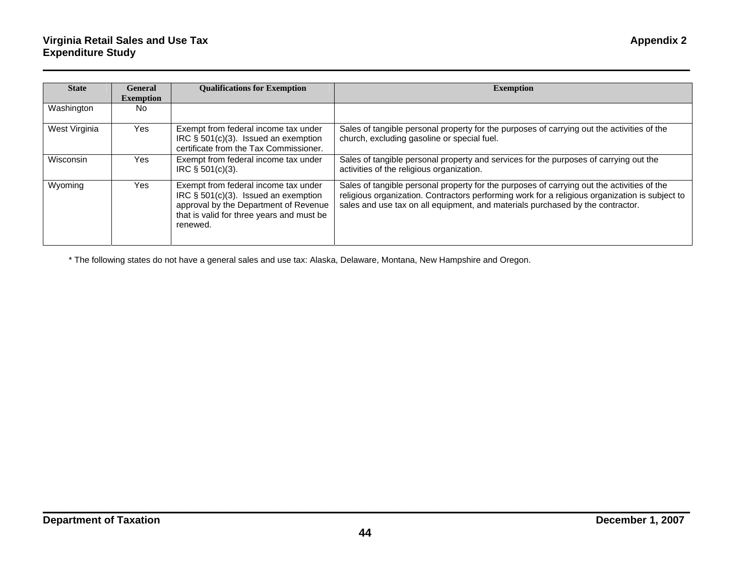| <b>State</b>  | <b>General</b><br><b>Exemption</b> | <b>Qualifications for Exemption</b>                                                                                                                                               | <b>Exemption</b>                                                                                                                                                                                                                                                               |
|---------------|------------------------------------|-----------------------------------------------------------------------------------------------------------------------------------------------------------------------------------|--------------------------------------------------------------------------------------------------------------------------------------------------------------------------------------------------------------------------------------------------------------------------------|
| Washington    | No.                                |                                                                                                                                                                                   |                                                                                                                                                                                                                                                                                |
| West Virginia | Yes                                | Exempt from federal income tax under<br>IRC $\S$ 501(c)(3). Issued an exemption<br>certificate from the Tax Commissioner.                                                         | Sales of tangible personal property for the purposes of carrying out the activities of the<br>church, excluding gasoline or special fuel.                                                                                                                                      |
| Wisconsin     | Yes.                               | Exempt from federal income tax under<br>IRC § 501(c)(3).                                                                                                                          | Sales of tangible personal property and services for the purposes of carrying out the<br>activities of the religious organization.                                                                                                                                             |
| Wyoming       | Yes                                | Exempt from federal income tax under<br>IRC $\S$ 501(c)(3). Issued an exemption<br>approval by the Department of Revenue<br>that is valid for three years and must be<br>renewed. | Sales of tangible personal property for the purposes of carrying out the activities of the<br>religious organization. Contractors performing work for a religious organization is subject to<br>sales and use tax on all equipment, and materials purchased by the contractor. |

\* The following states do not have a general sales and use tax: Alaska, Delaware, Montana, New Hampshire and Oregon.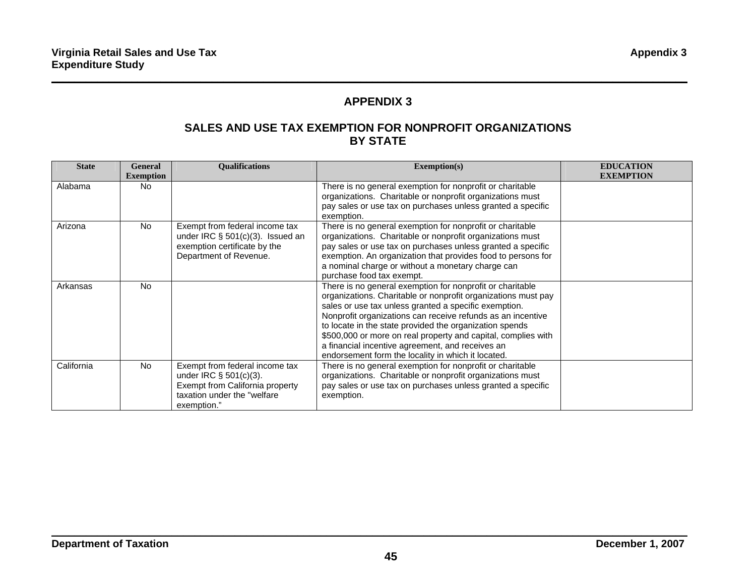# **APPENDIX 3**

#### **SALES AND USE TAX EXEMPTION FOR NONPROFIT ORGANIZATIONS BY STATE**

| <b>State</b> | <b>General</b>   | <b>Oualifications</b>                                                                                                                         | <b>Exemption(s)</b>                                                                                                                                                                                                                                                                                                                                                                                                                                                                      | <b>EDUCATION</b> |
|--------------|------------------|-----------------------------------------------------------------------------------------------------------------------------------------------|------------------------------------------------------------------------------------------------------------------------------------------------------------------------------------------------------------------------------------------------------------------------------------------------------------------------------------------------------------------------------------------------------------------------------------------------------------------------------------------|------------------|
|              | <b>Exemption</b> |                                                                                                                                               |                                                                                                                                                                                                                                                                                                                                                                                                                                                                                          | <b>EXEMPTION</b> |
| Alabama      | <b>No</b>        |                                                                                                                                               | There is no general exemption for nonprofit or charitable<br>organizations. Charitable or nonprofit organizations must<br>pay sales or use tax on purchases unless granted a specific<br>exemption.                                                                                                                                                                                                                                                                                      |                  |
| Arizona      | <b>No</b>        | Exempt from federal income tax<br>under IRC $\S$ 501(c)(3). Issued an<br>exemption certificate by the<br>Department of Revenue.               | There is no general exemption for nonprofit or charitable<br>organizations. Charitable or nonprofit organizations must<br>pay sales or use tax on purchases unless granted a specific<br>exemption. An organization that provides food to persons for<br>a nominal charge or without a monetary charge can<br>purchase food tax exempt.                                                                                                                                                  |                  |
| Arkansas     | <b>No</b>        |                                                                                                                                               | There is no general exemption for nonprofit or charitable<br>organizations. Charitable or nonprofit organizations must pay<br>sales or use tax unless granted a specific exemption.<br>Nonprofit organizations can receive refunds as an incentive<br>to locate in the state provided the organization spends<br>\$500,000 or more on real property and capital, complies with<br>a financial incentive agreement, and receives an<br>endorsement form the locality in which it located. |                  |
| California   | <b>No</b>        | Exempt from federal income tax<br>under IRC $\S$ 501(c)(3).<br>Exempt from California property<br>taxation under the "welfare"<br>exemption." | There is no general exemption for nonprofit or charitable<br>organizations. Charitable or nonprofit organizations must<br>pay sales or use tax on purchases unless granted a specific<br>exemption.                                                                                                                                                                                                                                                                                      |                  |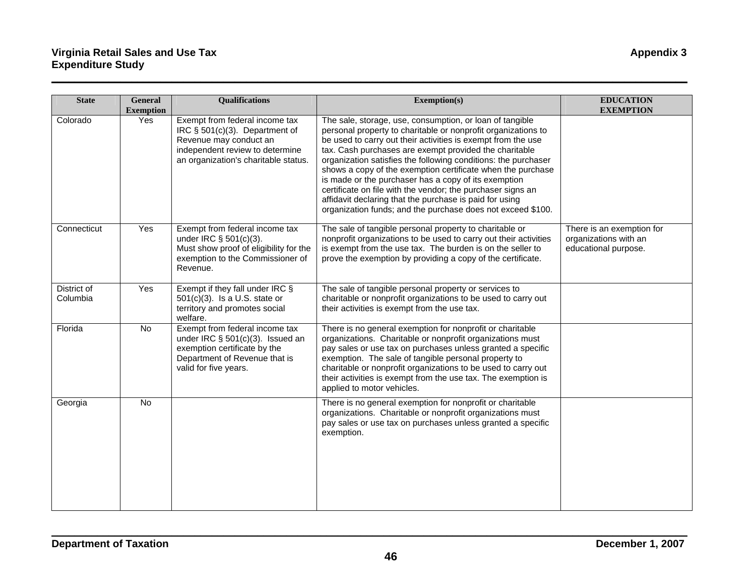| <b>State</b>            | <b>General</b>          | <b>Qualifications</b>                                                      | <b>Exemption(s)</b>                                                                                                            | <b>EDUCATION</b>                                   |
|-------------------------|-------------------------|----------------------------------------------------------------------------|--------------------------------------------------------------------------------------------------------------------------------|----------------------------------------------------|
| Colorado                | <b>Exemption</b><br>Yes | Exempt from federal income tax<br>IRC $\S$ 501(c)(3). Department of        | The sale, storage, use, consumption, or loan of tangible<br>personal property to charitable or nonprofit organizations to      | <b>EXEMPTION</b>                                   |
|                         |                         | Revenue may conduct an                                                     | be used to carry out their activities is exempt from the use                                                                   |                                                    |
|                         |                         | independent review to determine<br>an organization's charitable status.    | tax. Cash purchases are exempt provided the charitable<br>organization satisfies the following conditions: the purchaser       |                                                    |
|                         |                         |                                                                            | shows a copy of the exemption certificate when the purchase<br>is made or the purchaser has a copy of its exemption            |                                                    |
|                         |                         |                                                                            | certificate on file with the vendor; the purchaser signs an<br>affidavit declaring that the purchase is paid for using         |                                                    |
|                         |                         |                                                                            | organization funds; and the purchase does not exceed \$100.                                                                    |                                                    |
| Connecticut             | Yes                     | Exempt from federal income tax<br>under IRC § 501(c)(3).                   | The sale of tangible personal property to charitable or<br>nonprofit organizations to be used to carry out their activities    | There is an exemption for<br>organizations with an |
|                         |                         | Must show proof of eligibility for the<br>exemption to the Commissioner of | is exempt from the use tax. The burden is on the seller to<br>prove the exemption by providing a copy of the certificate.      | educational purpose.                               |
|                         |                         | Revenue.                                                                   |                                                                                                                                |                                                    |
| District of<br>Columbia | Yes                     | Exempt if they fall under IRC §<br>501(c)(3). Is a U.S. state or           | The sale of tangible personal property or services to<br>charitable or nonprofit organizations to be used to carry out         |                                                    |
|                         |                         | territory and promotes social<br>welfare.                                  | their activities is exempt from the use tax.                                                                                   |                                                    |
| Florida                 | <b>No</b>               | Exempt from federal income tax<br>under IRC $\S$ 501(c)(3). Issued an      | There is no general exemption for nonprofit or charitable<br>organizations. Charitable or nonprofit organizations must         |                                                    |
|                         |                         | exemption certificate by the<br>Department of Revenue that is              | pay sales or use tax on purchases unless granted a specific<br>exemption. The sale of tangible personal property to            |                                                    |
|                         |                         | valid for five years.                                                      | charitable or nonprofit organizations to be used to carry out<br>their activities is exempt from the use tax. The exemption is |                                                    |
| Georgia                 | <b>No</b>               |                                                                            | applied to motor vehicles.<br>There is no general exemption for nonprofit or charitable                                        |                                                    |
|                         |                         |                                                                            | organizations. Charitable or nonprofit organizations must<br>pay sales or use tax on purchases unless granted a specific       |                                                    |
|                         |                         |                                                                            | exemption.                                                                                                                     |                                                    |
|                         |                         |                                                                            |                                                                                                                                |                                                    |
|                         |                         |                                                                            |                                                                                                                                |                                                    |
|                         |                         |                                                                            |                                                                                                                                |                                                    |
|                         |                         |                                                                            |                                                                                                                                |                                                    |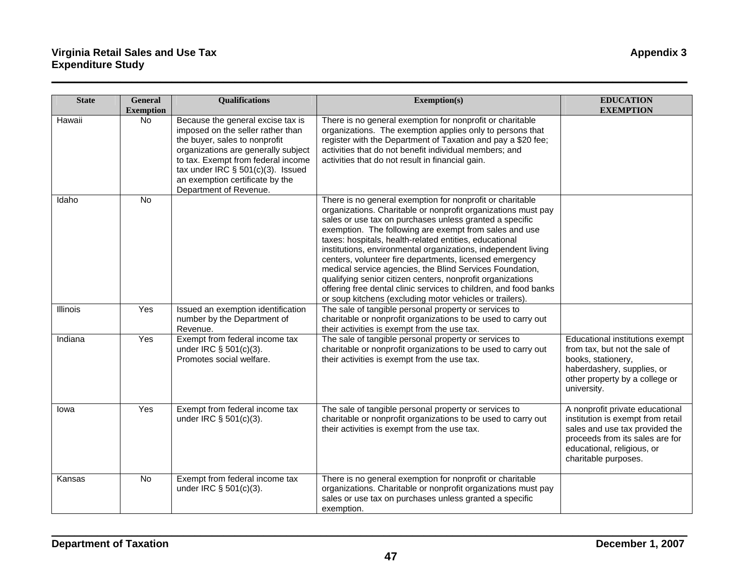| <b>State</b> | <b>General</b>   | <b>Qualifications</b>                                                                                                                                                                                                                                                                     | <b>Exemption(s)</b>                                                                                                                                                                                                                                                                                                                                                                                                                                                                                                                                                                                                                                                                             | <b>EDUCATION</b>                                                                                                                                                                                |
|--------------|------------------|-------------------------------------------------------------------------------------------------------------------------------------------------------------------------------------------------------------------------------------------------------------------------------------------|-------------------------------------------------------------------------------------------------------------------------------------------------------------------------------------------------------------------------------------------------------------------------------------------------------------------------------------------------------------------------------------------------------------------------------------------------------------------------------------------------------------------------------------------------------------------------------------------------------------------------------------------------------------------------------------------------|-------------------------------------------------------------------------------------------------------------------------------------------------------------------------------------------------|
|              | <b>Exemption</b> |                                                                                                                                                                                                                                                                                           |                                                                                                                                                                                                                                                                                                                                                                                                                                                                                                                                                                                                                                                                                                 | <b>EXEMPTION</b>                                                                                                                                                                                |
| Hawaii       | $\overline{N}$   | Because the general excise tax is<br>imposed on the seller rather than<br>the buyer, sales to nonprofit<br>organizations are generally subject<br>to tax. Exempt from federal income<br>tax under IRC $\S$ 501(c)(3). Issued<br>an exemption certificate by the<br>Department of Revenue. | There is no general exemption for nonprofit or charitable<br>organizations. The exemption applies only to persons that<br>register with the Department of Taxation and pay a \$20 fee;<br>activities that do not benefit individual members; and<br>activities that do not result in financial gain.                                                                                                                                                                                                                                                                                                                                                                                            |                                                                                                                                                                                                 |
| Idaho        | No               |                                                                                                                                                                                                                                                                                           | There is no general exemption for nonprofit or charitable<br>organizations. Charitable or nonprofit organizations must pay<br>sales or use tax on purchases unless granted a specific<br>exemption. The following are exempt from sales and use<br>taxes: hospitals, health-related entities, educational<br>institutions, environmental organizations, independent living<br>centers, volunteer fire departments, licensed emergency<br>medical service agencies, the Blind Services Foundation,<br>qualifying senior citizen centers, nonprofit organizations<br>offering free dental clinic services to children, and food banks<br>or soup kitchens (excluding motor vehicles or trailers). |                                                                                                                                                                                                 |
| Illinois     | Yes              | Issued an exemption identification<br>number by the Department of<br>Revenue.                                                                                                                                                                                                             | The sale of tangible personal property or services to<br>charitable or nonprofit organizations to be used to carry out<br>their activities is exempt from the use tax.                                                                                                                                                                                                                                                                                                                                                                                                                                                                                                                          |                                                                                                                                                                                                 |
| Indiana      | Yes              | Exempt from federal income tax<br>under IRC § 501(c)(3).<br>Promotes social welfare.                                                                                                                                                                                                      | The sale of tangible personal property or services to<br>charitable or nonprofit organizations to be used to carry out<br>their activities is exempt from the use tax.                                                                                                                                                                                                                                                                                                                                                                                                                                                                                                                          | Educational institutions exempt<br>from tax, but not the sale of<br>books, stationery,<br>haberdashery, supplies, or<br>other property by a college or<br>university.                           |
| Iowa         | Yes              | Exempt from federal income tax<br>under IRC $\S$ 501(c)(3).                                                                                                                                                                                                                               | The sale of tangible personal property or services to<br>charitable or nonprofit organizations to be used to carry out<br>their activities is exempt from the use tax.                                                                                                                                                                                                                                                                                                                                                                                                                                                                                                                          | A nonprofit private educational<br>institution is exempt from retail<br>sales and use tax provided the<br>proceeds from its sales are for<br>educational, religious, or<br>charitable purposes. |
| Kansas       | <b>No</b>        | Exempt from federal income tax<br>under IRC § 501(c)(3).                                                                                                                                                                                                                                  | There is no general exemption for nonprofit or charitable<br>organizations. Charitable or nonprofit organizations must pay<br>sales or use tax on purchases unless granted a specific<br>exemption.                                                                                                                                                                                                                                                                                                                                                                                                                                                                                             |                                                                                                                                                                                                 |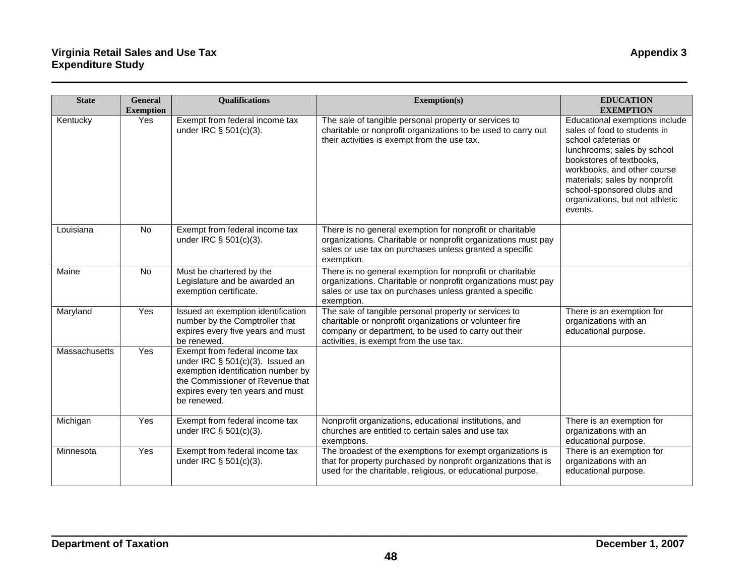| <b>State</b>  | <b>General</b><br><b>Exemption</b> | <b>Qualifications</b>                                                                                                                                                                              | <b>Exemption(s)</b>                                                                                                                                                                                                 | <b>EDUCATION</b><br><b>EXEMPTION</b>                                                                                                                                                                                                                                                          |
|---------------|------------------------------------|----------------------------------------------------------------------------------------------------------------------------------------------------------------------------------------------------|---------------------------------------------------------------------------------------------------------------------------------------------------------------------------------------------------------------------|-----------------------------------------------------------------------------------------------------------------------------------------------------------------------------------------------------------------------------------------------------------------------------------------------|
| Kentucky      | Yes                                | Exempt from federal income tax<br>under IRC § 501(c)(3).                                                                                                                                           | The sale of tangible personal property or services to<br>charitable or nonprofit organizations to be used to carry out<br>their activities is exempt from the use tax.                                              | Educational exemptions include<br>sales of food to students in<br>school cafeterias or<br>lunchrooms; sales by school<br>bookstores of textbooks,<br>workbooks, and other course<br>materials; sales by nonprofit<br>school-sponsored clubs and<br>organizations, but not athletic<br>events. |
| Louisiana     | <b>No</b>                          | Exempt from federal income tax<br>under IRC § 501(c)(3).                                                                                                                                           | There is no general exemption for nonprofit or charitable<br>organizations. Charitable or nonprofit organizations must pay<br>sales or use tax on purchases unless granted a specific<br>exemption.                 |                                                                                                                                                                                                                                                                                               |
| Maine         | No                                 | Must be chartered by the<br>Legislature and be awarded an<br>exemption certificate.                                                                                                                | There is no general exemption for nonprofit or charitable<br>organizations. Charitable or nonprofit organizations must pay<br>sales or use tax on purchases unless granted a specific<br>exemption.                 |                                                                                                                                                                                                                                                                                               |
| Maryland      | Yes                                | Issued an exemption identification<br>number by the Comptroller that<br>expires every five years and must<br>be renewed.                                                                           | The sale of tangible personal property or services to<br>charitable or nonprofit organizations or volunteer fire<br>company or department, to be used to carry out their<br>activities, is exempt from the use tax. | There is an exemption for<br>organizations with an<br>educational purpose.                                                                                                                                                                                                                    |
| Massachusetts | Yes                                | Exempt from federal income tax<br>under IRC $\S$ 501(c)(3). Issued an<br>exemption identification number by<br>the Commissioner of Revenue that<br>expires every ten years and must<br>be renewed. |                                                                                                                                                                                                                     |                                                                                                                                                                                                                                                                                               |
| Michigan      | Yes                                | Exempt from federal income tax<br>under IRC $\S$ 501(c)(3).                                                                                                                                        | Nonprofit organizations, educational institutions, and<br>churches are entitled to certain sales and use tax<br>exemptions.                                                                                         | There is an exemption for<br>organizations with an<br>educational purpose.                                                                                                                                                                                                                    |
| Minnesota     | Yes                                | Exempt from federal income tax<br>under IRC § 501(c)(3).                                                                                                                                           | The broadest of the exemptions for exempt organizations is<br>that for property purchased by nonprofit organizations that is<br>used for the charitable, religious, or educational purpose.                         | There is an exemption for<br>organizations with an<br>educational purpose.                                                                                                                                                                                                                    |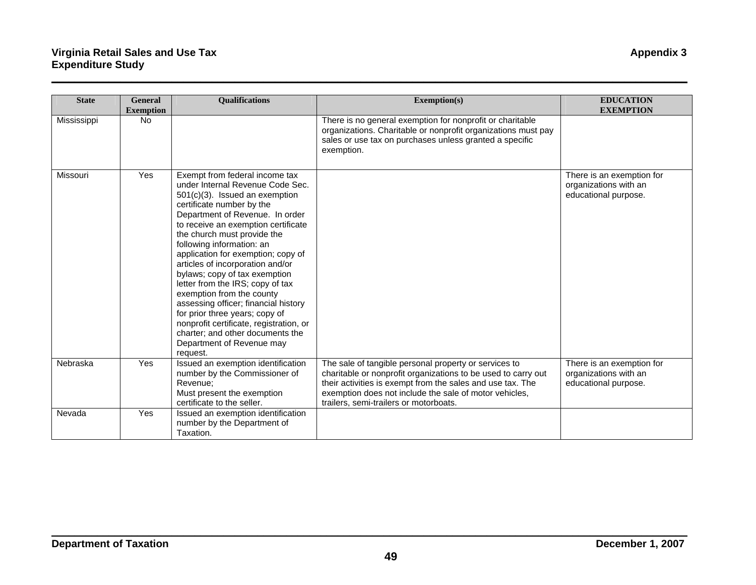| <b>State</b> | <b>General</b><br><b>Exemption</b> | <b>Qualifications</b>                                                                                                                                                                                                                                                                                                                                                                                                                                                                                                                                                                                                                                    | <b>Exemption(s)</b>                                                                                                                                                                                                                                                                      | <b>EDUCATION</b><br><b>EXEMPTION</b>                                       |
|--------------|------------------------------------|----------------------------------------------------------------------------------------------------------------------------------------------------------------------------------------------------------------------------------------------------------------------------------------------------------------------------------------------------------------------------------------------------------------------------------------------------------------------------------------------------------------------------------------------------------------------------------------------------------------------------------------------------------|------------------------------------------------------------------------------------------------------------------------------------------------------------------------------------------------------------------------------------------------------------------------------------------|----------------------------------------------------------------------------|
| Mississippi  | No                                 |                                                                                                                                                                                                                                                                                                                                                                                                                                                                                                                                                                                                                                                          | There is no general exemption for nonprofit or charitable<br>organizations. Charitable or nonprofit organizations must pay<br>sales or use tax on purchases unless granted a specific<br>exemption.                                                                                      |                                                                            |
| Missouri     | Yes                                | Exempt from federal income tax<br>under Internal Revenue Code Sec.<br>$501(c)(3)$ . Issued an exemption<br>certificate number by the<br>Department of Revenue. In order<br>to receive an exemption certificate<br>the church must provide the<br>following information: an<br>application for exemption; copy of<br>articles of incorporation and/or<br>bylaws; copy of tax exemption<br>letter from the IRS; copy of tax<br>exemption from the county<br>assessing officer; financial history<br>for prior three years; copy of<br>nonprofit certificate, registration, or<br>charter; and other documents the<br>Department of Revenue may<br>request. |                                                                                                                                                                                                                                                                                          | There is an exemption for<br>organizations with an<br>educational purpose. |
| Nebraska     | Yes                                | Issued an exemption identification<br>number by the Commissioner of<br>Revenue:<br>Must present the exemption<br>certificate to the seller.                                                                                                                                                                                                                                                                                                                                                                                                                                                                                                              | The sale of tangible personal property or services to<br>charitable or nonprofit organizations to be used to carry out<br>their activities is exempt from the sales and use tax. The<br>exemption does not include the sale of motor vehicles,<br>trailers, semi-trailers or motorboats. | There is an exemption for<br>organizations with an<br>educational purpose. |
| Nevada       | Yes                                | Issued an exemption identification<br>number by the Department of<br>Taxation.                                                                                                                                                                                                                                                                                                                                                                                                                                                                                                                                                                           |                                                                                                                                                                                                                                                                                          |                                                                            |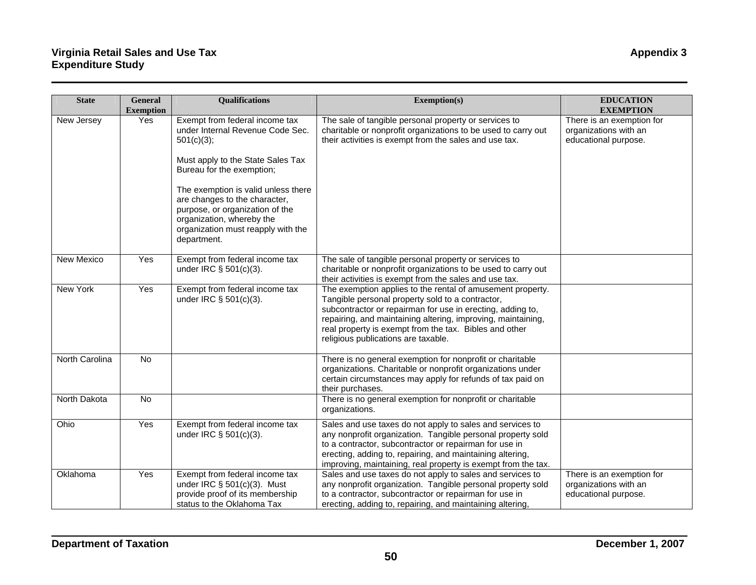| <b>State</b>   | General<br><b>Exemption</b> | <b>Qualifications</b>                                                                                                                                                                                                                                                                                                                           | <b>Exemption(s)</b>                                                                                                                                                                                                                                                                                                                           | <b>EDUCATION</b><br><b>EXEMPTION</b>                                       |
|----------------|-----------------------------|-------------------------------------------------------------------------------------------------------------------------------------------------------------------------------------------------------------------------------------------------------------------------------------------------------------------------------------------------|-----------------------------------------------------------------------------------------------------------------------------------------------------------------------------------------------------------------------------------------------------------------------------------------------------------------------------------------------|----------------------------------------------------------------------------|
| New Jersey     | Yes                         | Exempt from federal income tax<br>under Internal Revenue Code Sec.<br>501(c)(3);<br>Must apply to the State Sales Tax<br>Bureau for the exemption;<br>The exemption is valid unless there<br>are changes to the character,<br>purpose, or organization of the<br>organization, whereby the<br>organization must reapply with the<br>department. | The sale of tangible personal property or services to<br>charitable or nonprofit organizations to be used to carry out<br>their activities is exempt from the sales and use tax.                                                                                                                                                              | There is an exemption for<br>organizations with an<br>educational purpose. |
| New Mexico     | Yes                         | Exempt from federal income tax<br>under IRC $\S$ 501(c)(3).                                                                                                                                                                                                                                                                                     | The sale of tangible personal property or services to<br>charitable or nonprofit organizations to be used to carry out<br>their activities is exempt from the sales and use tax.                                                                                                                                                              |                                                                            |
| New York       | Yes                         | Exempt from federal income tax<br>under IRC $\S$ 501(c)(3).                                                                                                                                                                                                                                                                                     | The exemption applies to the rental of amusement property.<br>Tangible personal property sold to a contractor,<br>subcontractor or repairman for use in erecting, adding to,<br>repairing, and maintaining altering, improving, maintaining,<br>real property is exempt from the tax. Bibles and other<br>religious publications are taxable. |                                                                            |
| North Carolina | No                          |                                                                                                                                                                                                                                                                                                                                                 | There is no general exemption for nonprofit or charitable<br>organizations. Charitable or nonprofit organizations under<br>certain circumstances may apply for refunds of tax paid on<br>their purchases.                                                                                                                                     |                                                                            |
| North Dakota   | $\overline{N}$              |                                                                                                                                                                                                                                                                                                                                                 | There is no general exemption for nonprofit or charitable<br>organizations.                                                                                                                                                                                                                                                                   |                                                                            |
| Ohio           | Yes                         | Exempt from federal income tax<br>under IRC $\S$ 501(c)(3).                                                                                                                                                                                                                                                                                     | Sales and use taxes do not apply to sales and services to<br>any nonprofit organization. Tangible personal property sold<br>to a contractor, subcontractor or repairman for use in<br>erecting, adding to, repairing, and maintaining altering,<br>improving, maintaining, real property is exempt from the tax.                              |                                                                            |
| Oklahoma       | Yes                         | Exempt from federal income tax<br>under IRC $\S$ 501(c)(3). Must<br>provide proof of its membership<br>status to the Oklahoma Tax                                                                                                                                                                                                               | Sales and use taxes do not apply to sales and services to<br>any nonprofit organization. Tangible personal property sold<br>to a contractor, subcontractor or repairman for use in<br>erecting, adding to, repairing, and maintaining altering,                                                                                               | There is an exemption for<br>organizations with an<br>educational purpose. |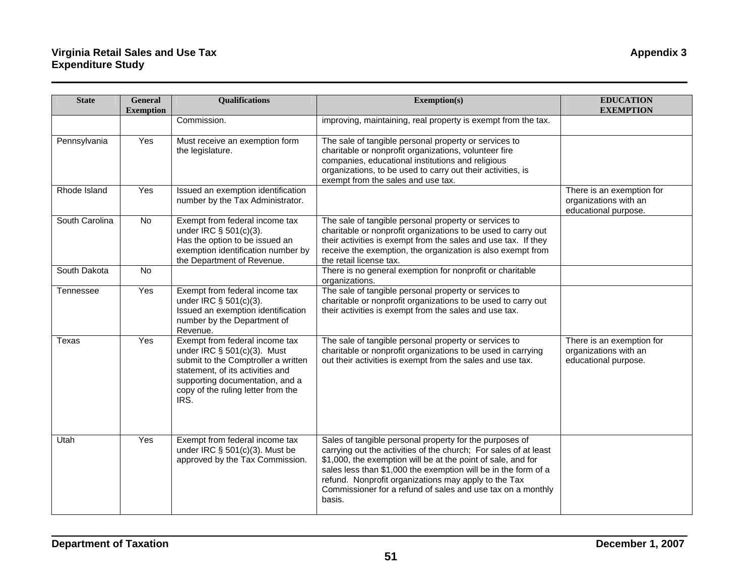| <b>State</b>   | <b>General</b><br><b>Exemption</b> | <b>Qualifications</b>                                                                                                                                                                                                        | <b>Exemption(s)</b>                                                                                                                                                                                                                                                                                                                                                                            | <b>EDUCATION</b><br><b>EXEMPTION</b>                                       |
|----------------|------------------------------------|------------------------------------------------------------------------------------------------------------------------------------------------------------------------------------------------------------------------------|------------------------------------------------------------------------------------------------------------------------------------------------------------------------------------------------------------------------------------------------------------------------------------------------------------------------------------------------------------------------------------------------|----------------------------------------------------------------------------|
|                |                                    | Commission.                                                                                                                                                                                                                  | improving, maintaining, real property is exempt from the tax.                                                                                                                                                                                                                                                                                                                                  |                                                                            |
| Pennsylvania   | Yes                                | Must receive an exemption form<br>the legislature.                                                                                                                                                                           | The sale of tangible personal property or services to<br>charitable or nonprofit organizations, volunteer fire<br>companies, educational institutions and religious<br>organizations, to be used to carry out their activities, is<br>exempt from the sales and use tax.                                                                                                                       |                                                                            |
| Rhode Island   | Yes                                | Issued an exemption identification<br>number by the Tax Administrator.                                                                                                                                                       |                                                                                                                                                                                                                                                                                                                                                                                                | There is an exemption for<br>organizations with an<br>educational purpose. |
| South Carolina | No                                 | Exempt from federal income tax<br>under IRC $\S$ 501(c)(3).<br>Has the option to be issued an<br>exemption identification number by<br>the Department of Revenue.                                                            | The sale of tangible personal property or services to<br>charitable or nonprofit organizations to be used to carry out<br>their activities is exempt from the sales and use tax. If they<br>receive the exemption, the organization is also exempt from<br>the retail license tax.                                                                                                             |                                                                            |
| South Dakota   | No                                 |                                                                                                                                                                                                                              | There is no general exemption for nonprofit or charitable<br>organizations.                                                                                                                                                                                                                                                                                                                    |                                                                            |
| Tennessee      | Yes                                | Exempt from federal income tax<br>under IRC § 501(c)(3).<br>Issued an exemption identification<br>number by the Department of<br>Revenue.                                                                                    | The sale of tangible personal property or services to<br>charitable or nonprofit organizations to be used to carry out<br>their activities is exempt from the sales and use tax.                                                                                                                                                                                                               |                                                                            |
| Texas          | Yes                                | Exempt from federal income tax<br>under IRC $\S$ 501(c)(3). Must<br>submit to the Comptroller a written<br>statement, of its activities and<br>supporting documentation, and a<br>copy of the ruling letter from the<br>IRS. | The sale of tangible personal property or services to<br>charitable or nonprofit organizations to be used in carrying<br>out their activities is exempt from the sales and use tax.                                                                                                                                                                                                            | There is an exemption for<br>organizations with an<br>educational purpose. |
| Utah           | Yes                                | Exempt from federal income tax<br>under IRC $\S$ 501(c)(3). Must be<br>approved by the Tax Commission.                                                                                                                       | Sales of tangible personal property for the purposes of<br>carrying out the activities of the church; For sales of at least<br>\$1,000, the exemption will be at the point of sale, and for<br>sales less than \$1,000 the exemption will be in the form of a<br>refund. Nonprofit organizations may apply to the Tax<br>Commissioner for a refund of sales and use tax on a monthly<br>basis. |                                                                            |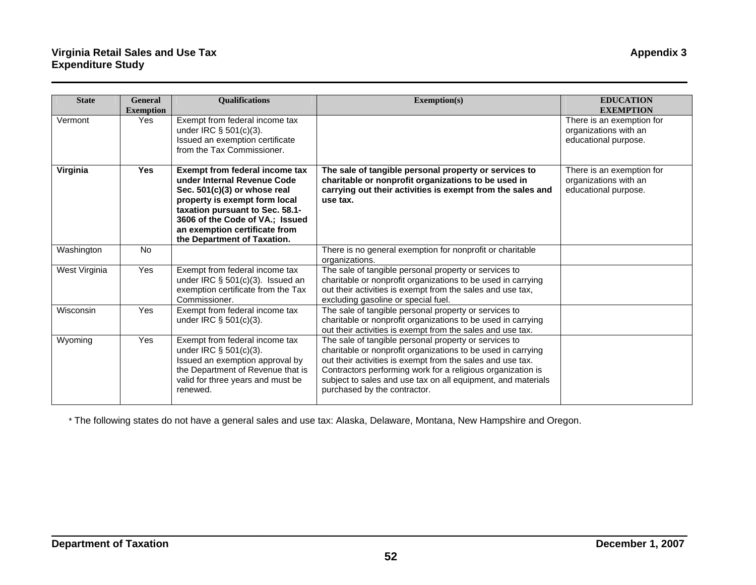| <b>State</b>  | <b>General</b><br><b>Exemption</b> | <b>Oualifications</b>                                                                                                                                                                                                                                                       | <b>Exemption(s)</b>                                                                                                                                                                                                                                                                                                                                | <b>EDUCATION</b><br><b>EXEMPTION</b>                                       |
|---------------|------------------------------------|-----------------------------------------------------------------------------------------------------------------------------------------------------------------------------------------------------------------------------------------------------------------------------|----------------------------------------------------------------------------------------------------------------------------------------------------------------------------------------------------------------------------------------------------------------------------------------------------------------------------------------------------|----------------------------------------------------------------------------|
| Vermont       | <b>Yes</b>                         | Exempt from federal income tax<br>under IRC $\S$ 501(c)(3).<br>Issued an exemption certificate<br>from the Tax Commissioner.                                                                                                                                                |                                                                                                                                                                                                                                                                                                                                                    | There is an exemption for<br>organizations with an<br>educational purpose. |
| Virginia      | <b>Yes</b>                         | <b>Exempt from federal income tax</b><br>under Internal Revenue Code<br>Sec. 501(c)(3) or whose real<br>property is exempt form local<br>taxation pursuant to Sec. 58.1-<br>3606 of the Code of VA.; Issued<br>an exemption certificate from<br>the Department of Taxation. | The sale of tangible personal property or services to<br>charitable or nonprofit organizations to be used in<br>carrying out their activities is exempt from the sales and<br>use tax.                                                                                                                                                             | There is an exemption for<br>organizations with an<br>educational purpose. |
| Washington    | <b>No</b>                          |                                                                                                                                                                                                                                                                             | There is no general exemption for nonprofit or charitable<br>organizations.                                                                                                                                                                                                                                                                        |                                                                            |
| West Virginia | Yes                                | Exempt from federal income tax<br>under IRC $\S$ 501(c)(3). Issued an<br>exemption certificate from the Tax<br>Commissioner.                                                                                                                                                | The sale of tangible personal property or services to<br>charitable or nonprofit organizations to be used in carrying<br>out their activities is exempt from the sales and use tax,<br>excluding gasoline or special fuel.                                                                                                                         |                                                                            |
| Wisconsin     | Yes                                | Exempt from federal income tax<br>under IRC $\S$ 501(c)(3).                                                                                                                                                                                                                 | The sale of tangible personal property or services to<br>charitable or nonprofit organizations to be used in carrying<br>out their activities is exempt from the sales and use tax.                                                                                                                                                                |                                                                            |
| Wyoming       | Yes                                | Exempt from federal income tax<br>under IRC $\S$ 501(c)(3).<br>Issued an exemption approval by<br>the Department of Revenue that is<br>valid for three years and must be<br>renewed.                                                                                        | The sale of tangible personal property or services to<br>charitable or nonprofit organizations to be used in carrying<br>out their activities is exempt from the sales and use tax.<br>Contractors performing work for a religious organization is<br>subject to sales and use tax on all equipment, and materials<br>purchased by the contractor. |                                                                            |

\* The following states do not have a general sales and use tax: Alaska, Delaware, Montana, New Hampshire and Oregon.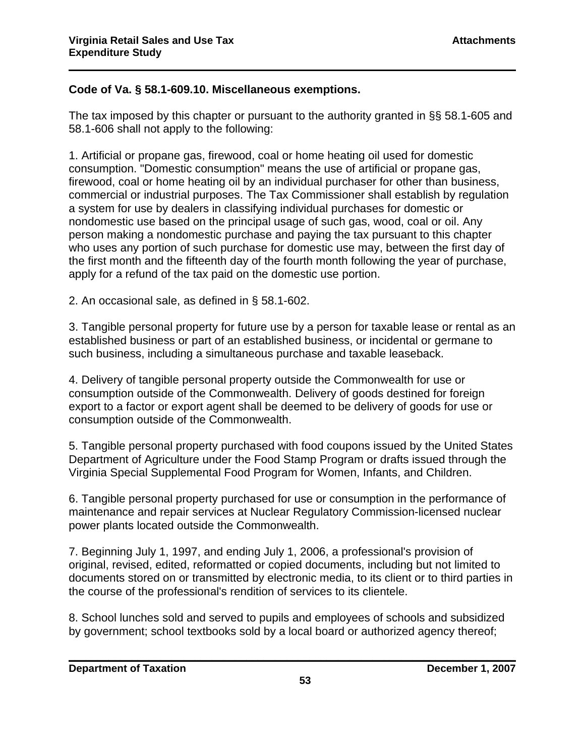# **Code of Va. § 58.1-609.10. Miscellaneous exemptions.**

The tax imposed by this chapter or pursuant to the authority granted in §§ 58.1-605 and 58.1-606 shall not apply to the following:

 $\mathcal{L}_\mathcal{L} = \mathcal{L}_\mathcal{L} = \mathcal{L}_\mathcal{L} = \mathcal{L}_\mathcal{L} = \mathcal{L}_\mathcal{L} = \mathcal{L}_\mathcal{L} = \mathcal{L}_\mathcal{L} = \mathcal{L}_\mathcal{L} = \mathcal{L}_\mathcal{L} = \mathcal{L}_\mathcal{L} = \mathcal{L}_\mathcal{L} = \mathcal{L}_\mathcal{L} = \mathcal{L}_\mathcal{L} = \mathcal{L}_\mathcal{L} = \mathcal{L}_\mathcal{L} = \mathcal{L}_\mathcal{L} = \mathcal{L}_\mathcal{L}$ 

1. Artificial or propane gas, firewood, coal or home heating oil used for domestic consumption. "Domestic consumption" means the use of artificial or propane gas, firewood, coal or home heating oil by an individual purchaser for other than business, commercial or industrial purposes. The Tax Commissioner shall establish by regulation a system for use by dealers in classifying individual purchases for domestic or nondomestic use based on the principal usage of such gas, wood, coal or oil. Any person making a nondomestic purchase and paying the tax pursuant to this chapter who uses any portion of such purchase for domestic use may, between the first day of the first month and the fifteenth day of the fourth month following the year of purchase, apply for a refund of the tax paid on the domestic use portion.

2. An occasional sale, as defined in § 58.1-602.

3. Tangible personal property for future use by a person for taxable lease or rental as an established business or part of an established business, or incidental or germane to such business, including a simultaneous purchase and taxable leaseback.

4. Delivery of tangible personal property outside the Commonwealth for use or consumption outside of the Commonwealth. Delivery of goods destined for foreign export to a factor or export agent shall be deemed to be delivery of goods for use or consumption outside of the Commonwealth.

5. Tangible personal property purchased with food coupons issued by the United States Department of Agriculture under the Food Stamp Program or drafts issued through the Virginia Special Supplemental Food Program for Women, Infants, and Children.

6. Tangible personal property purchased for use or consumption in the performance of maintenance and repair services at Nuclear Regulatory Commission-licensed nuclear power plants located outside the Commonwealth.

7. Beginning July 1, 1997, and ending July 1, 2006, a professional's provision of original, revised, edited, reformatted or copied documents, including but not limited to documents stored on or transmitted by electronic media, to its client or to third parties in the course of the professional's rendition of services to its clientele.

8. School lunches sold and served to pupils and employees of schools and subsidized by government; school textbooks sold by a local board or authorized agency thereof;

 $\mathcal{L}_\mathcal{L} = \mathcal{L}_\mathcal{L} = \mathcal{L}_\mathcal{L} = \mathcal{L}_\mathcal{L} = \mathcal{L}_\mathcal{L} = \mathcal{L}_\mathcal{L} = \mathcal{L}_\mathcal{L} = \mathcal{L}_\mathcal{L} = \mathcal{L}_\mathcal{L} = \mathcal{L}_\mathcal{L} = \mathcal{L}_\mathcal{L} = \mathcal{L}_\mathcal{L} = \mathcal{L}_\mathcal{L} = \mathcal{L}_\mathcal{L} = \mathcal{L}_\mathcal{L} = \mathcal{L}_\mathcal{L} = \mathcal{L}_\mathcal{L}$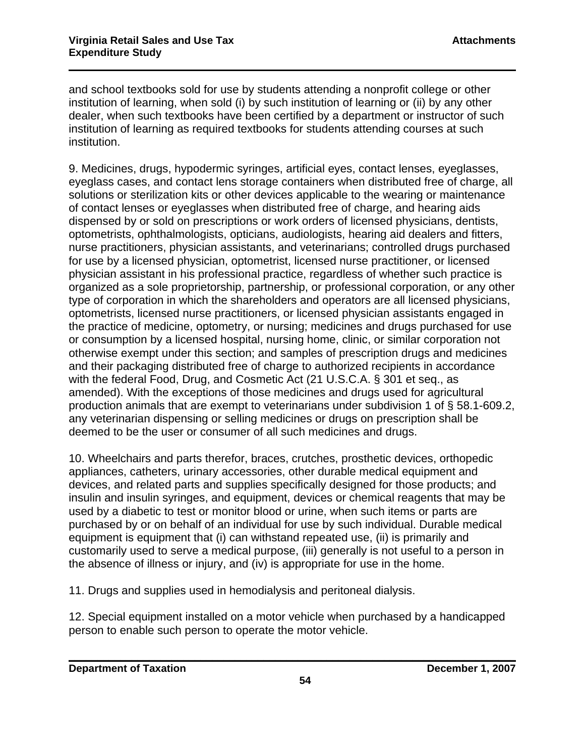and school textbooks sold for use by students attending a nonprofit college or other institution of learning, when sold (i) by such institution of learning or (ii) by any other dealer, when such textbooks have been certified by a department or instructor of such institution of learning as required textbooks for students attending courses at such institution.

 $\mathcal{L}_\mathcal{L} = \mathcal{L}_\mathcal{L} = \mathcal{L}_\mathcal{L} = \mathcal{L}_\mathcal{L} = \mathcal{L}_\mathcal{L} = \mathcal{L}_\mathcal{L} = \mathcal{L}_\mathcal{L} = \mathcal{L}_\mathcal{L} = \mathcal{L}_\mathcal{L} = \mathcal{L}_\mathcal{L} = \mathcal{L}_\mathcal{L} = \mathcal{L}_\mathcal{L} = \mathcal{L}_\mathcal{L} = \mathcal{L}_\mathcal{L} = \mathcal{L}_\mathcal{L} = \mathcal{L}_\mathcal{L} = \mathcal{L}_\mathcal{L}$ 

9. Medicines, drugs, hypodermic syringes, artificial eyes, contact lenses, eyeglasses, eyeglass cases, and contact lens storage containers when distributed free of charge, all solutions or sterilization kits or other devices applicable to the wearing or maintenance of contact lenses or eyeglasses when distributed free of charge, and hearing aids dispensed by or sold on prescriptions or work orders of licensed physicians, dentists, optometrists, ophthalmologists, opticians, audiologists, hearing aid dealers and fitters, nurse practitioners, physician assistants, and veterinarians; controlled drugs purchased for use by a licensed physician, optometrist, licensed nurse practitioner, or licensed physician assistant in his professional practice, regardless of whether such practice is organized as a sole proprietorship, partnership, or professional corporation, or any other type of corporation in which the shareholders and operators are all licensed physicians, optometrists, licensed nurse practitioners, or licensed physician assistants engaged in the practice of medicine, optometry, or nursing; medicines and drugs purchased for use or consumption by a licensed hospital, nursing home, clinic, or similar corporation not otherwise exempt under this section; and samples of prescription drugs and medicines and their packaging distributed free of charge to authorized recipients in accordance with the federal Food, Drug, and Cosmetic Act (21 U.S.C.A. § 301 et seq., as amended). With the exceptions of those medicines and drugs used for agricultural production animals that are exempt to veterinarians under subdivision 1 of § 58.1-609.2, any veterinarian dispensing or selling medicines or drugs on prescription shall be deemed to be the user or consumer of all such medicines and drugs.

10. Wheelchairs and parts therefor, braces, crutches, prosthetic devices, orthopedic appliances, catheters, urinary accessories, other durable medical equipment and devices, and related parts and supplies specifically designed for those products; and insulin and insulin syringes, and equipment, devices or chemical reagents that may be used by a diabetic to test or monitor blood or urine, when such items or parts are purchased by or on behalf of an individual for use by such individual. Durable medical equipment is equipment that (i) can withstand repeated use, (ii) is primarily and customarily used to serve a medical purpose, (iii) generally is not useful to a person in the absence of illness or injury, and (iv) is appropriate for use in the home.

11. Drugs and supplies used in hemodialysis and peritoneal dialysis.

12. Special equipment installed on a motor vehicle when purchased by a handicapped person to enable such person to operate the motor vehicle.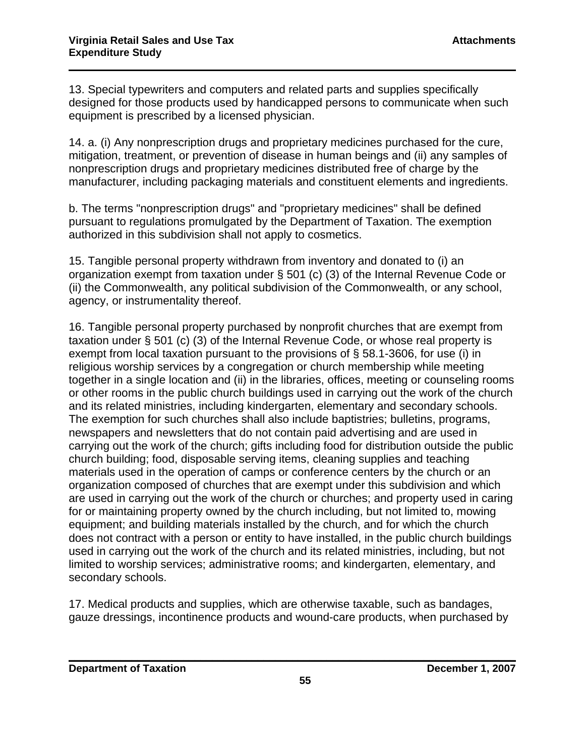13. Special typewriters and computers and related parts and supplies specifically designed for those products used by handicapped persons to communicate when such equipment is prescribed by a licensed physician.

 $\mathcal{L}_\mathcal{L} = \mathcal{L}_\mathcal{L} = \mathcal{L}_\mathcal{L} = \mathcal{L}_\mathcal{L} = \mathcal{L}_\mathcal{L} = \mathcal{L}_\mathcal{L} = \mathcal{L}_\mathcal{L} = \mathcal{L}_\mathcal{L} = \mathcal{L}_\mathcal{L} = \mathcal{L}_\mathcal{L} = \mathcal{L}_\mathcal{L} = \mathcal{L}_\mathcal{L} = \mathcal{L}_\mathcal{L} = \mathcal{L}_\mathcal{L} = \mathcal{L}_\mathcal{L} = \mathcal{L}_\mathcal{L} = \mathcal{L}_\mathcal{L}$ 

14. a. (i) Any nonprescription drugs and proprietary medicines purchased for the cure, mitigation, treatment, or prevention of disease in human beings and (ii) any samples of nonprescription drugs and proprietary medicines distributed free of charge by the manufacturer, including packaging materials and constituent elements and ingredients.

b. The terms "nonprescription drugs" and "proprietary medicines" shall be defined pursuant to regulations promulgated by the Department of Taxation. The exemption authorized in this subdivision shall not apply to cosmetics.

15. Tangible personal property withdrawn from inventory and donated to (i) an organization exempt from taxation under § 501 (c) (3) of the Internal Revenue Code or (ii) the Commonwealth, any political subdivision of the Commonwealth, or any school, agency, or instrumentality thereof.

16. Tangible personal property purchased by nonprofit churches that are exempt from taxation under § 501 (c) (3) of the Internal Revenue Code, or whose real property is exempt from local taxation pursuant to the provisions of § 58.1-3606, for use (i) in religious worship services by a congregation or church membership while meeting together in a single location and (ii) in the libraries, offices, meeting or counseling rooms or other rooms in the public church buildings used in carrying out the work of the church and its related ministries, including kindergarten, elementary and secondary schools. The exemption for such churches shall also include baptistries; bulletins, programs, newspapers and newsletters that do not contain paid advertising and are used in carrying out the work of the church; gifts including food for distribution outside the public church building; food, disposable serving items, cleaning supplies and teaching materials used in the operation of camps or conference centers by the church or an organization composed of churches that are exempt under this subdivision and which are used in carrying out the work of the church or churches; and property used in caring for or maintaining property owned by the church including, but not limited to, mowing equipment; and building materials installed by the church, and for which the church does not contract with a person or entity to have installed, in the public church buildings used in carrying out the work of the church and its related ministries, including, but not limited to worship services; administrative rooms; and kindergarten, elementary, and secondary schools.

17. Medical products and supplies, which are otherwise taxable, such as bandages, gauze dressings, incontinence products and wound-care products, when purchased by

 $\mathcal{L}_\mathcal{L} = \mathcal{L}_\mathcal{L} = \mathcal{L}_\mathcal{L} = \mathcal{L}_\mathcal{L} = \mathcal{L}_\mathcal{L} = \mathcal{L}_\mathcal{L} = \mathcal{L}_\mathcal{L} = \mathcal{L}_\mathcal{L} = \mathcal{L}_\mathcal{L} = \mathcal{L}_\mathcal{L} = \mathcal{L}_\mathcal{L} = \mathcal{L}_\mathcal{L} = \mathcal{L}_\mathcal{L} = \mathcal{L}_\mathcal{L} = \mathcal{L}_\mathcal{L} = \mathcal{L}_\mathcal{L} = \mathcal{L}_\mathcal{L}$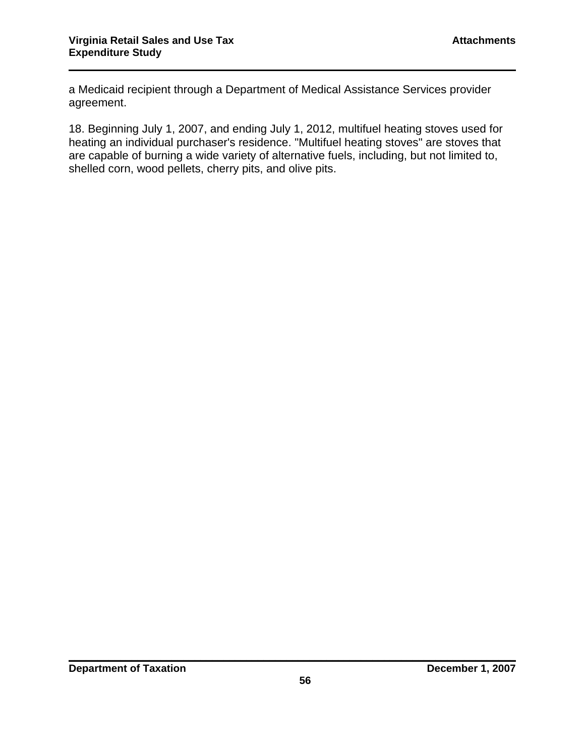a Medicaid recipient through a Department of Medical Assistance Services provider agreement.

 $\mathcal{L}_\mathcal{L} = \mathcal{L}_\mathcal{L} = \mathcal{L}_\mathcal{L} = \mathcal{L}_\mathcal{L} = \mathcal{L}_\mathcal{L} = \mathcal{L}_\mathcal{L} = \mathcal{L}_\mathcal{L} = \mathcal{L}_\mathcal{L} = \mathcal{L}_\mathcal{L} = \mathcal{L}_\mathcal{L} = \mathcal{L}_\mathcal{L} = \mathcal{L}_\mathcal{L} = \mathcal{L}_\mathcal{L} = \mathcal{L}_\mathcal{L} = \mathcal{L}_\mathcal{L} = \mathcal{L}_\mathcal{L} = \mathcal{L}_\mathcal{L}$ 

18. Beginning July 1, 2007, and ending July 1, 2012, multifuel heating stoves used for heating an individual purchaser's residence. "Multifuel heating stoves" are stoves that are capable of burning a wide variety of alternative fuels, including, but not limited to, shelled corn, wood pellets, cherry pits, and olive pits.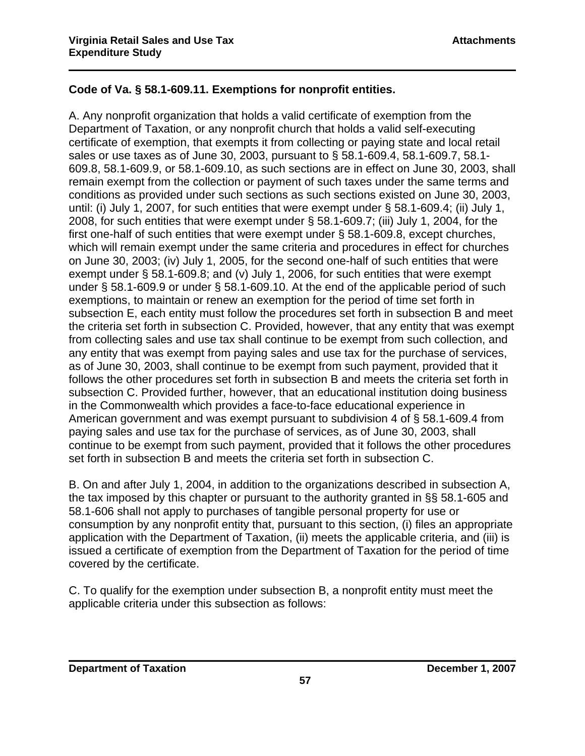# **Code of Va. § 58.1-609.11. Exemptions for nonprofit entities.**

A. Any nonprofit organization that holds a valid certificate of exemption from the Department of Taxation, or any nonprofit church that holds a valid self-executing certificate of exemption, that exempts it from collecting or paying state and local retail sales or use taxes as of June 30, 2003, pursuant to § 58.1-609.4, 58.1-609.7, 58.1- 609.8, 58.1-609.9, or 58.1-609.10, as such sections are in effect on June 30, 2003, shall remain exempt from the collection or payment of such taxes under the same terms and conditions as provided under such sections as such sections existed on June 30, 2003, until: (i) July 1, 2007, for such entities that were exempt under § 58.1-609.4; (ii) July 1, 2008, for such entities that were exempt under § 58.1-609.7; (iii) July 1, 2004, for the first one-half of such entities that were exempt under § 58.1-609.8, except churches, which will remain exempt under the same criteria and procedures in effect for churches on June 30, 2003; (iv) July 1, 2005, for the second one-half of such entities that were exempt under § 58.1-609.8; and (v) July 1, 2006, for such entities that were exempt under § 58.1-609.9 or under § 58.1-609.10. At the end of the applicable period of such exemptions, to maintain or renew an exemption for the period of time set forth in subsection E, each entity must follow the procedures set forth in subsection B and meet the criteria set forth in subsection C. Provided, however, that any entity that was exempt from collecting sales and use tax shall continue to be exempt from such collection, and any entity that was exempt from paying sales and use tax for the purchase of services, as of June 30, 2003, shall continue to be exempt from such payment, provided that it follows the other procedures set forth in subsection B and meets the criteria set forth in subsection C. Provided further, however, that an educational institution doing business in the Commonwealth which provides a face-to-face educational experience in American government and was exempt pursuant to subdivision 4 of § 58.1-609.4 from paying sales and use tax for the purchase of services, as of June 30, 2003, shall continue to be exempt from such payment, provided that it follows the other procedures set forth in subsection B and meets the criteria set forth in subsection C.

 $\mathcal{L}_\mathcal{L} = \mathcal{L}_\mathcal{L} = \mathcal{L}_\mathcal{L} = \mathcal{L}_\mathcal{L} = \mathcal{L}_\mathcal{L} = \mathcal{L}_\mathcal{L} = \mathcal{L}_\mathcal{L} = \mathcal{L}_\mathcal{L} = \mathcal{L}_\mathcal{L} = \mathcal{L}_\mathcal{L} = \mathcal{L}_\mathcal{L} = \mathcal{L}_\mathcal{L} = \mathcal{L}_\mathcal{L} = \mathcal{L}_\mathcal{L} = \mathcal{L}_\mathcal{L} = \mathcal{L}_\mathcal{L} = \mathcal{L}_\mathcal{L}$ 

B. On and after July 1, 2004, in addition to the organizations described in subsection A, the tax imposed by this chapter or pursuant to the authority granted in §§ 58.1-605 and 58.1-606 shall not apply to purchases of tangible personal property for use or consumption by any nonprofit entity that, pursuant to this section, (i) files an appropriate application with the Department of Taxation, (ii) meets the applicable criteria, and (iii) is issued a certificate of exemption from the Department of Taxation for the period of time covered by the certificate.

C. To qualify for the exemption under subsection B, a nonprofit entity must meet the applicable criteria under this subsection as follows: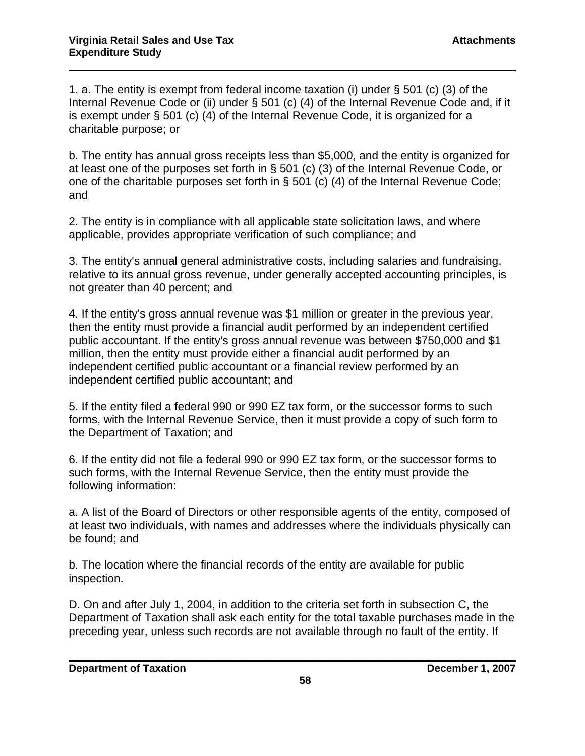1. a. The entity is exempt from federal income taxation (i) under § 501 (c) (3) of the Internal Revenue Code or (ii) under § 501 (c) (4) of the Internal Revenue Code and, if it is exempt under § 501 (c) (4) of the Internal Revenue Code, it is organized for a charitable purpose; or

 $\mathcal{L}_\text{max}$  and  $\mathcal{L}_\text{max}$  and  $\mathcal{L}_\text{max}$  and  $\mathcal{L}_\text{max}$  and  $\mathcal{L}_\text{max}$  and  $\mathcal{L}_\text{max}$ 

b. The entity has annual gross receipts less than \$5,000, and the entity is organized for at least one of the purposes set forth in § 501 (c) (3) of the Internal Revenue Code, or one of the charitable purposes set forth in § 501 (c) (4) of the Internal Revenue Code; and

2. The entity is in compliance with all applicable state solicitation laws, and where applicable, provides appropriate verification of such compliance; and

3. The entity's annual general administrative costs, including salaries and fundraising, relative to its annual gross revenue, under generally accepted accounting principles, is not greater than 40 percent; and

4. If the entity's gross annual revenue was \$1 million or greater in the previous year, then the entity must provide a financial audit performed by an independent certified public accountant. If the entity's gross annual revenue was between \$750,000 and \$1 million, then the entity must provide either a financial audit performed by an independent certified public accountant or a financial review performed by an independent certified public accountant; and

5. If the entity filed a federal 990 or 990 EZ tax form, or the successor forms to such forms, with the Internal Revenue Service, then it must provide a copy of such form to the Department of Taxation; and

6. If the entity did not file a federal 990 or 990 EZ tax form, or the successor forms to such forms, with the Internal Revenue Service, then the entity must provide the following information:

a. A list of the Board of Directors or other responsible agents of the entity, composed of at least two individuals, with names and addresses where the individuals physically can be found; and

b. The location where the financial records of the entity are available for public inspection.

D. On and after July 1, 2004, in addition to the criteria set forth in subsection C, the Department of Taxation shall ask each entity for the total taxable purchases made in the preceding year, unless such records are not available through no fault of the entity. If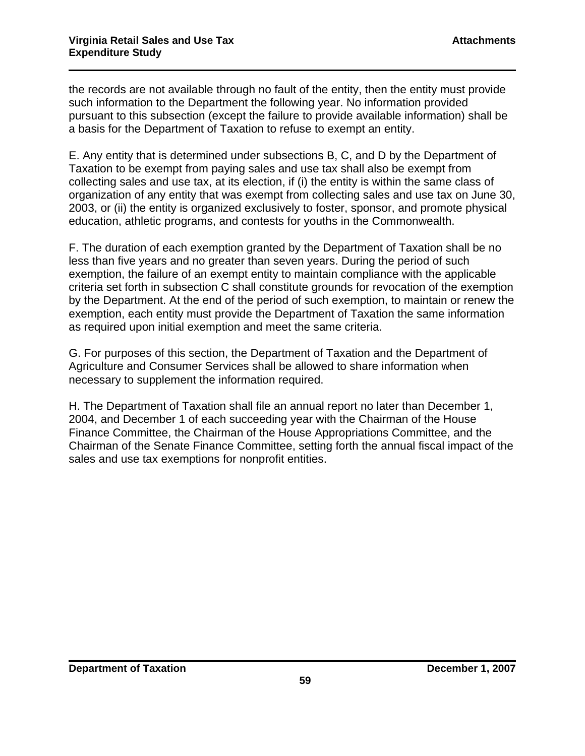the records are not available through no fault of the entity, then the entity must provide such information to the Department the following year. No information provided pursuant to this subsection (except the failure to provide available information) shall be a basis for the Department of Taxation to refuse to exempt an entity.

 $\mathcal{L}_\text{max}$  and  $\mathcal{L}_\text{max}$  and  $\mathcal{L}_\text{max}$  and  $\mathcal{L}_\text{max}$  and  $\mathcal{L}_\text{max}$  and  $\mathcal{L}_\text{max}$ 

E. Any entity that is determined under subsections B, C, and D by the Department of Taxation to be exempt from paying sales and use tax shall also be exempt from collecting sales and use tax, at its election, if (i) the entity is within the same class of organization of any entity that was exempt from collecting sales and use tax on June 30, 2003, or (ii) the entity is organized exclusively to foster, sponsor, and promote physical education, athletic programs, and contests for youths in the Commonwealth.

F. The duration of each exemption granted by the Department of Taxation shall be no less than five years and no greater than seven years. During the period of such exemption, the failure of an exempt entity to maintain compliance with the applicable criteria set forth in subsection C shall constitute grounds for revocation of the exemption by the Department. At the end of the period of such exemption, to maintain or renew the exemption, each entity must provide the Department of Taxation the same information as required upon initial exemption and meet the same criteria.

G. For purposes of this section, the Department of Taxation and the Department of Agriculture and Consumer Services shall be allowed to share information when necessary to supplement the information required.

H. The Department of Taxation shall file an annual report no later than December 1, 2004, and December 1 of each succeeding year with the Chairman of the House Finance Committee, the Chairman of the House Appropriations Committee, and the Chairman of the Senate Finance Committee, setting forth the annual fiscal impact of the sales and use tax exemptions for nonprofit entities.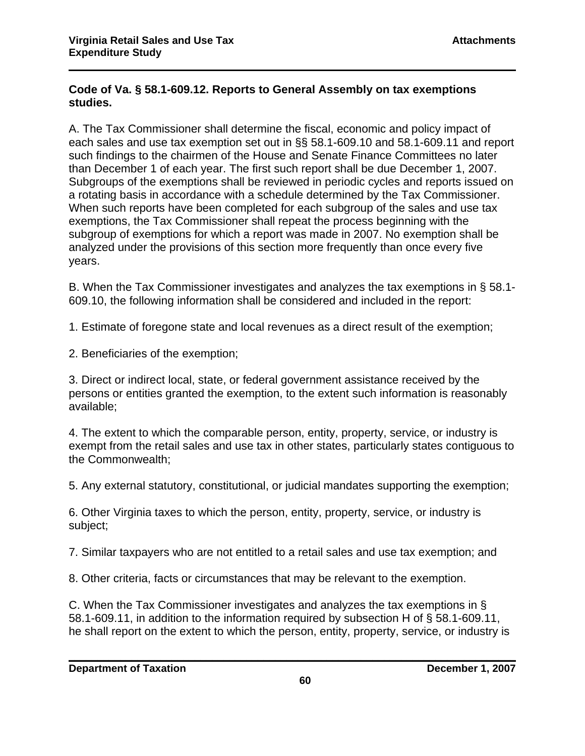### **Code of Va. § 58.1-609.12. Reports to General Assembly on tax exemptions studies.**

 $\mathcal{L}_\text{max}$  and  $\mathcal{L}_\text{max}$  and  $\mathcal{L}_\text{max}$  and  $\mathcal{L}_\text{max}$  and  $\mathcal{L}_\text{max}$  and  $\mathcal{L}_\text{max}$ 

A. The Tax Commissioner shall determine the fiscal, economic and policy impact of each sales and use tax exemption set out in §§ 58.1-609.10 and 58.1-609.11 and report such findings to the chairmen of the House and Senate Finance Committees no later than December 1 of each year. The first such report shall be due December 1, 2007. Subgroups of the exemptions shall be reviewed in periodic cycles and reports issued on a rotating basis in accordance with a schedule determined by the Tax Commissioner. When such reports have been completed for each subgroup of the sales and use tax exemptions, the Tax Commissioner shall repeat the process beginning with the subgroup of exemptions for which a report was made in 2007. No exemption shall be analyzed under the provisions of this section more frequently than once every five years.

B. When the Tax Commissioner investigates and analyzes the tax exemptions in § 58.1- 609.10, the following information shall be considered and included in the report:

1. Estimate of foregone state and local revenues as a direct result of the exemption;

2. Beneficiaries of the exemption;

3. Direct or indirect local, state, or federal government assistance received by the persons or entities granted the exemption, to the extent such information is reasonably available;

4. The extent to which the comparable person, entity, property, service, or industry is exempt from the retail sales and use tax in other states, particularly states contiguous to the Commonwealth;

5. Any external statutory, constitutional, or judicial mandates supporting the exemption;

6. Other Virginia taxes to which the person, entity, property, service, or industry is subject;

7. Similar taxpayers who are not entitled to a retail sales and use tax exemption; and

8. Other criteria, facts or circumstances that may be relevant to the exemption.

C. When the Tax Commissioner investigates and analyzes the tax exemptions in § 58.1-609.11, in addition to the information required by subsection H of § 58.1-609.11, he shall report on the extent to which the person, entity, property, service, or industry is

 $\mathcal{L}_\mathcal{L} = \mathcal{L}_\mathcal{L} = \mathcal{L}_\mathcal{L} = \mathcal{L}_\mathcal{L} = \mathcal{L}_\mathcal{L} = \mathcal{L}_\mathcal{L} = \mathcal{L}_\mathcal{L} = \mathcal{L}_\mathcal{L} = \mathcal{L}_\mathcal{L} = \mathcal{L}_\mathcal{L} = \mathcal{L}_\mathcal{L} = \mathcal{L}_\mathcal{L} = \mathcal{L}_\mathcal{L} = \mathcal{L}_\mathcal{L} = \mathcal{L}_\mathcal{L} = \mathcal{L}_\mathcal{L} = \mathcal{L}_\mathcal{L}$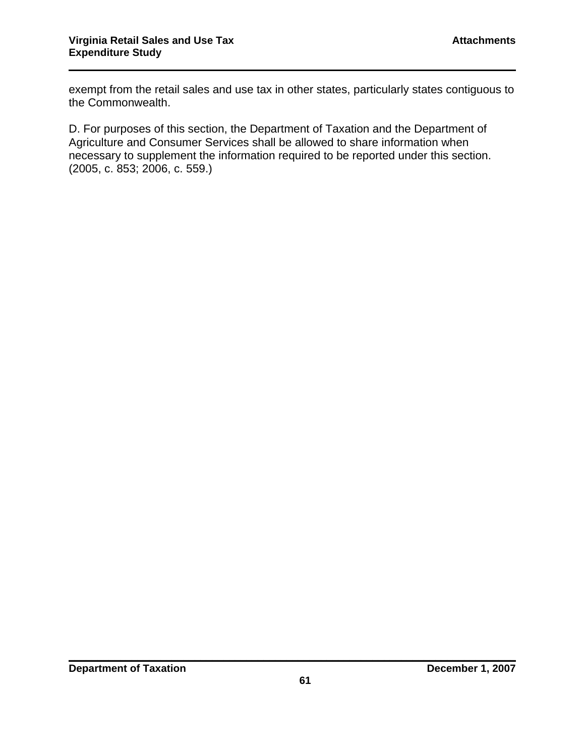exempt from the retail sales and use tax in other states, particularly states contiguous to the Commonwealth.

 $\mathcal{L}_\text{max}$  and  $\mathcal{L}_\text{max}$  and  $\mathcal{L}_\text{max}$  and  $\mathcal{L}_\text{max}$  and  $\mathcal{L}_\text{max}$  and  $\mathcal{L}_\text{max}$ 

D. For purposes of this section, the Department of Taxation and the Department of Agriculture and Consumer Services shall be allowed to share information when necessary to supplement the information required to be reported under this section. (2005, c. 853; 2006, c. 559.)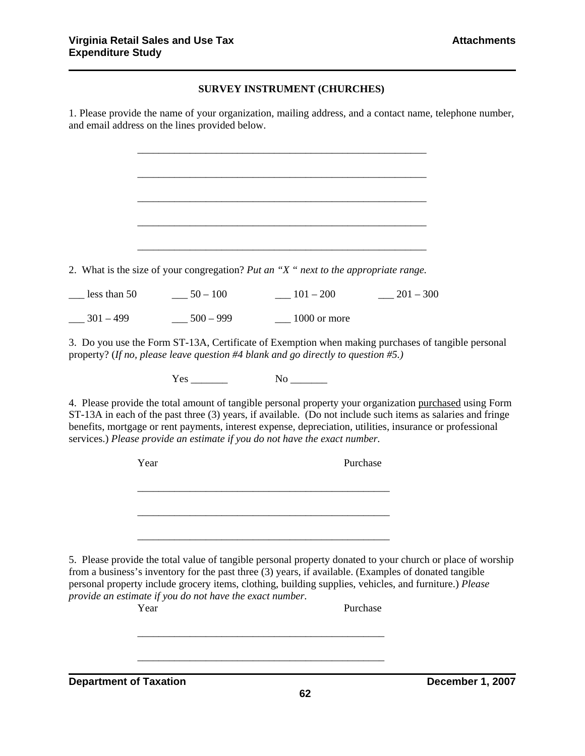## **SURVEY INSTRUMENT (CHURCHES)**

 $\mathcal{L}_\text{max}$  and  $\mathcal{L}_\text{max}$  and  $\mathcal{L}_\text{max}$  and  $\mathcal{L}_\text{max}$  and  $\mathcal{L}_\text{max}$  and  $\mathcal{L}_\text{max}$ 

1. Please provide the name of your organization, mailing address, and a contact name, telephone number, and email address on the lines provided below. \_\_\_\_\_\_\_\_\_\_\_\_\_\_\_\_\_\_\_\_\_\_\_\_\_\_\_\_\_\_\_\_\_\_\_\_\_\_\_\_\_\_\_\_\_\_\_\_\_\_\_\_\_\_\_ \_\_\_\_\_\_\_\_\_\_\_\_\_\_\_\_\_\_\_\_\_\_\_\_\_\_\_\_\_\_\_\_\_\_\_\_\_\_\_\_\_\_\_\_\_\_\_\_\_\_\_\_\_\_\_ \_\_\_\_\_\_\_\_\_\_\_\_\_\_\_\_\_\_\_\_\_\_\_\_\_\_\_\_\_\_\_\_\_\_\_\_\_\_\_\_\_\_\_\_\_\_\_\_\_\_\_\_\_\_\_ \_\_\_\_\_\_\_\_\_\_\_\_\_\_\_\_\_\_\_\_\_\_\_\_\_\_\_\_\_\_\_\_\_\_\_\_\_\_\_\_\_\_\_\_\_\_\_\_\_\_\_\_\_\_\_ \_\_\_\_\_\_\_\_\_\_\_\_\_\_\_\_\_\_\_\_\_\_\_\_\_\_\_\_\_\_\_\_\_\_\_\_\_\_\_\_\_\_\_\_\_\_\_\_\_\_\_\_\_\_\_ 2. What is the size of your congregation? *Put an "X " next to the appropriate range.*   $\frac{1}{2}$  less than 50  $\frac{50 - 100}{201 - 300}$   $\frac{101 - 200}{201 - 300}$  $-$  301 – 499  $-$  500 – 999  $-$  1000 or more

3. Do you use the Form ST-13A, Certificate of Exemption when making purchases of tangible personal property? (*If no, please leave question #4 blank and go directly to question #5.)* 

Yes \_\_\_\_\_\_\_ No \_\_\_\_\_\_\_

4. Please provide the total amount of tangible personal property your organization purchased using Form ST-13A in each of the past three (3) years, if available. (Do not include such items as salaries and fringe benefits, mortgage or rent payments, interest expense, depreciation, utilities, insurance or professional services.) *Please provide an estimate if you do not have the exact number.*

| Year                                                                                                                                                                                                                                                                                                                                                                                      | Purchase |  |
|-------------------------------------------------------------------------------------------------------------------------------------------------------------------------------------------------------------------------------------------------------------------------------------------------------------------------------------------------------------------------------------------|----------|--|
|                                                                                                                                                                                                                                                                                                                                                                                           |          |  |
|                                                                                                                                                                                                                                                                                                                                                                                           |          |  |
|                                                                                                                                                                                                                                                                                                                                                                                           |          |  |
| 5. Please provide the total value of tangible personal property donated to your church or place of worship<br>from a business's inventory for the past three (3) years, if available. (Examples of donated tangible<br>personal property include grocery items, clothing, building supplies, vehicles, and furniture.) Please<br>provide an estimate if you do not have the exact number. |          |  |
| Year                                                                                                                                                                                                                                                                                                                                                                                      | Purchase |  |

\_\_\_\_\_\_\_\_\_\_\_\_\_\_\_\_\_\_\_\_\_\_\_\_\_\_\_\_\_\_\_\_\_\_\_\_\_\_\_\_\_\_\_\_\_\_\_

\_\_\_\_\_\_\_\_\_\_\_\_\_\_\_\_\_\_\_\_\_\_\_\_\_\_\_\_\_\_\_\_\_\_\_\_\_\_\_\_\_\_\_\_\_\_\_

**Department of Taxation December 1, 2007**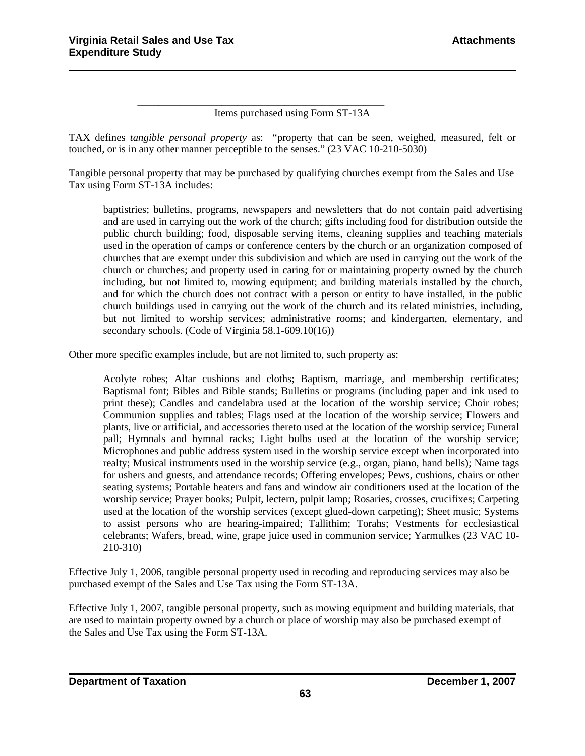Items purchased using Form ST-13A

\_\_\_\_\_\_\_\_\_\_\_\_\_\_\_\_\_\_\_\_\_\_\_\_\_\_\_\_\_\_\_\_\_\_\_\_\_\_\_\_\_\_\_\_\_\_\_

 $\mathcal{L}_\text{max}$  and  $\mathcal{L}_\text{max}$  and  $\mathcal{L}_\text{max}$  and  $\mathcal{L}_\text{max}$  and  $\mathcal{L}_\text{max}$  and  $\mathcal{L}_\text{max}$ 

TAX defines *tangible personal property* as: "property that can be seen, weighed, measured, felt or touched, or is in any other manner perceptible to the senses." (23 VAC 10-210-5030)

Tangible personal property that may be purchased by qualifying churches exempt from the Sales and Use Tax using Form ST-13A includes:

baptistries; bulletins, programs, newspapers and newsletters that do not contain paid advertising and are used in carrying out the work of the church; gifts including food for distribution outside the public church building; food, disposable serving items, cleaning supplies and teaching materials used in the operation of camps or conference centers by the church or an organization composed of churches that are exempt under this subdivision and which are used in carrying out the work of the church or churches; and property used in caring for or maintaining property owned by the church including, but not limited to, mowing equipment; and building materials installed by the church, and for which the church does not contract with a person or entity to have installed, in the public church buildings used in carrying out the work of the church and its related ministries, including, but not limited to worship services; administrative rooms; and kindergarten, elementary, and secondary schools. (Code of Virginia 58.1-609.10(16))

Other more specific examples include, but are not limited to, such property as:

Acolyte robes; Altar cushions and cloths; Baptism, marriage, and membership certificates; Baptismal font; Bibles and Bible stands; Bulletins or programs (including paper and ink used to print these); Candles and candelabra used at the location of the worship service; Choir robes; Communion supplies and tables; Flags used at the location of the worship service; Flowers and plants, live or artificial, and accessories thereto used at the location of the worship service; Funeral pall; Hymnals and hymnal racks; Light bulbs used at the location of the worship service; Microphones and public address system used in the worship service except when incorporated into realty; Musical instruments used in the worship service (e.g., organ, piano, hand bells); Name tags for ushers and guests, and attendance records; Offering envelopes; Pews, cushions, chairs or other seating systems; Portable heaters and fans and window air conditioners used at the location of the worship service; Prayer books; Pulpit, lectern, pulpit lamp; Rosaries, crosses, crucifixes; Carpeting used at the location of the worship services (except glued-down carpeting); Sheet music; Systems to assist persons who are hearing-impaired; Tallithim; Torahs; Vestments for ecclesiastical celebrants; Wafers, bread, wine, grape juice used in communion service; Yarmulkes (23 VAC 10- 210-310)

Effective July 1, 2006, tangible personal property used in recoding and reproducing services may also be purchased exempt of the Sales and Use Tax using the Form ST-13A.

Effective July 1, 2007, tangible personal property, such as mowing equipment and building materials, that are used to maintain property owned by a church or place of worship may also be purchased exempt of the Sales and Use Tax using the Form ST-13A.

 $\mathcal{L}_\text{max}$  and  $\mathcal{L}_\text{max}$  and  $\mathcal{L}_\text{max}$  and  $\mathcal{L}_\text{max}$  and  $\mathcal{L}_\text{max}$  and  $\mathcal{L}_\text{max}$